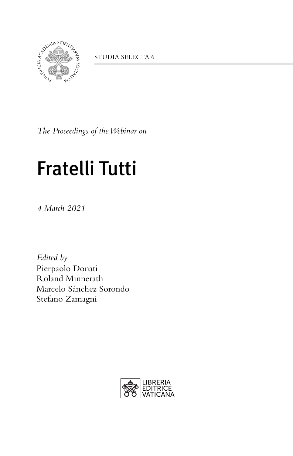

*The Proceedings of the Webinar on*

# Fratelli Tutti

*4 March 2021*

*Edited by* Pierpaolo Donati Roland Minnerath Marcelo Sánchez Sorondo Stefano Zamagni

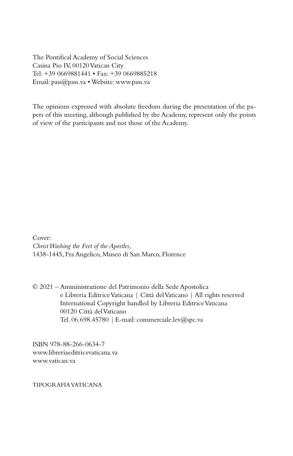The Pontifical Academy of Social Sciences Casina Pio IV, 00120 Vatican City Tel: +39 0669881441 • Fax: +39 0669885218 Email: pass@pass.va • Website: www.pass.va

The opinions expressed with absolute freedom during the presentation of the papers of this meeting, although published by the Academy, represent only the points of view of the participants and not those of the Academy.

Cover: *Christ Washing the Feet of the Apostles*, 1438-1445, Fra Angelico, Museo di San Marco, Florence

© 2021 – Amministrazione del Patrimonio della Sede Apostolica e Libreria Editrice Vaticana | Città del Vaticano | All rights reserved International Copyright handled by Libreria Editrice Vaticana 00120 Città del Vaticano Tel. 06.698.45780 | E-mail: commerciale.lev@spc.va

ISBN 978-88-266-0634-7 www.libreriaeditricevaticana.va www.vatican.va

TIPOGRAFIA VATICANA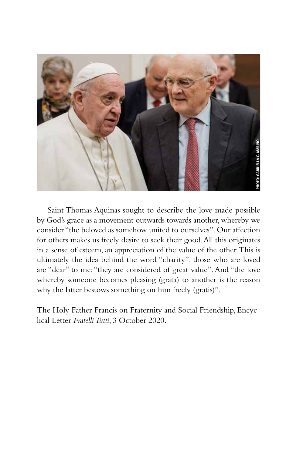

Saint Thomas Aquinas sought to describe the love made possible by God's grace as a movement outwards towards another, whereby we consider "the beloved as somehow united to ourselves". Our affection for others makes us freely desire to seek their good. All this originates in a sense of esteem, an appreciation of the value of the other. This is ultimately the idea behind the word "charity": those who are loved are "dear" to me; "they are considered of great value". And "the love whereby someone becomes pleasing (grata) to another is the reason why the latter bestows something on him freely (gratis)". Saint Thomas Aquinas sought to describe the love made possible<br>by God's grace as a movement outwards towards another, whereby we<br>consider "the beloved as somehow united to ourselves". Our affectior<br>for others makes us free

The Holy Father Francis on Fraternity and Social Friendship, Encyc-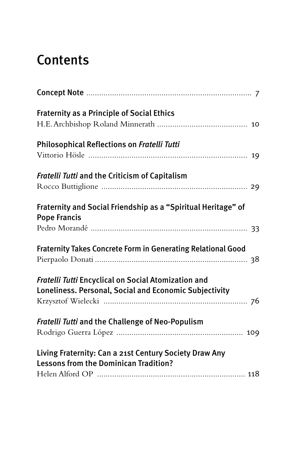# **Contents**

| <b>Fraternity as a Principle of Social Ethics</b>                                                             |  |
|---------------------------------------------------------------------------------------------------------------|--|
| Philosophical Reflections on Fratelli Tutti                                                                   |  |
| Fratelli Tutti and the Criticism of Capitalism                                                                |  |
| Fraternity and Social Friendship as a "Spiritual Heritage" of<br><b>Pope Francis</b>                          |  |
| Fraternity Takes Concrete Form in Generating Relational Good                                                  |  |
| Fratelli Tutti Encyclical on Social Atomization and<br>Loneliness. Personal, Social and Economic Subjectivity |  |
| Fratelli Tutti and the Challenge of Neo-Populism                                                              |  |
| Living Fraternity: Can a 21st Century Society Draw Any<br><b>Lessons from the Dominican Tradition?</b>        |  |
|                                                                                                               |  |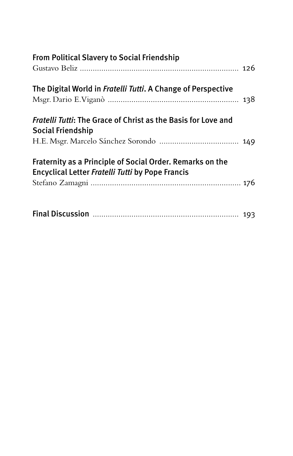| <b>From Political Slavery to Social Friendship</b>                                                            |  |
|---------------------------------------------------------------------------------------------------------------|--|
|                                                                                                               |  |
| The Digital World in Fratelli Tutti. A Change of Perspective                                                  |  |
| <i>Fratelli Tutti:</i> The Grace of Christ as the Basis for Love and<br>Social Friendship                     |  |
|                                                                                                               |  |
| Fraternity as a Principle of Social Order. Remarks on the<br>Encyclical Letter Fratelli Tutti by Pope Francis |  |
|                                                                                                               |  |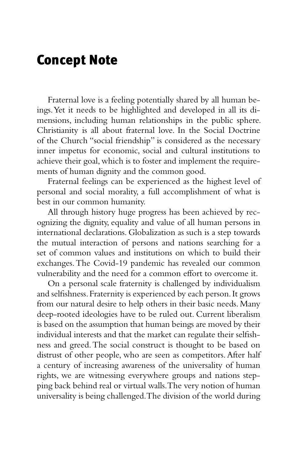### Concept Note

Fraternal love is a feeling potentially shared by all human beings. Yet it needs to be highlighted and developed in all its dimensions, including human relationships in the public sphere. Christianity is all about fraternal love. In the Social Doctrine of the Church "social friendship" is considered as the necessary inner impetus for economic, social and cultural institutions to achieve their goal, which is to foster and implement the requirements of human dignity and the common good.

Fraternal feelings can be experienced as the highest level of personal and social morality, a full accomplishment of what is best in our common humanity.

All through history huge progress has been achieved by recognizing the dignity, equality and value of all human persons in international declarations. Globalization as such is a step towards the mutual interaction of persons and nations searching for a set of common values and institutions on which to build their exchanges. The Covid-19 pandemic has revealed our common vulnerability and the need for a common effort to overcome it.

On a personal scale fraternity is challenged by individualism and selfishness. Fraternity is experienced by each person. It grows from our natural desire to help others in their basic needs. Many deep-rooted ideologies have to be ruled out. Current liberalism is based on the assumption that human beings are moved by their individual interests and that the market can regulate their selfishness and greed. The social construct is thought to be based on distrust of other people, who are seen as competitors. After half a century of increasing awareness of the universality of human rights, we are witnessing everywhere groups and nations stepping back behind real or virtual walls. The very notion of human universality is being challenged. The division of the world during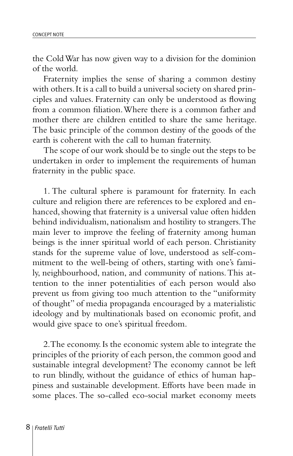the Cold War has now given way to a division for the dominion of the world.

Fraternity implies the sense of sharing a common destiny with others. It is a call to build a universal society on shared principles and values. Fraternity can only be understood as flowing from a common filiation. Where there is a common father and mother there are children entitled to share the same heritage. The basic principle of the common destiny of the goods of the earth is coherent with the call to human fraternity.

The scope of our work should be to single out the steps to be undertaken in order to implement the requirements of human fraternity in the public space.

1. The cultural sphere is paramount for fraternity. In each culture and religion there are references to be explored and enhanced, showing that fraternity is a universal value often hidden behind individualism, nationalism and hostility to strangers. The main lever to improve the feeling of fraternity among human beings is the inner spiritual world of each person. Christianity stands for the supreme value of love, understood as self-commitment to the well-being of others, starting with one's family, neighbourhood, nation, and community of nations. This attention to the inner potentialities of each person would also prevent us from giving too much attention to the "uniformity of thought" of media propaganda encouraged by a materialistic ideology and by multinationals based on economic profit, and would give space to one's spiritual freedom.

2. The economy. Is the economic system able to integrate the principles of the priority of each person, the common good and sustainable integral development? The economy cannot be left to run blindly, without the guidance of ethics of human happiness and sustainable development. Efforts have been made in some places. The so-called eco-social market economy meets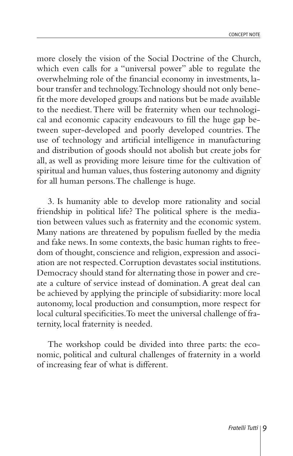more closely the vision of the Social Doctrine of the Church, which even calls for a "universal power" able to regulate the overwhelming role of the financial economy in investments, labour transfer and technology. Technology should not only benefit the more developed groups and nations but be made available to the neediest. There will be fraternity when our technological and economic capacity endeavours to fill the huge gap between super-developed and poorly developed countries. The use of technology and artificial intelligence in manufacturing and distribution of goods should not abolish but create jobs for all, as well as providing more leisure time for the cultivation of spiritual and human values, thus fostering autonomy and dignity for all human persons. The challenge is huge.

3. Is humanity able to develop more rationality and social friendship in political life? The political sphere is the mediation between values such as fraternity and the economic system. Many nations are threatened by populism fuelled by the media and fake news. In some contexts, the basic human rights to freedom of thought, conscience and religion, expression and association are not respected. Corruption devastates social institutions. Democracy should stand for alternating those in power and create a culture of service instead of domination. A great deal can be achieved by applying the principle of subsidiarity: more local autonomy, local production and consumption, more respect for local cultural specificities. To meet the universal challenge of fraternity, local fraternity is needed.

The workshop could be divided into three parts: the economic, political and cultural challenges of fraternity in a world of increasing fear of what is different.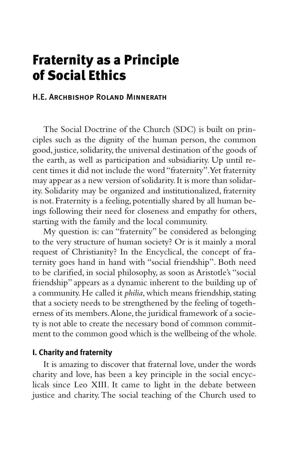# Fraternity as a Principle of Social Ethics

#### H.E. Archbishop Roland Minnerath

The Social Doctrine of the Church (SDC) is built on principles such as the dignity of the human person, the common good, justice, solidarity, the universal destination of the goods of the earth, as well as participation and subsidiarity. Up until recent times it did not include the word "fraternity". Yet fraternity may appear as a new version of solidarity. It is more than solidarity. Solidarity may be organized and institutionalized, fraternity is not. Fraternity is a feeling, potentially shared by all human beings following their need for closeness and empathy for others, starting with the family and the local community.

My question is: can "fraternity" be considered as belonging to the very structure of human society? Or is it mainly a moral request of Christianity? In the Encyclical, the concept of fraternity goes hand in hand with "social friendship". Both need to be clarified, in social philosophy, as soon as Aristotle's "social friendship" appears as a dynamic inherent to the building up of a community. He called it *philia*, which means friendship, stating that a society needs to be strengthened by the feeling of togetherness of its members. Alone, the juridical framework of a society is not able to create the necessary bond of common commitment to the common good which is the wellbeing of the whole.

#### **I. Charity and fraternity**

It is amazing to discover that fraternal love, under the words charity and love, has been a key principle in the social encyclicals since Leo XIII. It came to light in the debate between justice and charity. The social teaching of the Church used to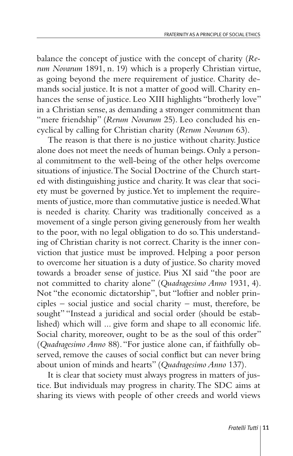balance the concept of justice with the concept of charity (*Rerum Novarum* 1891, n. 19) which is a properly Christian virtue, as going beyond the mere requirement of justice. Charity demands social justice. It is not a matter of good will. Charity enhances the sense of justice. Leo XIII highlights "brotherly love" in a Christian sense, as demanding a stronger commitment than "mere friendship" (*Rerum Novarum* 25). Leo concluded his encyclical by calling for Christian charity (*Rerum Novarum* 63).

The reason is that there is no justice without charity. Justice alone does not meet the needs of human beings. Only a personal commitment to the well-being of the other helps overcome situations of injustice. The Social Doctrine of the Church started with distinguishing justice and charity. It was clear that society must be governed by justice. Yet to implement the requirements of justice, more than commutative justice is needed. What is needed is charity. Charity was traditionally conceived as a movement of a single person giving generously from her wealth to the poor, with no legal obligation to do so. This understanding of Christian charity is not correct. Charity is the inner conviction that justice must be improved. Helping a poor person to overcome her situation is a duty of justice. So charity moved towards a broader sense of justice. Pius XI said "the poor are not committed to charity alone" (*Quadragesimo Anno* 1931, 4). Not "the economic dictatorship", but "loftier and nobler principles – social justice and social charity – must, therefore, be sought" "Instead a juridical and social order (should be established) which will ... give form and shape to all economic life. Social charity, moreover, ought to be as the soul of this order" (*Quadragesimo Anno* 88). "For justice alone can, if faithfully observed, remove the causes of social conflict but can never bring about union of minds and hearts" (*Quadragesimo Anno* 137).

It is clear that society must always progress in matters of justice. But individuals may progress in charity. The SDC aims at sharing its views with people of other creeds and world views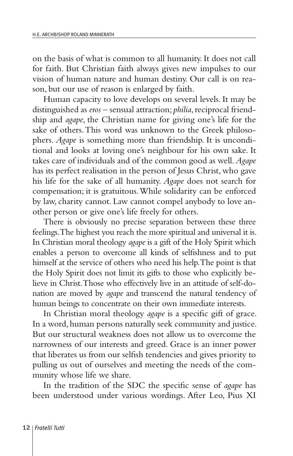on the basis of what is common to all humanity. It does not call for faith. But Christian faith always gives new impulses to our vision of human nature and human destiny. Our call is on reason, but our use of reason is enlarged by faith.

Human capacity to love develops on several levels. It may be distinguished as *eros* – sensual attraction; *philia*, reciprocal friendship and *agape*, the Christian name for giving one's life for the sake of others. This word was unknown to the Greek philosophers. *Agape* is something more than friendship. It is unconditional and looks at loving one's neighbour for his own sake. It takes care of individuals and of the common good as well. *Agape* has its perfect realisation in the person of Jesus Christ, who gave his life for the sake of all humanity. *Agape* does not search for compensation; it is gratuitous. While solidarity can be enforced by law, charity cannot. Law cannot compel anybody to love another person or give one's life freely for others.

There is obviously no precise separation between these three feelings. The highest you reach the more spiritual and universal it is. In Christian moral theology *agape* is a gift of the Holy Spirit which enables a person to overcome all kinds of selfishness and to put himself at the service of others who need his help. The point is that the Holy Spirit does not limit its gifts to those who explicitly believe in Christ. Those who effectively live in an attitude of self-donation are moved by *agape* and transcend the natural tendency of human beings to concentrate on their own immediate interests.

In Christian moral theology *agape* is a specific gift of grace. In a word, human persons naturally seek community and justice. But our structural weakness does not allow us to overcome the narrowness of our interests and greed. Grace is an inner power that liberates us from our selfish tendencies and gives priority to pulling us out of ourselves and meeting the needs of the community whose life we share.

In the tradition of the SDC the specific sense of *agape* has been understood under various wordings. After Leo, Pius XI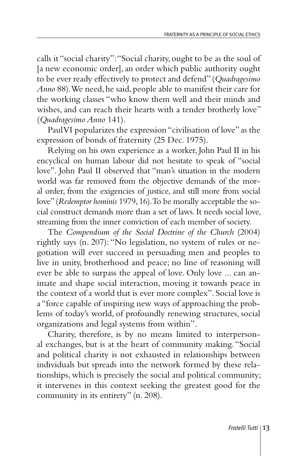calls it "social charity": "Social charity, ought to be as the soul of [a new economic order], an order which public authority ought to be ever ready effectively to protect and defend" (*Quadragesimo Anno* 88). We need, he said, people able to manifest their care for the working classes "who know them well and their minds and wishes, and can reach their hearts with a tender brotherly love" (*Quadragesimo Anno* 141).

Paul VI popularizes the expression "civilisation of love" as the expression of bonds of fraternity (25 Dec. 1975).

Relying on his own experience as a worker, John Paul II in his encyclical on human labour did not hesitate to speak of "social love". John Paul II observed that "man's situation in the modern world was far removed from the objective demands of the moral order, from the exigencies of justice, and still more from social love" (*Redemptor hominis* 1979, 16). To be morally acceptable the social construct demands more than a set of laws. It needs social love, streaming from the inner conviction of each member of society.

The *Compendium of the Social Doctrine of the Church* (2004) rightly says (n. 207): "No legislation, no system of rules or negotiation will ever succeed in persuading men and peoples to live in unity, brotherhood and peace; no line of reasoning will ever be able to surpass the appeal of love. Only love ... can animate and shape social interaction, moving it towards peace in the context of a world that is ever more complex". Social love is a "force capable of inspiring new ways of approaching the problems of today's world, of profoundly renewing structures, social organizations and legal systems from within".

Charity, therefore, is by no means limited to interpersonal exchanges, but is at the heart of community making. "Social and political charity is not exhausted in relationships between individuals but spreads into the network formed by these relationships, which is precisely the social and political community; it intervenes in this context seeking the greatest good for the community in its entirety" (n. 208).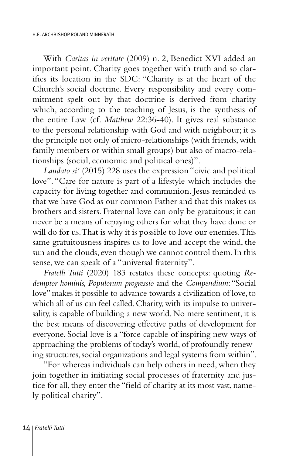With *Caritas in veritate* (2009) n. 2, Benedict XVI added an important point. Charity goes together with truth and so clarifies its location in the SDC: "Charity is at the heart of the Church's social doctrine. Every responsibility and every commitment spelt out by that doctrine is derived from charity which, according to the teaching of Jesus, is the synthesis of the entire Law (cf. *Matthew* 22:36-40). It gives real substance to the personal relationship with God and with neighbour; it is the principle not only of micro-relationships (with friends, with family members or within small groups) but also of macro-relationships (social, economic and political ones)".

*Laudato si'* (2015) 228 uses the expression "civic and political love". "Care for nature is part of a lifestyle which includes the capacity for living together and communion. Jesus reminded us that we have God as our common Father and that this makes us brothers and sisters. Fraternal love can only be gratuitous; it can never be a means of repaying others for what they have done or will do for us. That is why it is possible to love our enemies. This same gratuitousness inspires us to love and accept the wind, the sun and the clouds, even though we cannot control them. In this sense, we can speak of a "universal fraternity".

*Fratelli Tutti* (2020) 183 restates these concepts: quoting *Redemptor hominis, Populorum progressio* and the *Compendium*: "Social love" makes it possible to advance towards a civilization of love, to which all of us can feel called. Charity, with its impulse to universality, is capable of building a new world. No mere sentiment, it is the best means of discovering effective paths of development for everyone. Social love is a "force capable of inspiring new ways of approaching the problems of today's world, of profoundly renewing structures, social organizations and legal systems from within".

"For whereas individuals can help others in need, when they join together in initiating social processes of fraternity and justice for all, they enter the "field of charity at its most vast, namely political charity".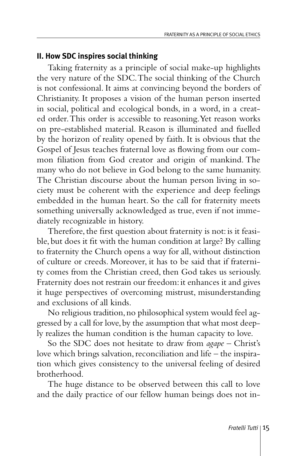#### **II. How SDC inspires social thinking**

Taking fraternity as a principle of social make-up highlights the very nature of the SDC. The social thinking of the Church is not confessional. It aims at convincing beyond the borders of Christianity. It proposes a vision of the human person inserted in social, political and ecological bonds, in a word, in a created order. This order is accessible to reasoning. Yet reason works on pre-established material. Reason is illuminated and fuelled by the horizon of reality opened by faith. It is obvious that the Gospel of Jesus teaches fraternal love as flowing from our common filiation from God creator and origin of mankind. The many who do not believe in God belong to the same humanity. The Christian discourse about the human person living in society must be coherent with the experience and deep feelings embedded in the human heart. So the call for fraternity meets something universally acknowledged as true, even if not immediately recognizable in history.

Therefore, the first question about fraternity is not: is it feasible, but does it fit with the human condition at large? By calling to fraternity the Church opens a way for all, without distinction of culture or creeds. Moreover, it has to be said that if fraternity comes from the Christian creed, then God takes us seriously. Fraternity does not restrain our freedom: it enhances it and gives it huge perspectives of overcoming mistrust, misunderstanding and exclusions of all kinds.

No religious tradition, no philosophical system would feel aggressed by a call for love, by the assumption that what most deeply realizes the human condition is the human capacity to love.

So the SDC does not hesitate to draw from *agape* – Christ's love which brings salvation, reconciliation and life – the inspiration which gives consistency to the universal feeling of desired brotherhood.

The huge distance to be observed between this call to love and the daily practice of our fellow human beings does not in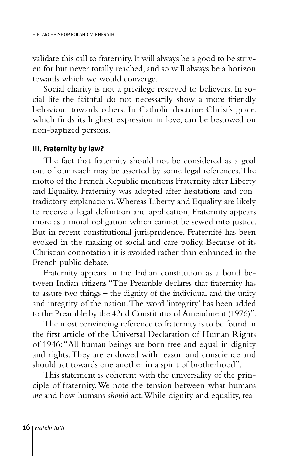validate this call to fraternity. It will always be a good to be striven for but never totally reached, and so will always be a horizon towards which we would converge.

Social charity is not a privilege reserved to believers. In social life the faithful do not necessarily show a more friendly behaviour towards others. In Catholic doctrine Christ's grace, which finds its highest expression in love, can be bestowed on non-baptized persons.

#### **III. Fraternity by law?**

The fact that fraternity should not be considered as a goal out of our reach may be asserted by some legal references. The motto of the French Republic mentions Fraternity after Liberty and Equality. Fraternity was adopted after hesitations and contradictory explanations. Whereas Liberty and Equality are likely to receive a legal definition and application, Fraternity appears more as a moral obligation which cannot be sewed into justice. But in recent constitutional jurisprudence, Fraternité has been evoked in the making of social and care policy. Because of its Christian connotation it is avoided rather than enhanced in the French public debate.

Fraternity appears in the Indian constitution as a bond between Indian citizens "The Preamble declares that fraternity has to assure two things – the dignity of the individual and the unity and integrity of the nation. The word 'integrity' has been added to the Preamble by the 42nd Constitutional Amendment (1976)".

The most convincing reference to fraternity is to be found in the first article of the Universal Declaration of Human Rights of 1946: "All human beings are born free and equal in dignity and rights. They are endowed with reason and conscience and should act towards one another in a spirit of brotherhood".

This statement is coherent with the universality of the principle of fraternity. We note the tension between what humans *are* and how humans *should* act. While dignity and equality, rea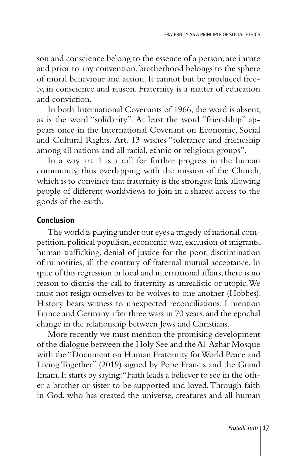son and conscience belong to the essence of a person, are innate and prior to any convention, brotherhood belongs to the sphere of moral behaviour and action. It cannot but be produced freely, in conscience and reason. Fraternity is a matter of education and conviction.

In both International Covenants of 1966, the word is absent, as is the word "solidarity". At least the word "friendship" appears once in the International Covenant on Economic, Social and Cultural Rights. Art. 13 wishes "tolerance and friendship among all nations and all racial, ethnic or religious groups".

In a way art. 1 is a call for further progress in the human community, thus overlapping with the mission of the Church, which is to convince that fraternity is the strongest link allowing people of different worldviews to join in a shared access to the goods of the earth.

#### **Conclusion**

The world is playing under our eyes a tragedy of national competition, political populism, economic war, exclusion of migrants, human trafficking, denial of justice for the poor, discrimination of minorities, all the contrary of fraternal mutual acceptance. In spite of this regression in local and international affairs, there is no reason to dismiss the call to fraternity as unrealistic or utopic. We must not resign ourselves to be wolves to one another (Hobbes). History bears witness to unexpected reconciliations. I mention France and Germany after three wars in 70 years, and the epochal change in the relationship between Jews and Christians.

More recently we must mention the promising development of the dialogue between the Holy See and the Al-Azhar Mosque with the "Document on Human Fraternity for World Peace and Living Together" (2019) signed by Pope Francis and the Grand Imam. It starts by saying: "Faith leads a believer to see in the other a brother or sister to be supported and loved. Through faith in God, who has created the universe, creatures and all human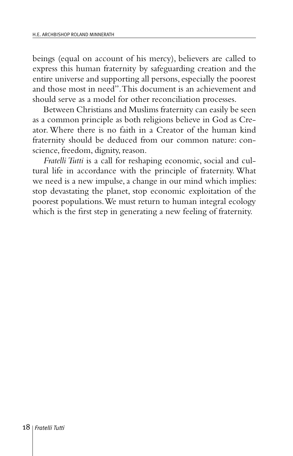beings (equal on account of his mercy), believers are called to express this human fraternity by safeguarding creation and the entire universe and supporting all persons, especially the poorest and those most in need". This document is an achievement and should serve as a model for other reconciliation processes.

Between Christians and Muslims fraternity can easily be seen as a common principle as both religions believe in God as Creator. Where there is no faith in a Creator of the human kind fraternity should be deduced from our common nature: conscience, freedom, dignity, reason.

*Fratelli Tutti* is a call for reshaping economic, social and cultural life in accordance with the principle of fraternity. What we need is a new impulse, a change in our mind which implies: stop devastating the planet, stop economic exploitation of the poorest populations. We must return to human integral ecology which is the first step in generating a new feeling of fraternity.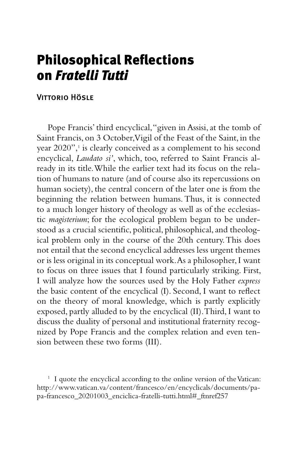## Philosophical Reflections on *Fratelli Tutti*

#### VITTORIO HÖSLE

Pope Francis' third encyclical, "given in Assisi, at the tomb of Saint Francis, on 3 October, Vigil of the Feast of the Saint, in the year 2020",<sup>1</sup> is clearly conceived as a complement to his second encyclical, *Laudato si'*, which, too, referred to Saint Francis already in its title. While the earlier text had its focus on the relation of humans to nature (and of course also its repercussions on human society), the central concern of the later one is from the beginning the relation between humans. Thus, it is connected to a much longer history of theology as well as of the ecclesiastic *magisterium*; for the ecological problem began to be understood as a crucial scientific, political, philosophical, and theological problem only in the course of the 20th century. This does not entail that the second encyclical addresses less urgent themes or is less original in its conceptual work. As a philosopher, I want to focus on three issues that I found particularly striking. First, I will analyze how the sources used by the Holy Father *express*  the basic content of the encyclical (I). Second, I want to reflect on the theory of moral knowledge, which is partly explicitly exposed, partly alluded to by the encyclical (II). Third, I want to discuss the duality of personal and institutional fraternity recognized by Pope Francis and the complex relation and even tension between these two forms (III).

<sup>1</sup> I quote the encyclical according to the online version of the Vatican: http://www.vatican.va/content/francesco/en/encyclicals/documents/papa-francesco\_20201003\_enciclica-fratelli-tutti.html#\_ftnref257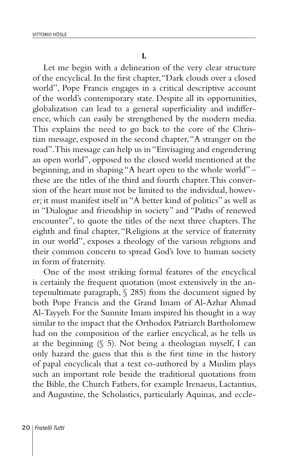Let me begin with a delineation of the very clear structure of the encyclical. In the first chapter, "Dark clouds over a closed world", Pope Francis engages in a critical descriptive account of the world's contemporary state. Despite all its opportunities, globalization can lead to a general superficiality and indifference, which can easily be strengthened by the modern media. This explains the need to go back to the core of the Christian message, exposed in the second chapter, "A stranger on the road". This message can help us in "Envisaging and engendering an open world", opposed to the closed world mentioned at the beginning, and in shaping "A heart open to the whole world" – these are the titles of the third and fourth chapter. This conversion of the heart must not be limited to the individual, however; it must manifest itself in "A better kind of politics" as well as in "Dialogue and friendship in society" and "Paths of renewed encounter", to quote the titles of the next three chapters. The eighth and final chapter, "Religions at the service of fraternity in our world", exposes a theology of the various religions and their common concern to spread God's love to human society in form of fraternity.

One of the most striking formal features of the encyclical is certainly the frequent quotation (most extensively in the antepenultimate paragraph, § 285) from the document signed by both Pope Francis and the Grand Imam of Al-Azhar Ahmad Al-Tayyeb. For the Sunnite Imam inspired his thought in a way similar to the impact that the Orthodox Patriarch Bartholomew had on the composition of the earlier encyclical, as he tells us at the beginning (§ 5). Not being a theologian myself, I can only hazard the guess that this is the first time in the history of papal encyclicals that a text co-authored by a Muslim plays such an important role beside the traditional quotations from the Bible, the Church Fathers, for example Irenaeus, Lactantius, and Augustine, the Scholastics, particularly Aquinas, and eccle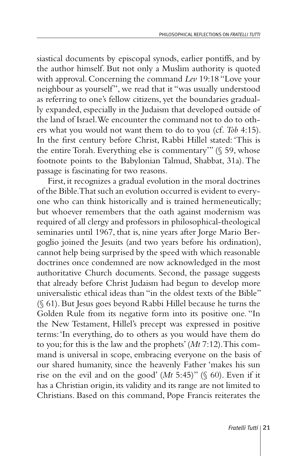siastical documents by episcopal synods, earlier pontiffs, and by the author himself. But not only a Muslim authority is quoted with approval. Concerning the command *Lev* 19:18 "Love your neighbour as yourself", we read that it "was usually understood as referring to one's fellow citizens, yet the boundaries gradually expanded, especially in the Judaism that developed outside of the land of Israel. We encounter the command not to do to others what you would not want them to do to you (cf. *Tob* 4:15). In the first century before Christ, Rabbi Hillel stated: 'This is the entire Torah. Everything else is commentary'" (§ 59, whose footnote points to the Babylonian Talmud, Shabbat, 31a). The passage is fascinating for two reasons.

First, it recognizes a gradual evolution in the moral doctrines of the Bible. That such an evolution occurred is evident to everyone who can think historically and is trained hermeneutically; but whoever remembers that the oath against modernism was required of all clergy and professors in philosophical-theological seminaries until 1967, that is, nine years after Jorge Mario Bergoglio joined the Jesuits (and two years before his ordination), cannot help being surprised by the speed with which reasonable doctrines once condemned are now acknowledged in the most authoritative Church documents. Second, the passage suggests that already before Christ Judaism had begun to develop more universalistic ethical ideas than "in the oldest texts of the Bible" (§ 61). But Jesus goes beyond Rabbi Hillel because he turns the Golden Rule from its negative form into its positive one. "In the New Testament, Hillel's precept was expressed in positive terms: 'In everything, do to others as you would have them do to you; for this is the law and the prophets' (*Mt* 7:12). This command is universal in scope, embracing everyone on the basis of our shared humanity, since the heavenly Father 'makes his sun rise on the evil and on the good'  $(Mt\ 5:45)$ " ( $\%$  60). Even if it has a Christian origin, its validity and its range are not limited to Christians. Based on this command, Pope Francis reiterates the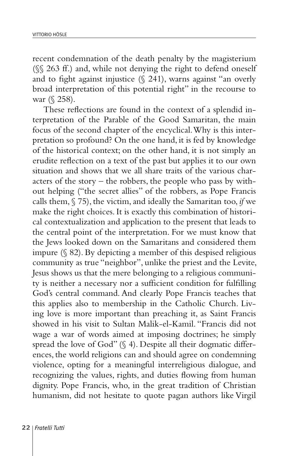recent condemnation of the death penalty by the magisterium (§§ 263 ff.) and, while not denying the right to defend oneself and to fight against injustice  $(\S$  241), warns against "an overly broad interpretation of this potential right" in the recourse to war (§ 258).

These reflections are found in the context of a splendid interpretation of the Parable of the Good Samaritan, the main focus of the second chapter of the encyclical. Why is this interpretation so profound? On the one hand, it is fed by knowledge of the historical context; on the other hand, it is not simply an erudite reflection on a text of the past but applies it to our own situation and shows that we all share traits of the various characters of the story – the robbers, the people who pass by without helping ("the secret allies" of the robbers, as Pope Francis calls them, § 75), the victim, and ideally the Samaritan too, *if* we make the right choices. It is exactly this combination of historical contextualization and application to the present that leads to the central point of the interpretation. For we must know that the Jews looked down on the Samaritans and considered them impure (§ 82). By depicting a member of this despised religious community as true "neighbor", unlike the priest and the Levite, Jesus shows us that the mere belonging to a religious community is neither a necessary nor a sufficient condition for fulfilling God's central command. And clearly Pope Francis teaches that this applies also to membership in the Catholic Church. Living love is more important than preaching it, as Saint Francis showed in his visit to Sultan Malik-el-Kamil. "Francis did not wage a war of words aimed at imposing doctrines; he simply spread the love of God" (§ 4). Despite all their dogmatic differences, the world religions can and should agree on condemning violence, opting for a meaningful interreligious dialogue, and recognizing the values, rights, and duties flowing from human dignity. Pope Francis, who, in the great tradition of Christian humanism, did not hesitate to quote pagan authors like Virgil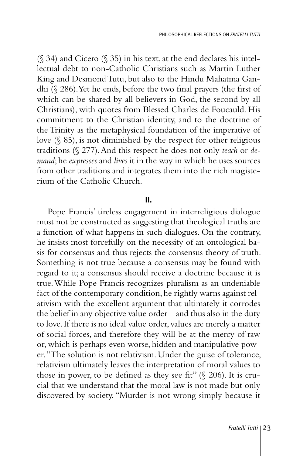(§ 34) and Cicero (§ 35) in his text, at the end declares his intellectual debt to non-Catholic Christians such as Martin Luther King and Desmond Tutu, but also to the Hindu Mahatma Gandhi (§ 286). Yet he ends, before the two final prayers (the first of which can be shared by all believers in God, the second by all Christians), with quotes from Blessed Charles de Foucauld. His commitment to the Christian identity, and to the doctrine of the Trinity as the metaphysical foundation of the imperative of love (§ 85), is not diminished by the respect for other religious traditions (§ 277). And this respect he does not only *teach* or *demand*; he *expresses* and *lives* it in the way in which he uses sources from other traditions and integrates them into the rich magisterium of the Catholic Church.

#### **II.**

Pope Francis' tireless engagement in interreligious dialogue must not be constructed as suggesting that theological truths are a function of what happens in such dialogues. On the contrary, he insists most forcefully on the necessity of an ontological basis for consensus and thus rejects the consensus theory of truth. Something is not true because a consensus may be found with regard to it; a consensus should receive a doctrine because it is true. While Pope Francis recognizes pluralism as an undeniable fact of the contemporary condition, he rightly warns against relativism with the excellent argument that ultimately it corrodes the belief in any objective value order – and thus also in the duty to love. If there is no ideal value order, values are merely a matter of social forces, and therefore they will be at the mercy of raw or, which is perhaps even worse, hidden and manipulative power. "The solution is not relativism. Under the guise of tolerance, relativism ultimately leaves the interpretation of moral values to those in power, to be defined as they see fit"  $(\S 206)$ . It is crucial that we understand that the moral law is not made but only discovered by society. "Murder is not wrong simply because it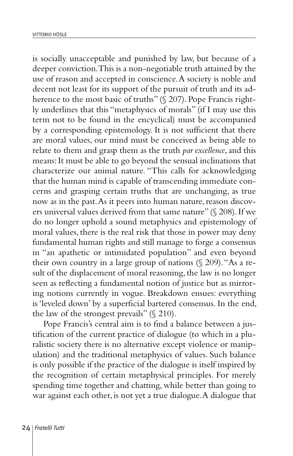is socially unacceptable and punished by law, but because of a deeper conviction. This is a non-negotiable truth attained by the use of reason and accepted in conscience. A society is noble and decent not least for its support of the pursuit of truth and its adherence to the most basic of truths" (§ 207). Pope Francis rightly underlines that this "metaphysics of morals" (if I may use this term not to be found in the encyclical) must be accompanied by a corresponding epistemology. It is not sufficient that there are moral values, our mind must be conceived as being able to relate to them and grasp them as the truth *par excellence*, and this means: It must be able to go beyond the sensual inclinations that characterize our animal nature. "This calls for acknowledging that the human mind is capable of transcending immediate concerns and grasping certain truths that are unchanging, as true now as in the past. As it peers into human nature, reason discovers universal values derived from that same nature" (§ 208). If we do no longer uphold a sound metaphysics and epistemology of moral values, there is the real risk that those in power may deny fundamental human rights and still manage to forge a consensus in "an apathetic or intimidated population" and even beyond their own country in a large group of nations (§ 209). "As a result of the displacement of moral reasoning, the law is no longer seen as reflecting a fundamental notion of justice but as mirroring notions currently in vogue. Breakdown ensues: everything is 'leveled down' by a superficial bartered consensus. In the end, the law of the strongest prevails" (§ 210).

Pope Francis's central aim is to find a balance between a justification of the current practice of dialogue (to which in a pluralistic society there is no alternative except violence or manipulation) and the traditional metaphysics of values. Such balance is only possible if the practice of the dialogue is itself inspired by the recognition of certain metaphysical principles. For merely spending time together and chatting, while better than going to war against each other, is not yet a true dialogue. A dialogue that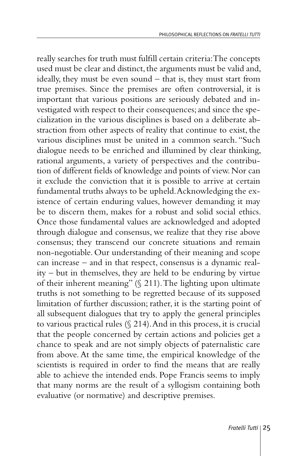really searches for truth must fulfill certain criteria: The concepts used must be clear and distinct, the arguments must be valid and, ideally, they must be even sound – that is, they must start from true premises. Since the premises are often controversial, it is important that various positions are seriously debated and investigated with respect to their consequences; and since the specialization in the various disciplines is based on a deliberate abstraction from other aspects of reality that continue to exist, the various disciplines must be united in a common search. "Such dialogue needs to be enriched and illumined by clear thinking, rational arguments, a variety of perspectives and the contribution of different fields of knowledge and points of view. Nor can it exclude the conviction that it is possible to arrive at certain fundamental truths always to be upheld. Acknowledging the existence of certain enduring values, however demanding it may be to discern them, makes for a robust and solid social ethics. Once those fundamental values are acknowledged and adopted through dialogue and consensus, we realize that they rise above consensus; they transcend our concrete situations and remain non-negotiable. Our understanding of their meaning and scope can increase – and in that respect, consensus is a dynamic reality – but in themselves, they are held to be enduring by virtue of their inherent meaning" (§ 211). The lighting upon ultimate truths is not something to be regretted because of its supposed limitation of further discussion; rather, it is the starting point of all subsequent dialogues that try to apply the general principles to various practical rules (§ 214). And in this process, it is crucial that the people concerned by certain actions and policies get a chance to speak and are not simply objects of paternalistic care from above. At the same time, the empirical knowledge of the scientists is required in order to find the means that are really able to achieve the intended ends. Pope Francis seems to imply that many norms are the result of a syllogism containing both evaluative (or normative) and descriptive premises.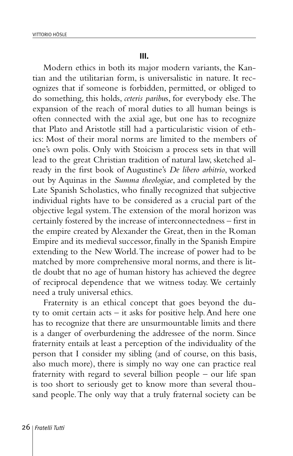#### **III.**

Modern ethics in both its major modern variants, the Kantian and the utilitarian form, is universalistic in nature. It recognizes that if someone is forbidden, permitted, or obliged to do something, this holds, *ceteris paribu*s, for everybody else. The expansion of the reach of moral duties to all human beings is often connected with the axial age, but one has to recognize that Plato and Aristotle still had a particularistic vision of ethics: Most of their moral norms are limited to the members of one's own polis. Only with Stoicism a process sets in that will lead to the great Christian tradition of natural law, sketched already in the first book of Augustine's *De libero arbitrio*, worked out by Aquinas in the *Summa theologiae*, and completed by the Late Spanish Scholastics, who finally recognized that subjective individual rights have to be considered as a crucial part of the objective legal system. The extension of the moral horizon was certainly fostered by the increase of interconnectedness – first in the empire created by Alexander the Great, then in the Roman Empire and its medieval successor, finally in the Spanish Empire extending to the New World. The increase of power had to be matched by more comprehensive moral norms, and there is little doubt that no age of human history has achieved the degree of reciprocal dependence that we witness today. We certainly need a truly universal ethics.

Fraternity is an ethical concept that goes beyond the duty to omit certain acts – it asks for positive help. And here one has to recognize that there are unsurmountable limits and there is a danger of overburdening the addressee of the norm. Since fraternity entails at least a perception of the individuality of the person that I consider my sibling (and of course, on this basis, also much more), there is simply no way one can practice real fraternity with regard to several billion people – our life span is too short to seriously get to know more than several thousand people. The only way that a truly fraternal society can be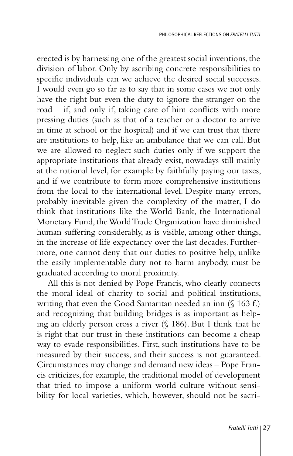erected is by harnessing one of the greatest social inventions, the division of labor. Only by ascribing concrete responsibilities to specific individuals can we achieve the desired social successes. I would even go so far as to say that in some cases we not only have the right but even the duty to ignore the stranger on the road – if, and only if, taking care of him conflicts with more pressing duties (such as that of a teacher or a doctor to arrive in time at school or the hospital) and if we can trust that there are institutions to help, like an ambulance that we can call. But we are allowed to neglect such duties only if we support the appropriate institutions that already exist, nowadays still mainly at the national level, for example by faithfully paying our taxes, and if we contribute to form more comprehensive institutions from the local to the international level. Despite many errors, probably inevitable given the complexity of the matter, I do think that institutions like the World Bank, the International Monetary Fund, the World Trade Organization have diminished human suffering considerably, as is visible, among other things, in the increase of life expectancy over the last decades. Furthermore, one cannot deny that our duties to positive help, unlike the easily implementable duty not to harm anybody, must be graduated according to moral proximity.

All this is not denied by Pope Francis, who clearly connects the moral ideal of charity to social and political institutions, writing that even the Good Samaritan needed an inn (§ 163 f.) and recognizing that building bridges is as important as helping an elderly person cross a river (§ 186). But I think that he is right that our trust in these institutions can become a cheap way to evade responsibilities. First, such institutions have to be measured by their success, and their success is not guaranteed. Circumstances may change and demand new ideas – Pope Francis criticizes, for example, the traditional model of development that tried to impose a uniform world culture without sensibility for local varieties, which, however, should not be sacri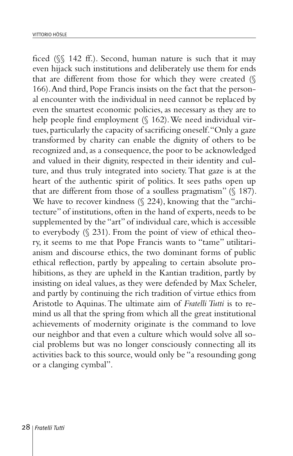ficed (§§ 142 ff.). Second, human nature is such that it may even hijack such institutions and deliberately use them for ends that are different from those for which they were created (§ 166). And third, Pope Francis insists on the fact that the personal encounter with the individual in need cannot be replaced by even the smartest economic policies, as necessary as they are to help people find employment (§ 162). We need individual virtues, particularly the capacity of sacrificing oneself. "Only a gaze transformed by charity can enable the dignity of others to be recognized and, as a consequence, the poor to be acknowledged and valued in their dignity, respected in their identity and culture, and thus truly integrated into society. That gaze is at the heart of the authentic spirit of politics. It sees paths open up that are different from those of a soulless pragmatism" (§ 187). We have to recover kindness (§ 224), knowing that the "architecture" of institutions, often in the hand of experts, needs to be supplemented by the "art" of individual care, which is accessible to everybody (§ 231). From the point of view of ethical theory, it seems to me that Pope Francis wants to "tame" utilitarianism and discourse ethics, the two dominant forms of public ethical reflection, partly by appealing to certain absolute prohibitions, as they are upheld in the Kantian tradition, partly by insisting on ideal values, as they were defended by Max Scheler, and partly by continuing the rich tradition of virtue ethics from Aristotle to Aquinas. The ultimate aim of *Fratelli Tutti* is to remind us all that the spring from which all the great institutional achievements of modernity originate is the command to love our neighbor and that even a culture which would solve all social problems but was no longer consciously connecting all its activities back to this source, would only be "a resounding gong or a clanging cymbal".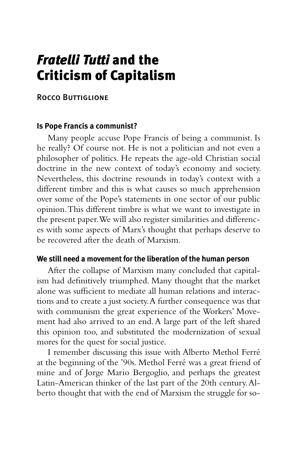# *Fratelli Tutti* and the Criticism of Capitalism

#### Rocco Buttiglione

#### **Is Pope Francis a communist?**

Many people accuse Pope Francis of being a communist. Is he really? Of course not. He is not a politician and not even a philosopher of politics. He repeats the age-old Christian social doctrine in the new context of today's economy and society. Nevertheless, this doctrine resounds in today's context with a different timbre and this is what causes so much apprehension over some of the Pope's statements in one sector of our public opinion. This different timbre is what we want to investigate in the present paper. We will also register similarities and differences with some aspects of Marx's thought that perhaps deserve to be recovered after the death of Marxism.

#### **We still need a movement for the liberation of the human person**

After the collapse of Marxism many concluded that capitalism had definitively triumphed. Many thought that the market alone was sufficient to mediate all human relations and interactions and to create a just society. A further consequence was that with communism the great experience of the Workers' Movement had also arrived to an end. A large part of the left shared this opinion too, and substituted the modernization of sexual mores for the quest for social justice.

I remember discussing this issue with Alberto Methol Ferré at the beginning of the '90s. Methol Ferré was a great friend of mine and of Jorge Mario Bergoglio, and perhaps the greatest Latin-American thinker of the last part of the 20th century. Alberto thought that with the end of Marxism the struggle for so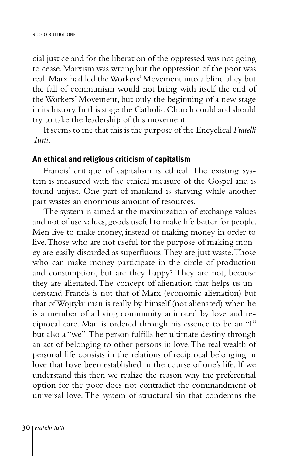cial justice and for the liberation of the oppressed was not going to cease. Marxism was wrong but the oppression of the poor was real. Marx had led the Workers' Movement into a blind alley but the fall of communism would not bring with itself the end of the Workers' Movement, but only the beginning of a new stage in its history. In this stage the Catholic Church could and should try to take the leadership of this movement.

It seems to me that this is the purpose of the Encyclical *Fratelli Tutti*.

#### **An ethical and religious criticism of capitalism**

Francis' critique of capitalism is ethical. The existing system is measured with the ethical measure of the Gospel and is found unjust. One part of mankind is starving while another part wastes an enormous amount of resources.

The system is aimed at the maximization of exchange values and not of use values, goods useful to make life better for people. Men live to make money, instead of making money in order to live. Those who are not useful for the purpose of making money are easily discarded as superfluous. They are just waste. Those who can make money participate in the circle of production and consumption, but are they happy? They are not, because they are alienated. The concept of alienation that helps us understand Francis is not that of Marx (economic alienation) but that of Wojtyła: man is really by himself (not alienated) when he is a member of a living community animated by love and reciprocal care. Man is ordered through his essence to be an "I" but also a "we". The person fulfills her ultimate destiny through an act of belonging to other persons in love. The real wealth of personal life consists in the relations of reciprocal belonging in love that have been established in the course of one's life. If we understand this then we realize the reason why the preferential option for the poor does not contradict the commandment of universal love. The system of structural sin that condemns the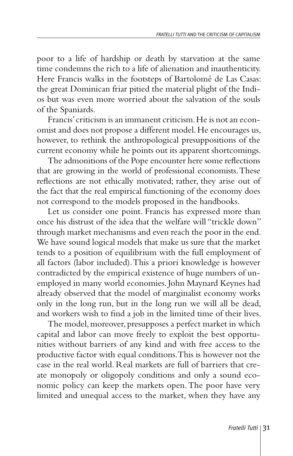poor to a life of hardship or death by starvation at the same time condemns the rich to a life of alienation and inauthenticity. Here Francis walks in the footsteps of Bartolomé de Las Casas: the great Dominican friar pitied the material plight of the Indios but was even more worried about the salvation of the souls of the Spaniards.

Francis' criticism is an immanent criticism. He is not an economist and does not propose a different model. He encourages us, however, to rethink the anthropological presuppositions of the current economy while he points out its apparent shortcomings.

The admonitions of the Pope encounter here some reflections that are growing in the world of professional economists. These reflections are not ethically motivated; rather, they arise out of the fact that the real empirical functioning of the economy does not correspond to the models proposed in the handbooks.

Let us consider one point. Francis has expressed more than once his distrust of the idea that the welfare will "trickle down" through market mechanisms and even reach the poor in the end. We have sound logical models that make us sure that the market tends to a position of equilibrium with the full employment of all factors (labor included). This a priori knowledge is however contradicted by the empirical existence of huge numbers of unemployed in many world economies. John Maynard Keynes had already observed that the model of marginalist economy works only in the long run, but in the long run we will all be dead, and workers wish to find a job in the limited time of their lives.

The model, moreover, presupposes a perfect market in which capital and labor can move freely to exploit the best opportunities without barriers of any kind and with free access to the productive factor with equal conditions. This is however not the case in the real world. Real markets are full of barriers that create monopoly or oligopoly conditions and only a sound economic policy can keep the markets open. The poor have very limited and unequal access to the market, when they have any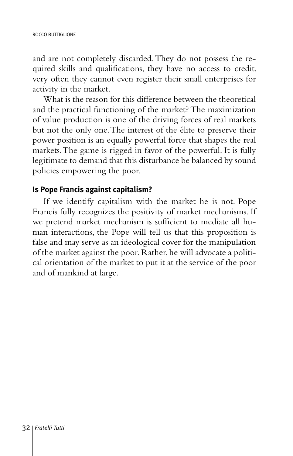and are not completely discarded. They do not possess the required skills and qualifications, they have no access to credit, very often they cannot even register their small enterprises for activity in the market.

What is the reason for this difference between the theoretical and the practical functioning of the market? The maximization of value production is one of the driving forces of real markets but not the only one. The interest of the élite to preserve their power position is an equally powerful force that shapes the real markets. The game is rigged in favor of the powerful. It is fully legitimate to demand that this disturbance be balanced by sound policies empowering the poor.

#### **Is Pope Francis against capitalism?**

If we identify capitalism with the market he is not. Pope Francis fully recognizes the positivity of market mechanisms. If we pretend market mechanism is sufficient to mediate all human interactions, the Pope will tell us that this proposition is false and may serve as an ideological cover for the manipulation of the market against the poor. Rather, he will advocate a political orientation of the market to put it at the service of the poor and of mankind at large.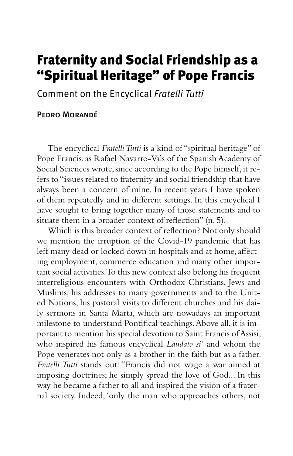# Fraternity and Social Friendship as a "Spiritual Heritage" of Pope Francis

Comment on the Encyclical *Fratelli Tutti*

#### Pedro Morandé

The encyclical *Fratelli Tutti* is a kind of "spiritual heritage" of Pope Francis, as Rafael Navarro-Vals of the Spanish Academy of Social Sciences wrote, since according to the Pope himself, it refers to "issues related to fraternity and social friendship that have always been a concern of mine. In recent years I have spoken of them repeatedly and in different settings. In this encyclical I have sought to bring together many of those statements and to situate them in a broader context of reflection" (n. 5).

Which is this broader context of reflection? Not only should we mention the irruption of the Covid-19 pandemic that has left many dead or locked down in hospitals and at home, affecting employment, commerce education and many other important social activities. To this new context also belong his frequent interreligious encounters with Orthodox Christians, Jews and Muslims, his addresses to many governments and to the United Nations, his pastoral visits to different churches and his daily sermons in Santa Marta, which are nowadays an important milestone to understand Pontifical teachings. Above all, it is important to mention his special devotion to Saint Francis of Assisi, who inspired his famous encyclical *Laudato si'* and whom the Pope venerates not only as a brother in the faith but as a father. *Fratelli Tutti* stands out: "Francis did not wage a war aimed at imposing doctrines; he simply spread the love of God... In this way he became a father to all and inspired the vision of a fraternal society. Indeed, 'only the man who approaches others, not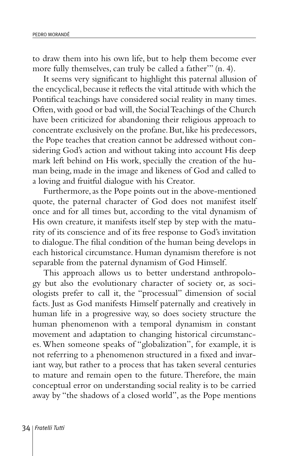to draw them into his own life, but to help them become ever more fully themselves, can truly be called a father'" (n. 4).

It seems very significant to highlight this paternal allusion of the encyclical, because it reflects the vital attitude with which the Pontifical teachings have considered social reality in many times. Often, with good or bad will, the Social Teachings of the Church have been criticized for abandoning their religious approach to concentrate exclusively on the profane. But, like his predecessors, the Pope teaches that creation cannot be addressed without considering God's action and without taking into account His deep mark left behind on His work, specially the creation of the human being, made in the image and likeness of God and called to a loving and fruitful dialogue with his Creator.

Furthermore, as the Pope points out in the above-mentioned quote, the paternal character of God does not manifest itself once and for all times but, according to the vital dynamism of His own creature, it manifests itself step by step with the maturity of its conscience and of its free response to God's invitation to dialogue. The filial condition of the human being develops in each historical circumstance. Human dynamism therefore is not separable from the paternal dynamism of God Himself.

This approach allows us to better understand anthropology but also the evolutionary character of society or, as sociologists prefer to call it, the "processual" dimension of social facts. Just as God manifests Himself paternally and creatively in human life in a progressive way, so does society structure the human phenomenon with a temporal dynamism in constant movement and adaptation to changing historical circumstances. When someone speaks of "globalization", for example, it is not referring to a phenomenon structured in a fixed and invariant way, but rather to a process that has taken several centuries to mature and remain open to the future. Therefore, the main conceptual error on understanding social reality is to be carried away by "the shadows of a closed world", as the Pope mentions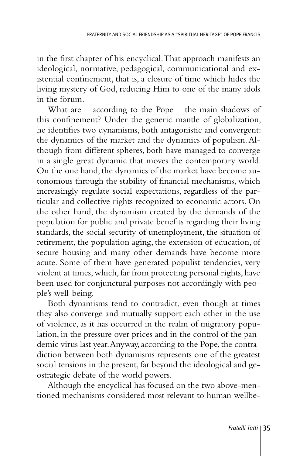in the first chapter of his encyclical. That approach manifests an ideological, normative, pedagogical, communicational and existential confinement, that is, a closure of time which hides the living mystery of God, reducing Him to one of the many idols in the forum.

What are – according to the Pope – the main shadows of this confinement? Under the generic mantle of globalization, he identifies two dynamisms, both antagonistic and convergent: the dynamics of the market and the dynamics of populism. Although from different spheres, both have managed to converge in a single great dynamic that moves the contemporary world. On the one hand, the dynamics of the market have become autonomous through the stability of financial mechanisms, which increasingly regulate social expectations, regardless of the particular and collective rights recognized to economic actors. On the other hand, the dynamism created by the demands of the population for public and private benefits regarding their living standards, the social security of unemployment, the situation of retirement, the population aging, the extension of education, of secure housing and many other demands have become more acute. Some of them have generated populist tendencies, very violent at times, which, far from protecting personal rights, have been used for conjunctural purposes not accordingly with people's well-being.

Both dynamisms tend to contradict, even though at times they also converge and mutually support each other in the use of violence, as it has occurred in the realm of migratory population, in the pressure over prices and in the control of the pandemic virus last year. Anyway, according to the Pope, the contradiction between both dynamisms represents one of the greatest social tensions in the present, far beyond the ideological and geostrategic debate of the world powers.

Although the encyclical has focused on the two above-mentioned mechanisms considered most relevant to human wellbe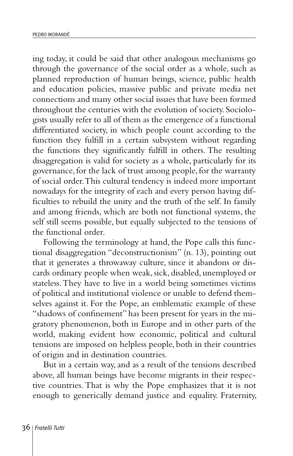ing today, it could be said that other analogous mechanisms go through the governance of the social order as a whole, such as planned reproduction of human beings, science, public health and education policies, massive public and private media net connections and many other social issues that have been formed throughout the centuries with the evolution of society. Sociologists usually refer to all of them as the emergence of a functional differentiated society, in which people count according to the function they fulfill in a certain subsystem without regarding the functions they significantly fulfill in others. The resulting disaggregation is valid for society as a whole, particularly for its governance, for the lack of trust among people, for the warranty of social order. This cultural tendency is indeed more important nowadays for the integrity of each and every person having difficulties to rebuild the unity and the truth of the self. In family and among friends, which are both not functional systems, the self still seems possible, but equally subjected to the tensions of the functional order.

Following the terminology at hand, the Pope calls this functional disaggregation "deconstructionism" (n. 13), pointing out that it generates a throwaway culture, since it abandons or discards ordinary people when weak, sick, disabled, unemployed or stateless. They have to live in a world being sometimes victims of political and institutional violence or unable to defend themselves against it. For the Pope, an emblematic example of these "shadows of confinement" has been present for years in the migratory phenomenon, both in Europe and in other parts of the world, making evident how economic, political and cultural tensions are imposed on helpless people, both in their countries of origin and in destination countries.

But in a certain way, and as a result of the tensions described above, all human beings have become migrants in their respective countries. That is why the Pope emphasizes that it is not enough to generically demand justice and equality. Fraternity,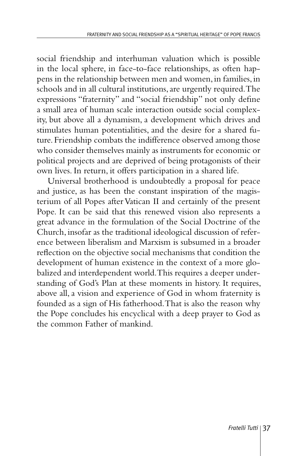social friendship and interhuman valuation which is possible in the local sphere, in face-to-face relationships, as often happens in the relationship between men and women, in families, in schools and in all cultural institutions, are urgently required. The expressions "fraternity" and "social friendship" not only define a small area of human scale interaction outside social complexity, but above all a dynamism, a development which drives and stimulates human potentialities, and the desire for a shared future. Friendship combats the indifference observed among those who consider themselves mainly as instruments for economic or political projects and are deprived of being protagonists of their own lives. In return, it offers participation in a shared life.

Universal brotherhood is undoubtedly a proposal for peace and justice, as has been the constant inspiration of the magisterium of all Popes after Vatican II and certainly of the present Pope. It can be said that this renewed vision also represents a great advance in the formulation of the Social Doctrine of the Church, insofar as the traditional ideological discussion of reference between liberalism and Marxism is subsumed in a broader reflection on the objective social mechanisms that condition the development of human existence in the context of a more globalized and interdependent world. This requires a deeper understanding of God's Plan at these moments in history. It requires, above all, a vision and experience of God in whom fraternity is founded as a sign of His fatherhood. That is also the reason why the Pope concludes his encyclical with a deep prayer to God as the common Father of mankind.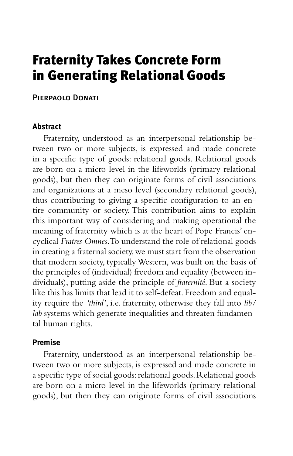# Fraternity Takes Concrete Form in Generating Relational Goods

#### Pierpaolo Donati

#### **Abstract**

Fraternity, understood as an interpersonal relationship between two or more subjects, is expressed and made concrete in a specific type of goods: relational goods. Relational goods are born on a micro level in the lifeworlds (primary relational goods), but then they can originate forms of civil associations and organizations at a meso level (secondary relational goods), thus contributing to giving a specific configuration to an entire community or society. This contribution aims to explain this important way of considering and making operational the meaning of fraternity which is at the heart of Pope Francis' encyclical *Fratres Omnes*. To understand the role of relational goods in creating a fraternal society, we must start from the observation that modern society, typically Western, was built on the basis of the principles of (individual) freedom and equality (between individuals), putting aside the principle of *fraternité*. But a society like this has limits that lead it to self-defeat. Freedom and equality require the *'third'*, i.e. fraternity, otherwise they fall into *lib/ lab* systems which generate inequalities and threaten fundamental human rights.

## **Premise**

Fraternity, understood as an interpersonal relationship between two or more subjects, is expressed and made concrete in a specific type of social goods: relational goods. Relational goods are born on a micro level in the lifeworlds (primary relational goods), but then they can originate forms of civil associations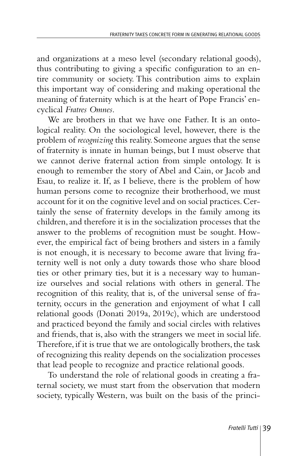and organizations at a meso level (secondary relational goods), thus contributing to giving a specific configuration to an entire community or society. This contribution aims to explain this important way of considering and making operational the meaning of fraternity which is at the heart of Pope Francis' encyclical *Fratres Omnes*.

We are brothers in that we have one Father. It is an ontological reality. On the sociological level, however, there is the problem of *recognizing* this reality. Someone argues that the sense of fraternity is innate in human beings, but I must observe that we cannot derive fraternal action from simple ontology. It is enough to remember the story of Abel and Cain, or Jacob and Esau, to realize it. If, as I believe, there is the problem of how human persons come to recognize their brotherhood, we must account for it on the cognitive level and on social practices. Certainly the sense of fraternity develops in the family among its children, and therefore it is in the socialization processes that the answer to the problems of recognition must be sought. However, the empirical fact of being brothers and sisters in a family is not enough, it is necessary to become aware that living fraternity well is not only a duty towards those who share blood ties or other primary ties, but it is a necessary way to humanize ourselves and social relations with others in general. The recognition of this reality, that is, of the universal sense of fraternity, occurs in the generation and enjoyment of what I call relational goods (Donati 2019a, 2019c), which are understood and practiced beyond the family and social circles with relatives and friends, that is, also with the strangers we meet in social life. Therefore, if it is true that we are ontologically brothers, the task of recognizing this reality depends on the socialization processes that lead people to recognize and practice relational goods.

To understand the role of relational goods in creating a fraternal society, we must start from the observation that modern society, typically Western, was built on the basis of the princi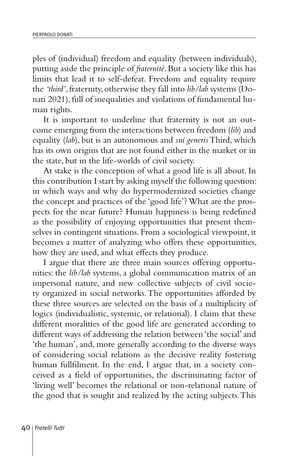ples of (individual) freedom and equality (between individuals), putting aside the principle of *fraternité*. But a society like this has limits that lead it to self-defeat. Freedom and equality require the *'third'*, fraternity, otherwise they fall into *lib/lab* systems (Donati 2021), full of inequalities and violations of fundamental human rights.

It is important to underline that fraternity is not an outcome emerging from the interactions between freedom (*lib*) and equality (*lab*), but is an autonomous and *sui generis* Third, which has its own origins that are not found either in the market or in the state, but in the life-worlds of civil society.

At stake is the conception of what a good life is all about. In this contribution I start by asking myself the following question: in which ways and why do hypermodernized societies change the concept and practices of the 'good life'? What are the prospects for the near future? Human happiness is being redefined as the possibility of enjoying opportunities that present themselves in contingent situations. From a sociological viewpoint, it becomes a matter of analyzing who offers these opportunities, how they are used, and what effects they produce.

I argue that there are three main sources offering opportunities: the *lib/lab* systems, a global communication matrix of an impersonal nature, and new collective subjects of civil society organized in social networks. The opportunities afforded by these three sources are selected on the basis of a multiplicity of logics (individualistic, systemic, or relational). I claim that these different moralities of the good life are generated according to different ways of addressing the relation between 'the social' and 'the human', and, more generally according to the diverse ways of considering social relations as the decisive reality fostering human fullfilment. In the end, I argue that, in a society conceived as a field of opportunities, the discriminating factor of 'living well' becomes the relational or non-relational nature of the good that is sought and realized by the acting subjects. This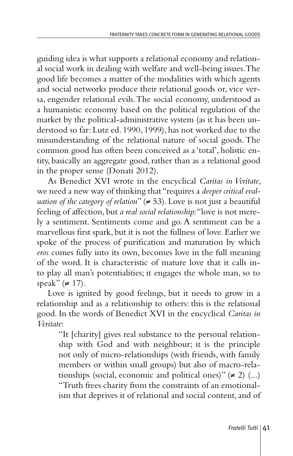guiding idea is what supports a relational economy and relational social work in dealing with welfare and well-being issues. The good life becomes a matter of the modalities with which agents and social networks produce their relational goods or, vice versa, engender relational evils. The social economy, understood as a humanistic economy based on the political regulation of the market by the political-administrative system (as it has been understood so far: Lutz ed. 1990, 1999), has not worked due to the misunderstanding of the relational nature of social goods. The common good has often been conceived as a 'total', holistic entity, basically an aggregate good, rather than as a relational good in the proper sense (Donati 2012).

As Benedict XVI wrote in the encyclical *Caritas in Veritate*, we need a new way of thinking that "requires a *deeper critical evaluation of the category of relation*" (≠ 53). Love is not just a beautiful feeling of affection, but *a real social relationship*: "love is not merely a sentiment. Sentiments come and go. A sentiment can be a marvellous first spark, but it is not the fullness of love. Earlier we spoke of the process of purification and maturation by which *eros* comes fully into its own, becomes love in the full meaning of the word. It is characteristic of mature love that it calls into play all man's potentialities; it engages the whole man, so to speak" ( $\neq$  17).

Love is ignited by good feelings, but it needs to grow in a relationship and as a relationship to others: this is the relational good. In the words of Benedict XVI in the encyclical *Caritas in Veritate*:

"It [charity] gives real substance to the personal relationship with God and with neighbour; it is the principle not only of micro-relationships (with friends, with family members or within small groups) but also of macro-relationships (social, economic and political ones)" ( $\neq$  2) (...) "Truth frees charity from the constraints of an emotionalism that deprives it of relational and social content, and of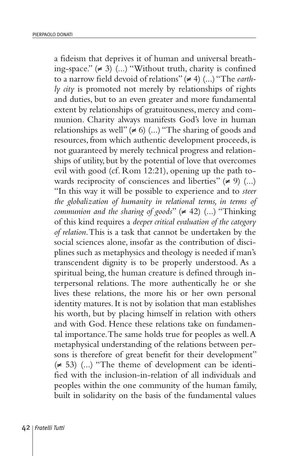a fideism that deprives it of human and universal breathing-space."  $(\neq 3)$  (...) "Without truth, charity is confined to a narrow field devoid of relations" (≠ 4) (...) "The *earthly city* is promoted not merely by relationships of rights and duties, but to an even greater and more fundamental extent by relationships of gratuitousness, mercy and communion. Charity always manifests God's love in human relationships as well"  $(\neq 6)$  (...) "The sharing of goods and resources, from which authentic development proceeds, is not guaranteed by merely technical progress and relationships of utility, but by the potential of love that overcomes evil with good (cf. Rom 12:21), opening up the path towards reciprocity of consciences and liberties" ( $\neq$  9) (...) "In this way it will be possible to experience and to *steer the globalization of humanity in relational terms, in terms of communion and the sharing of goods*" (≠ 42) (...) "Thinking of this kind requires a *deeper critical evaluation of the category of relation*. This is a task that cannot be undertaken by the social sciences alone, insofar as the contribution of disciplines such as metaphysics and theology is needed if man's transcendent dignity is to be properly understood. As a spiritual being, the human creature is defined through interpersonal relations. The more authentically he or she lives these relations, the more his or her own personal identity matures. It is not by isolation that man establishes his worth, but by placing himself in relation with others and with God. Hence these relations take on fundamental importance. The same holds true for peoples as well. A metaphysical understanding of the relations between persons is therefore of great benefit for their development"  $(\neq 53)$  (...) "The theme of development can be identified with the inclusion-in-relation of all individuals and peoples within the one community of the human family, built in solidarity on the basis of the fundamental values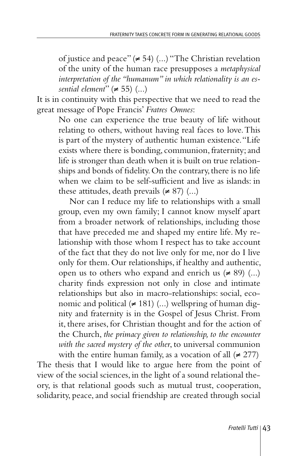of justice and peace" (≠ 54) (...) "The Christian revelation of the unity of the human race presupposes a *metaphysical interpretation of the "humanum" in which relationality is an essential element*" (≠ 55) (...)

It is in continuity with this perspective that we need to read the great message of Pope Francis' *Fratres Omnes*:

No one can experience the true beauty of life without relating to others, without having real faces to love. This is part of the mystery of authentic human existence. "Life exists where there is bonding, communion, fraternity; and life is stronger than death when it is built on true relationships and bonds of fidelity. On the contrary, there is no life when we claim to be self-sufficient and live as islands: in these attitudes, death prevails  $(\neq 87)$  (...)

Nor can I reduce my life to relationships with a small group, even my own family; I cannot know myself apart from a broader network of relationships, including those that have preceded me and shaped my entire life. My relationship with those whom I respect has to take account of the fact that they do not live only for me, nor do I live only for them. Our relationships, if healthy and authentic, open us to others who expand and enrich us  $(489)$  (...) charity finds expression not only in close and intimate relationships but also in macro-relationships: social, economic and political  $($   $\neq$  181) (...) wellspring of human dignity and fraternity is in the Gospel of Jesus Christ. From it, there arises, for Christian thought and for the action of the Church, *the primacy given to relationship, to the encounter with the sacred mystery of the other*, to universal communion with the entire human family, as a vocation of all  $(277)$ 

The thesis that I would like to argue here from the point of view of the social sciences, in the light of a sound relational theory, is that relational goods such as mutual trust, cooperation, solidarity, peace, and social friendship are created through social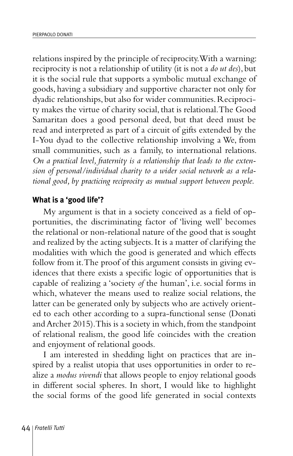relations inspired by the principle of reciprocity. With a warning: reciprocity is not a relationship of utility (it is not a *do ut des*), but it is the social rule that supports a symbolic mutual exchange of goods, having a subsidiary and supportive character not only for dyadic relationships, but also for wider communities. Reciprocity makes the virtue of charity social, that is relational. The Good Samaritan does a good personal deed, but that deed must be read and interpreted as part of a circuit of gifts extended by the I-You dyad to the collective relationship involving a We, from small communities, such as a family, to international relations. *On a practical level, fraternity is a relationship that leads to the extension of personal/individual charity to a wider social network as a relational good, by practicing reciprocity as mutual support between people.*

#### **What is a 'good life'?**

My argument is that in a society conceived as a field of opportunities, the discriminating factor of 'living well' becomes the relational or non-relational nature of the good that is sought and realized by the acting subjects. It is a matter of clarifying the modalities with which the good is generated and which effects follow from it. The proof of this argument consists in giving evidences that there exists a specific logic of opportunities that is capable of realizing a 'society *of* the human', i.e. social forms in which, whatever the means used to realize social relations, the latter can be generated only by subjects who are actively oriented to each other according to a supra-functional sense (Donati and Archer 2015). This is a society in which, from the standpoint of relational realism, the good life coincides with the creation and enjoyment of relational goods.

I am interested in shedding light on practices that are inspired by a realist utopia that uses opportunities in order to realize a *modus vivendi* that allows people to enjoy relational goods in different social spheres. In short, I would like to highlight the social forms of the good life generated in social contexts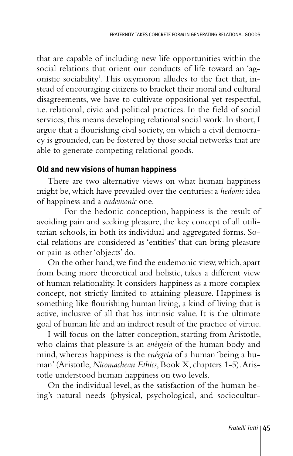that are capable of including new life opportunities within the social relations that orient our conducts of life toward an 'agonistic sociability'. This oxymoron alludes to the fact that, instead of encouraging citizens to bracket their moral and cultural disagreements, we have to cultivate oppositional yet respectful, i.e. relational, civic and political practices. In the field of social services, this means developing relational social work. In short, I argue that a flourishing civil society, on which a civil democracy is grounded, can be fostered by those social networks that are able to generate competing relational goods.

## **Old and new visions of human happiness**

There are two alternative views on what human happiness might be, which have prevailed over the centuries: a *hedonic* idea of happiness and a *eudemonic* one.

For the hedonic conception, happiness is the result of avoiding pain and seeking pleasure, the key concept of all utilitarian schools, in both its individual and aggregated forms. Social relations are considered as 'entities' that can bring pleasure or pain as other 'objects' do.

On the other hand, we find the eudemonic view, which, apart from being more theoretical and holistic, takes a different view of human relationality. It considers happiness as a more complex concept, not strictly limited to attaining pleasure. Happiness is something like flourishing human living, a kind of living that is active, inclusive of all that has intrinsic value. It is the ultimate goal of human life and an indirect result of the practice of virtue.

I will focus on the latter conception, starting from Aristotle, who claims that pleasure is an *enérgeia* of the human body and mind, whereas happiness is the *enérgeia* of a human 'being a human' (Aristotle, *Nicomachean Ethics*, Book X, chapters 1-5). Aristotle understood human happiness on two levels.

On the individual level, as the satisfaction of the human being's natural needs (physical, psychological, and sociocultur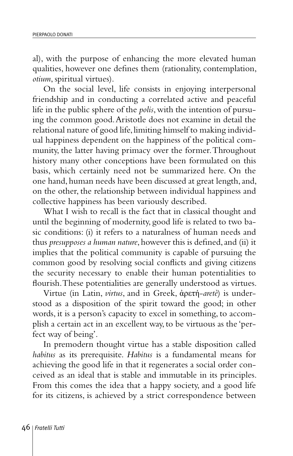al), with the purpose of enhancing the more elevated human qualities, however one defines them (rationality, contemplation, *otium*, spiritual virtues).

On the social level, life consists in enjoying interpersonal friendship and in conducting a correlated active and peaceful life in the public sphere of the *polis*, with the intention of pursuing the common good. Aristotle does not examine in detail the relational nature of good life, limiting himself to making individual happiness dependent on the happiness of the political community, the latter having primacy over the former. Throughout history many other conceptions have been formulated on this basis, which certainly need not be summarized here. On the one hand, human needs have been discussed at great length, and, on the other, the relationship between individual happiness and collective happiness has been variously described.

What I wish to recall is the fact that in classical thought and until the beginning of modernity, good life is related to two basic conditions: (i) it refers to a naturalness of human needs and thus *presupposes a human nature*, however this is defined, and (ii) it implies that the political community is capable of pursuing the common good by resolving social conflicts and giving citizens the security necessary to enable their human potentialities to flourish. These potentialities are generally understood as virtues.

Virtue (in Latin, *virtus*, and in Greek, ἀρετή-*aretè*) is understood as a disposition of the spirit toward the good; in other words, it is a person's capacity to excel in something, to accomplish a certain act in an excellent way, to be virtuous as the 'perfect way of being'.

In premodern thought virtue has a stable disposition called *habitus* as its prerequisite. *Habitus* is a fundamental means for achieving the good life in that it regenerates a social order conceived as an ideal that is stable and immutable in its principles. From this comes the idea that a happy society, and a good life for its citizens, is achieved by a strict correspondence between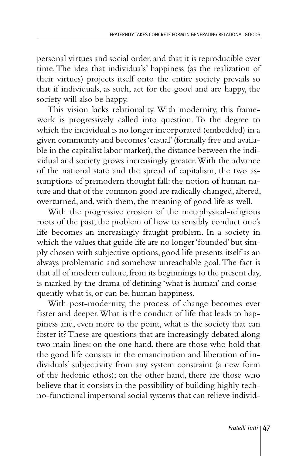personal virtues and social order, and that it is reproducible over time. The idea that individuals' happiness (as the realization of their virtues) projects itself onto the entire society prevails so that if individuals, as such, act for the good and are happy, the society will also be happy.

This vision lacks relationality. With modernity, this framework is progressively called into question. To the degree to which the individual is no longer incorporated (embedded) in a given community and becomes 'casual' (formally free and available in the capitalist labor market), the distance between the individual and society grows increasingly greater. With the advance of the national state and the spread of capitalism, the two assumptions of premodern thought fall: the notion of human nature and that of the common good are radically changed, altered, overturned, and, with them, the meaning of good life as well.

With the progressive erosion of the metaphysical-religious roots of the past, the problem of how to sensibly conduct one's life becomes an increasingly fraught problem. In a society in which the values that guide life are no longer 'founded' but simply chosen with subjective options, good life presents itself as an always problematic and somehow unreachable goal. The fact is that all of modern culture, from its beginnings to the present day, is marked by the drama of defining 'what is human' and consequently what is, or can be, human happiness.

With post-modernity, the process of change becomes ever faster and deeper. What is the conduct of life that leads to happiness and, even more to the point, what is the society that can foster it? These are questions that are increasingly debated along two main lines: on the one hand, there are those who hold that the good life consists in the emancipation and liberation of individuals' subjectivity from any system constraint (a new form of the hedonic ethos); on the other hand, there are those who believe that it consists in the possibility of building highly techno-functional impersonal social systems that can relieve individ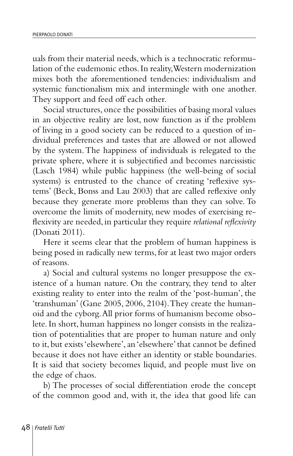uals from their material needs, which is a technocratic reformulation of the eudemonic ethos. In reality, Western modernization mixes both the aforementioned tendencies: individualism and systemic functionalism mix and intermingle with one another. They support and feed off each other.

Social structures, once the possibilities of basing moral values in an objective reality are lost, now function as if the problem of living in a good society can be reduced to a question of individual preferences and tastes that are allowed or not allowed by the system. The happiness of individuals is relegated to the private sphere, where it is subjectified and becomes narcissistic (Lasch 1984) while public happiness (the well-being of social systems) is entrusted to the chance of creating 'reflexive systems' (Beck, Bonss and Lau 2003) that are called reflexive only because they generate more problems than they can solve. To overcome the limits of modernity, new modes of exercising reflexivity are needed, in particular they require *relational reflexivity* (Donati 2011).

Here it seems clear that the problem of human happiness is being posed in radically new terms, for at least two major orders of reasons.

a) Social and cultural systems no longer presuppose the existence of a human nature. On the contrary, they tend to alter existing reality to enter into the realm of the 'post-human', the 'transhuman' (Gane 2005, 2006, 2104). They create the humanoid and the cyborg. All prior forms of humanism become obsolete. In short, human happiness no longer consists in the realization of potentialities that are proper to human nature and only to it, but exists 'elsewhere', an 'elsewhere' that cannot be defined because it does not have either an identity or stable boundaries. It is said that society becomes liquid, and people must live on the edge of chaos.

b) The processes of social differentiation erode the concept of the common good and, with it, the idea that good life can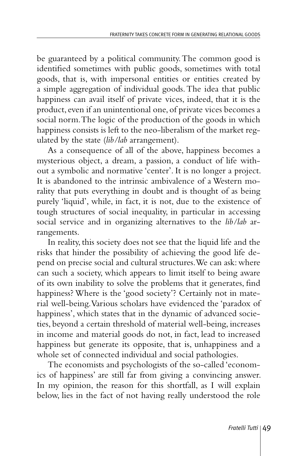be guaranteed by a political community. The common good is identified sometimes with public goods, sometimes with total goods, that is, with impersonal entities or entities created by a simple aggregation of individual goods. The idea that public happiness can avail itself of private vices, indeed, that it is the product, even if an unintentional one, of private vices becomes a social norm. The logic of the production of the goods in which happiness consists is left to the neo-liberalism of the market regulated by the state (*lib/lab* arrangement).

As a consequence of all of the above, happiness becomes a mysterious object, a dream, a passion, a conduct of life without a symbolic and normative 'center'. It is no longer a project. It is abandoned to the intrinsic ambivalence of a Western morality that puts everything in doubt and is thought of as being purely 'liquid', while, in fact, it is not, due to the existence of tough structures of social inequality, in particular in accessing social service and in organizing alternatives to the *lib/lab* arrangements.

In reality, this society does not see that the liquid life and the risks that hinder the possibility of achieving the good life depend on precise social and cultural structures. We can ask: where can such a society, which appears to limit itself to being aware of its own inability to solve the problems that it generates, find happiness? Where is the 'good society'? Certainly not in material well-being. Various scholars have evidenced the 'paradox of happiness', which states that in the dynamic of advanced societies, beyond a certain threshold of material well-being, increases in income and material goods do not, in fact, lead to increased happiness but generate its opposite, that is, unhappiness and a whole set of connected individual and social pathologies.

The economists and psychologists of the so-called 'economics of happiness' are still far from giving a convincing answer. In my opinion, the reason for this shortfall, as I will explain below, lies in the fact of not having really understood the role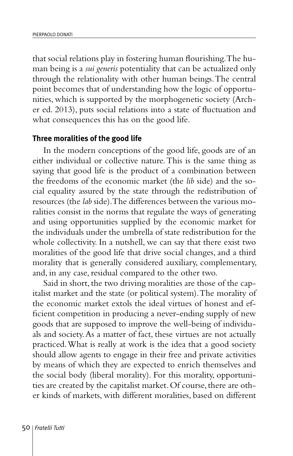that social relations play in fostering human flourishing. The human being is a *sui generis* potentiality that can be actualized only through the relationality with other human beings. The central point becomes that of understanding how the logic of opportunities, which is supported by the morphogenetic society (Archer ed. 2013), puts social relations into a state of fluctuation and what consequences this has on the good life.

#### **Three moralities of the good life**

In the modern conceptions of the good life, goods are of an either individual or collective nature. This is the same thing as saying that good life is the product of a combination between the freedoms of the economic market (the *lib* side) and the social equality assured by the state through the redistribution of resources (the *lab* side). The differences between the various moralities consist in the norms that regulate the ways of generating and using opportunities supplied by the economic market for the individuals under the umbrella of state redistribution for the whole collectivity. In a nutshell, we can say that there exist two moralities of the good life that drive social changes, and a third morality that is generally considered auxiliary, complementary, and, in any case, residual compared to the other two.

Said in short, the two driving moralities are those of the capitalist market and the state (or political system). The morality of the economic market extols the ideal virtues of honest and efficient competition in producing a never-ending supply of new goods that are supposed to improve the well-being of individuals and society. As a matter of fact, these virtues are not actually practiced. What is really at work is the idea that a good society should allow agents to engage in their free and private activities by means of which they are expected to enrich themselves and the social body (liberal morality). For this morality, opportunities are created by the capitalist market. Of course, there are other kinds of markets, with different moralities, based on different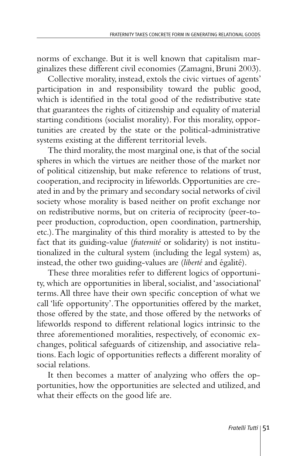norms of exchange. But it is well known that capitalism marginalizes these different civil economies (Zamagni, Bruni 2003).

Collective morality, instead, extols the civic virtues of agents' participation in and responsibility toward the public good, which is identified in the total good of the redistributive state that guarantees the rights of citizenship and equality of material starting conditions (socialist morality). For this morality, opportunities are created by the state or the political-administrative systems existing at the different territorial levels.

The third morality, the most marginal one, is that of the social spheres in which the virtues are neither those of the market nor of political citizenship, but make reference to relations of trust, cooperation, and reciprocity in lifeworlds. Opportunities are created in and by the primary and secondary social networks of civil society whose morality is based neither on profit exchange nor on redistributive norms, but on criteria of reciprocity (peer-topeer production, coproduction, open coordination, partnership, etc.). The marginality of this third morality is attested to by the fact that its guiding-value (*fraternité* or solidarity) is not institutionalized in the cultural system (including the legal system) as, instead, the other two guiding-values are (*liberté* and égalité).

These three moralities refer to different logics of opportunity, which are opportunities in liberal, socialist, and 'associational' terms. All three have their own specific conception of what we call 'life opportunity'. The opportunities offered by the market, those offered by the state, and those offered by the networks of lifeworlds respond to different relational logics intrinsic to the three aforementioned moralities, respectively, of economic exchanges, political safeguards of citizenship, and associative relations. Each logic of opportunities reflects a different morality of social relations.

It then becomes a matter of analyzing who offers the opportunities, how the opportunities are selected and utilized, and what their effects on the good life are.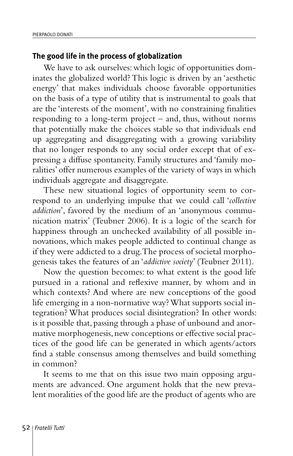#### **The good life in the process of globalization**

We have to ask ourselves: which logic of opportunities dominates the globalized world? This logic is driven by an 'aesthetic energy' that makes individuals choose favorable opportunities on the basis of a type of utility that is instrumental to goals that are the 'interests of the moment', with no constraining finalities responding to a long-term project – and, thus, without norms that potentially make the choices stable so that individuals end up aggregating and disaggregating with a growing variability that no longer responds to any social order except that of expressing a diffuse spontaneity. Family structures and 'family moralities' offer numerous examples of the variety of ways in which individuals aggregate and disaggregate.

These new situational logics of opportunity seem to correspond to an underlying impulse that we could call '*collective addiction*', favored by the medium of an 'anonymous communication matrix' (Teubner 2006). It is a logic of the search for happiness through an unchecked availability of all possible innovations, which makes people addicted to continual change as if they were addicted to a drug. The process of societal morphogenesis takes the features of an '*addictive society*' (Teubner 2011).

Now the question becomes: to what extent is the good life pursued in a rational and reflexive manner, by whom and in which contexts? And where are new conceptions of the good life emerging in a non-normative way? What supports social integration? What produces social disintegration? In other words: is it possible that, passing through a phase of unbound and anormative morphogenesis, new conceptions or effective social practices of the good life can be generated in which agents/actors find a stable consensus among themselves and build something in common?

It seems to me that on this issue two main opposing arguments are advanced. One argument holds that the new prevalent moralities of the good life are the product of agents who are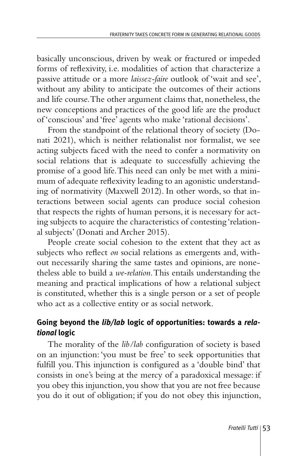basically unconscious, driven by weak or fractured or impeded forms of reflexivity, i.e. modalities of action that characterize a passive attitude or a more *laissez-faire* outlook of 'wait and see', without any ability to anticipate the outcomes of their actions and life course. The other argument claims that, nonetheless, the new conceptions and practices of the good life are the product of 'conscious' and 'free' agents who make 'rational decisions'.

From the standpoint of the relational theory of society (Donati 2021), which is neither relationalist nor formalist, we see acting subjects faced with the need to confer a normativity on social relations that is adequate to successfully achieving the promise of a good life. This need can only be met with a minimum of adequate reflexivity leading to an agonistic understanding of normativity (Maxwell 2012). In other words, so that interactions between social agents can produce social cohesion that respects the rights of human persons, it is necessary for acting subjects to acquire the characteristics of contesting 'relational subjects' (Donati and Archer 2015).

People create social cohesion to the extent that they act as subjects who reflect *on* social relations as emergents and, without necessarily sharing the same tastes and opinions, are nonetheless able to build a *we-relation*. This entails understanding the meaning and practical implications of how a relational subject is constituted, whether this is a single person or a set of people who act as a collective entity or as social network.

# **Going beyond the** *lib/lab* **logic of opportunities: towards a** *relational* **logic**

The morality of the *lib/lab* configuration of society is based on an injunction: 'you must be free' to seek opportunities that fulfill you. This injunction is configured as a 'double bind' that consists in one's being at the mercy of a paradoxical message: if you obey this injunction, you show that you are not free because you do it out of obligation; if you do not obey this injunction,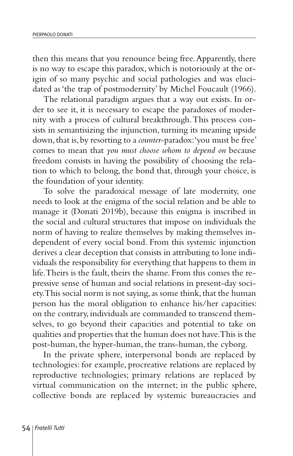then this means that you renounce being free. Apparently, there is no way to escape this paradox, which is notoriously at the origin of so many psychic and social pathologies and was elucidated as 'the trap of postmodernity' by Michel Foucault (1966).

The relational paradigm argues that a way out exists. In order to see it, it is necessary to escape the paradoxes of modernity with a process of cultural breakthrough. This process consists in semantisizing the injunction, turning its meaning upside down, that is, by resorting to a *counter*-paradox: 'you must be free' comes to mean that *you must choose whom to depend on* because freedom consists in having the possibility of choosing the relation to which to belong, the bond that, through your choice, is the foundation of your identity.

To solve the paradoxical message of late modernity, one needs to look at the enigma of the social relation and be able to manage it (Donati 2019b), because this enigma is inscribed in the social and cultural structures that impose on individuals the norm of having to realize themselves by making themselves independent of every social bond. From this systemic injunction derives a clear deception that consists in attributing to lone individuals the responsibility for everything that happens to them in life. Theirs is the fault, theirs the shame. From this comes the repressive sense of human and social relations in present-day society. This social norm is not saying, as some think, that the human person has the moral obligation to enhance his/her capacities: on the contrary, individuals are commanded to transcend themselves, to go beyond their capacities and potential to take on qualities and properties that the human does not have. This is the post-human, the hyper-human, the trans-human, the cyborg.

In the private sphere, interpersonal bonds are replaced by technologies: for example, procreative relations are replaced by reproductive technologies; primary relations are replaced by virtual communication on the internet; in the public sphere, collective bonds are replaced by systemic bureaucracies and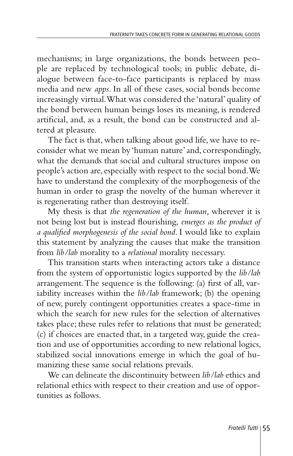mechanisms; in large organizations, the bonds between people are replaced by technological tools; in public debate, dialogue between face-to-face participants is replaced by mass media and new *apps*. In all of these cases, social bonds become increasingly virtual. What was considered the 'natural' quality of the bond between human beings loses its meaning, is rendered artificial, and, as a result, the bond can be constructed and altered at pleasure.

The fact is that, when talking about good life, we have to reconsider what we mean by 'human nature' and, correspondingly, what the demands that social and cultural structures impose on people's action are, especially with respect to the social bond. We have to understand the complexity of the morphogenesis of the human in order to grasp the novelty of the human wherever it is regenerating rather than destroying itself.

My thesis is that *the regeneration of the human,* wherever it is not being lost but is instead flourishing, *emerges as the product of a qualified morphogenesis of the social bond*. I would like to explain this statement by analyzing the causes that make the transition from *lib/lab* morality to a *relational* morality necessary.

This transition starts when interacting actors take a distance from the system of opportunistic logics supported by the *lib/lab* arrangement. The sequence is the following: (a) first of all, variability increases within the *lib/lab* framework; (b) the opening of new, purely contingent opportunities creates a space-time in which the search for new rules for the selection of alternatives takes place; these rules refer to relations that must be generated; (c) if choices are enacted that, in a targeted way, guide the creation and use of opportunities according to new relational logics, stabilized social innovations emerge in which the goal of humanizing these same social relations prevails.

We can delineate the discontinuity between *lib/lab* ethics and relational ethics with respect to their creation and use of opportunities as follows.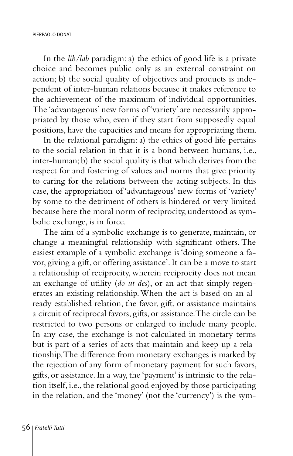In the *lib/lab* paradigm: a) the ethics of good life is a private choice and becomes public only as an external constraint on action; b) the social quality of objectives and products is independent of inter-human relations because it makes reference to the achievement of the maximum of individual opportunities. The 'advantageous' new forms of 'variety' are necessarily appropriated by those who, even if they start from supposedly equal positions, have the capacities and means for appropriating them.

In the relational paradigm: a) the ethics of good life pertains to the social relation in that it is a bond between humans, i.e., inter-human; b) the social quality is that which derives from the respect for and fostering of values and norms that give priority to caring for the relations between the acting subjects. In this case, the appropriation of 'advantageous' new forms of 'variety' by some to the detriment of others is hindered or very limited because here the moral norm of reciprocity, understood as symbolic exchange, is in force.

The aim of a symbolic exchange is to generate, maintain, or change a meaningful relationship with significant others. The easiest example of a symbolic exchange is 'doing someone a favor, giving a gift, or offering assistance'. It can be a move to start a relationship of reciprocity, wherein reciprocity does not mean an exchange of utility (*do ut des*), or an act that simply regenerates an existing relationship. When the act is based on an already established relation, the favor, gift, or assistance maintains a circuit of reciprocal favors, gifts, or assistance. The circle can be restricted to two persons or enlarged to include many people. In any case, the exchange is not calculated in monetary terms but is part of a series of acts that maintain and keep up a relationship. The difference from monetary exchanges is marked by the rejection of any form of monetary payment for such favors, gifts, or assistance. In a way, the 'payment' is intrinsic to the relation itself, i.e., the relational good enjoyed by those participating in the relation, and the 'money' (not the 'currency') is the sym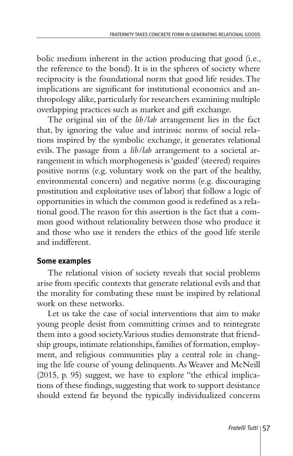bolic medium inherent in the action producing that good (i.e., the reference to the bond). It is in the spheres of society where reciprocity is the foundational norm that good life resides. The implications are significant for institutional economics and anthropology alike, particularly for researchers examining multiple overlapping practices such as market and gift exchange.

The original sin of the *lib/lab* arrangement lies in the fact that, by ignoring the value and intrinsic norms of social relations inspired by the symbolic exchange, it generates relational evils. The passage from a *lib/lab* arrangement to a societal arrangement in which morphogenesis is 'guided' (steered) requires positive norms (e.g. voluntary work on the part of the healthy, environmental concern) and negative norms (e.g. discouraging prostitution and exploitative uses of labor) that follow a logic of opportunities in which the common good is redefined as a relational good. The reason for this assertion is the fact that a common good without relationality between those who produce it and those who use it renders the ethics of the good life sterile and indifferent.

## **Some examples**

The relational vision of society reveals that social problems arise from specific contexts that generate relational evils and that the morality for combating these must be inspired by relational work on these networks.

Let us take the case of social interventions that aim to make young people desist from committing crimes and to reintegrate them into a good society. Various studies demonstrate that friendship groups, intimate relationships, families of formation, employment, and religious communities play a central role in changing the life course of young delinquents. As Weaver and McNeill (2015, p. 95) suggest, we have to explore "the ethical implications of these findings, suggesting that work to support desistance should extend far beyond the typically individualized concerns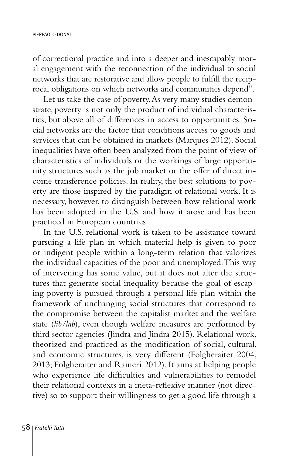of correctional practice and into a deeper and inescapably moral engagement with the reconnection of the individual to social networks that are restorative and allow people to fulfill the reciprocal obligations on which networks and communities depend".

Let us take the case of poverty. As very many studies demonstrate, poverty is not only the product of individual characteristics, but above all of differences in access to opportunities. Social networks are the factor that conditions access to goods and services that can be obtained in markets (Marques 2012). Social inequalities have often been analyzed from the point of view of characteristics of individuals or the workings of large opportunity structures such as the job market or the offer of direct income transference policies. In reality, the best solutions to poverty are those inspired by the paradigm of relational work. It is necessary, however, to distinguish between how relational work has been adopted in the U.S. and how it arose and has been practiced in European countries.

In the U.S. relational work is taken to be assistance toward pursuing a life plan in which material help is given to poor or indigent people within a long-term relation that valorizes the individual capacities of the poor and unemployed. This way of intervening has some value, but it does not alter the structures that generate social inequality because the goal of escaping poverty is pursued through a personal life plan within the framework of unchanging social structures that correspond to the compromise between the capitalist market and the welfare state (*lib/lab*), even though welfare measures are performed by third sector agencies (Jindra and Jindra 2015). Relational work, theorized and practiced as the modification of social, cultural, and economic structures, is very different (Folgheraiter 2004, 2013; Folgheraiter and Raineri 2012). It aims at helping people who experience life difficulties and vulnerabilities to remodel their relational contexts in a meta-reflexive manner (not directive) so to support their willingness to get a good life through a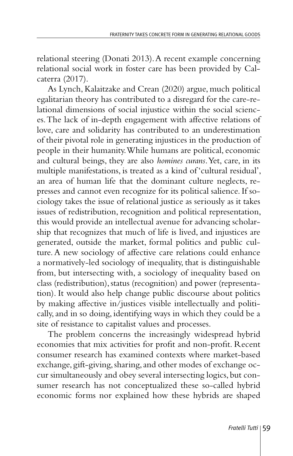relational steering (Donati 2013). A recent example concerning relational social work in foster care has been provided by Calcaterra (2017).

As Lynch, Kalaitzake and Crean (2020) argue, much political egalitarian theory has contributed to a disregard for the care-relational dimensions of social injustice within the social sciences. The lack of in-depth engagement with affective relations of love, care and solidarity has contributed to an underestimation of their pivotal role in generating injustices in the production of people in their humanity. While humans are political, economic and cultural beings, they are also *homines curans*. Yet, care, in its multiple manifestations, is treated as a kind of 'cultural residual', an area of human life that the dominant culture neglects, represses and cannot even recognize for its political salience. If sociology takes the issue of relational justice as seriously as it takes issues of redistribution, recognition and political representation, this would provide an intellectual avenue for advancing scholarship that recognizes that much of life is lived, and injustices are generated, outside the market, formal politics and public culture. A new sociology of affective care relations could enhance a normatively-led sociology of inequality, that is distinguishable from, but intersecting with, a sociology of inequality based on class (redistribution), status (recognition) and power (representation). It would also help change public discourse about politics by making affective in/justices visible intellectually and politically, and in so doing, identifying ways in which they could be a site of resistance to capitalist values and processes.

The problem concerns the increasingly widespread hybrid economies that mix activities for profit and non-profit. Recent consumer research has examined contexts where market-based exchange, gift-giving, sharing, and other modes of exchange occur simultaneously and obey several intersecting logics, but consumer research has not conceptualized these so-called hybrid economic forms nor explained how these hybrids are shaped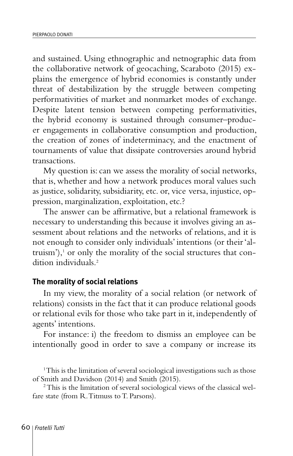and sustained. Using ethnographic and netnographic data from the collaborative network of geocaching, Scaraboto (2015) explains the emergence of hybrid economies is constantly under threat of destabilization by the struggle between competing performativities of market and nonmarket modes of exchange. Despite latent tension between competing performativities, the hybrid economy is sustained through consumer–producer engagements in collaborative consumption and production, the creation of zones of indeterminacy, and the enactment of tournaments of value that dissipate controversies around hybrid transactions.

My question is: can we assess the morality of social networks, that is, whether and how a network produces moral values such as justice, solidarity, subsidiarity, etc. or, vice versa, injustice, oppression, marginalization, exploitation, etc.?

The answer can be affirmative, but a relational framework is necessary to understanding this because it involves giving an assessment about relations and the networks of relations, and it is not enough to consider only individuals' intentions (or their 'altruism'),<sup>1</sup> or only the morality of the social structures that condition individuals.2

#### **The morality of social relations**

In my view, the morality of a social relation (or network of relations) consists in the fact that it can produce relational goods or relational evils for those who take part in it, independently of agents' intentions.

For instance: i) the freedom to dismiss an employee can be intentionally good in order to save a company or increase its

 $1$ <sup>1</sup>This is the limitation of several sociological investigations such as those of Smith and Davidson (2014) and Smith (2015).

<sup>2</sup> This is the limitation of several sociological views of the classical welfare state (from R. Titmuss to T. Parsons).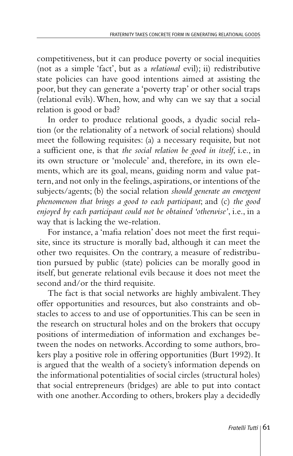competitiveness, but it can produce poverty or social inequities (not as a simple 'fact', but as a *relational* evil); ii) redistributive state policies can have good intentions aimed at assisting the poor, but they can generate a 'poverty trap' or other social traps (relational evils). When, how, and why can we say that a social relation is good or bad?

In order to produce relational goods, a dyadic social relation (or the relationality of a network of social relations) should meet the following requisites: (a) a necessary requisite, but not a sufficient one, is that *the social relation be good in itself*, i.e., in its own structure or 'molecule' and, therefore, in its own elements, which are its goal, means, guiding norm and value pattern, and not only in the feelings, aspirations, or intentions of the subjects/agents; (b) the social relation *should generate an emergent phenomenon that brings a good to each participant*; and (c) *the good enjoyed by each participant could not be obtained 'otherwise'*, i.e., in a way that is lacking the we-relation.

For instance, a 'mafia relation' does not meet the first requisite, since its structure is morally bad, although it can meet the other two requisites. On the contrary, a measure of redistribution pursued by public (state) policies can be morally good in itself, but generate relational evils because it does not meet the second and/or the third requisite.

The fact is that social networks are highly ambivalent. They offer opportunities and resources, but also constraints and obstacles to access to and use of opportunities. This can be seen in the research on structural holes and on the brokers that occupy positions of intermediation of information and exchanges between the nodes on networks. According to some authors, brokers play a positive role in offering opportunities (Burt 1992). It is argued that the wealth of a society's information depends on the informational potentialities of social circles (structural holes) that social entrepreneurs (bridges) are able to put into contact with one another. According to others, brokers play a decidedly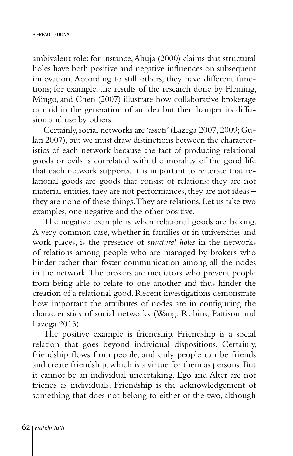ambivalent role; for instance, Ahuja (2000) claims that structural holes have both positive and negative influences on subsequent innovation. According to still others, they have different functions; for example, the results of the research done by Fleming, Mingo, and Chen (2007) illustrate how collaborative brokerage can aid in the generation of an idea but then hamper its diffusion and use by others.

Certainly, social networks are 'assets' (Lazega 2007, 2009; Gulati 2007), but we must draw distinctions between the characteristics of each network because the fact of producing relational goods or evils is correlated with the morality of the good life that each network supports. It is important to reiterate that relational goods are goods that consist of relations: they are not material entities, they are not performances, they are not ideas – they are none of these things. They are relations. Let us take two examples, one negative and the other positive.

The negative example is when relational goods are lacking. A very common case, whether in families or in universities and work places, is the presence of *structural holes* in the networks of relations among people who are managed by brokers who hinder rather than foster communication among all the nodes in the network. The brokers are mediators who prevent people from being able to relate to one another and thus hinder the creation of a relational good. Recent investigations demonstrate how important the attributes of nodes are in configuring the characteristics of social networks (Wang, Robins, Pattison and Lazega 2015).

The positive example is friendship. Friendship is a social relation that goes beyond individual dispositions. Certainly, friendship flows from people, and only people can be friends and create friendship, which is a virtue for them as persons. But it cannot be an individual undertaking. Ego and Alter are not friends as individuals. Friendship is the acknowledgement of something that does not belong to either of the two, although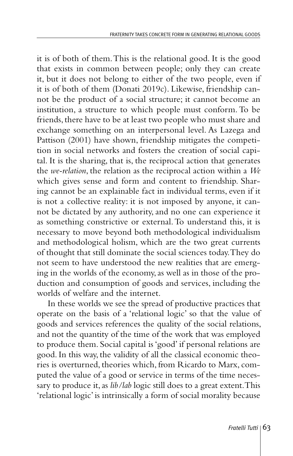it is of both of them. This is the relational good. It is the good that exists in common between people; only they can create it, but it does not belong to either of the two people, even if it is of both of them (Donati 2019c). Likewise, friendship cannot be the product of a social structure; it cannot become an institution, a structure to which people must conform. To be friends, there have to be at least two people who must share and exchange something on an interpersonal level. As Lazega and Pattison (2001) have shown, friendship mitigates the competition in social networks and fosters the creation of social capital. It is the sharing, that is, the reciprocal action that generates the *we-relation*, the relation as the reciprocal action within a *We* which gives sense and form and content to friendship. Sharing cannot be an explainable fact in individual terms, even if it is not a collective reality: it is not imposed by anyone, it cannot be dictated by any authority, and no one can experience it as something constrictive or external. To understand this, it is necessary to move beyond both methodological individualism and methodological holism, which are the two great currents of thought that still dominate the social sciences today. They do not seem to have understood the new realities that are emerging in the worlds of the economy, as well as in those of the production and consumption of goods and services, including the worlds of welfare and the internet.

In these worlds we see the spread of productive practices that operate on the basis of a 'relational logic' so that the value of goods and services references the quality of the social relations, and not the quantity of the time of the work that was employed to produce them. Social capital is 'good' if personal relations are good. In this way, the validity of all the classical economic theories is overturned, theories which, from Ricardo to Marx, computed the value of a good or service in terms of the time necessary to produce it, as *lib/lab* logic still does to a great extent. This 'relational logic' is intrinsically a form of social morality because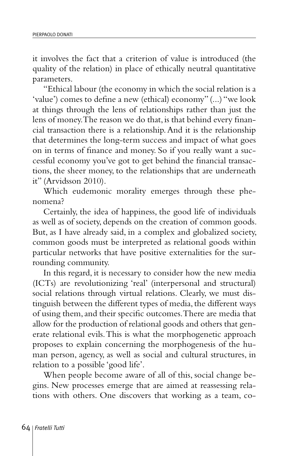it involves the fact that a criterion of value is introduced (the quality of the relation) in place of ethically neutral quantitative parameters.

"Ethical labour (the economy in which the social relation is a 'value') comes to define a new (ethical) economy" (...) "we look at things through the lens of relationships rather than just the lens of money. The reason we do that, is that behind every financial transaction there is a relationship. And it is the relationship that determines the long-term success and impact of what goes on in terms of finance and money. So if you really want a successful economy you've got to get behind the financial transactions, the sheer money, to the relationships that are underneath it" (Arvidsson 2010).

Which eudemonic morality emerges through these phenomena?

Certainly, the idea of happiness, the good life of individuals as well as of society, depends on the creation of common goods. But, as I have already said, in a complex and globalized society, common goods must be interpreted as relational goods within particular networks that have positive externalities for the surrounding community.

In this regard, it is necessary to consider how the new media (ICTs) are revolutionizing 'real' (interpersonal and structural) social relations through virtual relations. Clearly, we must distinguish between the different types of media, the different ways of using them, and their specific outcomes. There are media that allow for the production of relational goods and others that generate relational evils. This is what the morphogenetic approach proposes to explain concerning the morphogenesis of the human person, agency, as well as social and cultural structures, in relation to a possible 'good life'.

When people become aware of all of this, social change begins. New processes emerge that are aimed at reassessing relations with others. One discovers that working as a team, co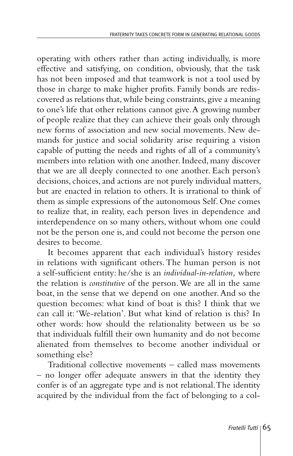operating with others rather than acting individually, is more effective and satisfying, on condition, obviously, that the task has not been imposed and that teamwork is not a tool used by those in charge to make higher profits. Family bonds are rediscovered as relations that, while being constraints, give a meaning to one's life that other relations cannot give. A growing number of people realize that they can achieve their goals only through new forms of association and new social movements. New demands for justice and social solidarity arise requiring a vision capable of putting the needs and rights of all of a community's members into relation with one another. Indeed, many discover that we are all deeply connected to one another. Each person's decisions, choices, and actions are not purely individual matters, but are enacted in relation to others. It is irrational to think of them as simple expressions of the autonomous Self. One comes to realize that, in reality, each person lives in dependence and interdependence on so many others, without whom one could not be the person one is, and could not become the person one desires to become.

It becomes apparent that each individual's history resides in relations with significant others. The human person is not a self-sufficient entity: he/she is an *individual-in-relation,* where the relation is *constitutive* of the person. We are all in the same boat, in the sense that we depend on one another. And so the question becomes: what kind of boat is this? I think that we can call it: 'We-relation'. But what kind of relation is this? In other words: how should the relationality between us be so that individuals fulfill their own humanity and do not become alienated from themselves to become another individual or something else?

Traditional collective movements – called mass movements – no longer offer adequate answers in that the identity they confer is of an aggregate type and is not relational. The identity acquired by the individual from the fact of belonging to a col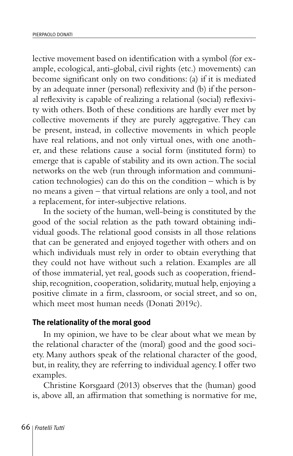lective movement based on identification with a symbol (for example, ecological, anti-global, civil rights (etc.) movements) can become significant only on two conditions: (a) if it is mediated by an adequate inner (personal) reflexivity and (b) if the personal reflexivity is capable of realizing a relational (social) reflexivity with others. Both of these conditions are hardly ever met by collective movements if they are purely aggregative. They can be present, instead, in collective movements in which people have real relations, and not only virtual ones, with one another, and these relations cause a social form (instituted form) to emerge that is capable of stability and its own action. The social networks on the web (run through information and communication technologies) can do this on the condition – which is by no means a given – that virtual relations are only a tool, and not a replacement, for inter-subjective relations.

In the society of the human, well-being is constituted by the good of the social relation as the path toward obtaining individual goods. The relational good consists in all those relations that can be generated and enjoyed together with others and on which individuals must rely in order to obtain everything that they could not have without such a relation. Examples are all of those immaterial, yet real, goods such as cooperation, friendship, recognition, cooperation, solidarity, mutual help, enjoying a positive climate in a firm, classroom, or social street, and so on, which meet most human needs (Donati 2019c).

#### **The relationality of the moral good**

In my opinion, we have to be clear about what we mean by the relational character of the (moral) good and the good society. Many authors speak of the relational character of the good, but, in reality, they are referring to individual agency. I offer two examples.

Christine Korsgaard (2013) observes that the (human) good is, above all, an affirmation that something is normative for me,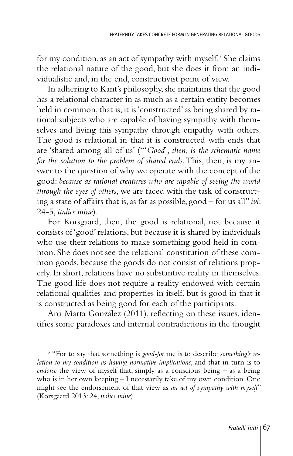for my condition, as an act of sympathy with myself.<sup>3</sup> She claims the relational nature of the good, but she does it from an individualistic and, in the end, constructivist point of view.

In adhering to Kant's philosophy, she maintains that the good has a relational character in as much as a certain entity becomes held in common, that is, it is 'constructed' as being shared by rational subjects who are capable of having sympathy with themselves and living this sympathy through empathy with others. The good is relational in that it is constructed with ends that are 'shared among all of us' ("'*Good*'*, then, is the schematic name for the solution to the problem of shared ends*. This, then, is my answer to the question of why we operate with the concept of the good: *because as rational creatures who are capable of seeing the world through the eyes of others*, we are faced with the task of constructing a state of affairs that is, as far as possible, good – for us all" *ivi*: 24-5, *italics mine*).

For Korsgaard, then, the good is relational, not because it consists of 'good' relations, but because it is shared by individuals who use their relations to make something good held in common. She does not see the relational constitution of these common goods, because the goods do not consist of relations properly. In short, relations have no substantive reality in themselves. The good life does not require a reality endowed with certain relational qualities and properties in itself, but is good in that it is constructed as being good for each of the participants.

Ana Marta González (2011), reflecting on these issues, identifies some paradoxes and internal contradictions in the thought

3 "For to say that something is *good-for* me is to describe *something's relation to my condition as having normative implications*, and that in turn is to *endorse* the view of myself that, simply as a conscious being – as a being who is in her own keeping – I necessarily take of my own condition. One might see the endorsement of that view as *an act of sympathy with myself*" (Korsgaard 2013: 24, *italics mine*).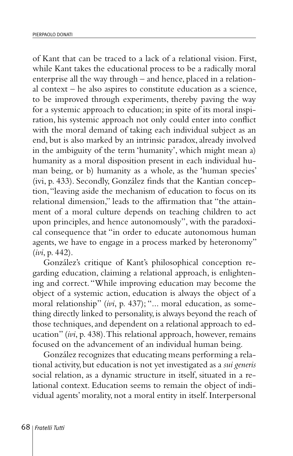of Kant that can be traced to a lack of a relational vision. First, while Kant takes the educational process to be a radically moral enterprise all the way through – and hence, placed in a relational context – he also aspires to constitute education as a science, to be improved through experiments, thereby paving the way for a systemic approach to education; in spite of its moral inspiration, his systemic approach not only could enter into conflict with the moral demand of taking each individual subject as an end, but is also marked by an intrinsic paradox, already involved in the ambiguity of the term 'humanity', which might mean a) humanity as a moral disposition present in each individual human being, or b) humanity as a whole, as the 'human species' (ivi, p. 433). Secondly, González finds that the Kantian conception, "leaving aside the mechanism of education to focus on its relational dimension," leads to the affirmation that "the attainment of a moral culture depends on teaching children to act upon principles, and hence autonomously", with the paradoxical consequence that "in order to educate autonomous human agents, we have to engage in a process marked by heteronomy" (*ivi*, p. 442).

González's critique of Kant's philosophical conception regarding education, claiming a relational approach, is enlightening and correct. "While improving education may become the object of a systemic action, education is always the object of a moral relationship" (*ivi*, p. 437); "... moral education, as something directly linked to personality, is always beyond the reach of those techniques, and dependent on a relational approach to education" (*ivi*, p. 438). This relational approach, however, remains focused on the advancement of an individual human being.

González recognizes that educating means performing a relational activity, but education is not yet investigated as a *sui generis* social relation, as a dynamic structure in itself, situated in a relational context. Education seems to remain the object of individual agents' morality, not a moral entity in itself. Interpersonal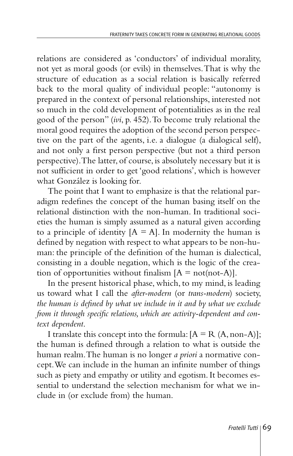relations are considered as 'conductors' of individual morality, not yet as moral goods (or evils) in themselves. That is why the structure of education as a social relation is basically referred back to the moral quality of individual people: "autonomy is prepared in the context of personal relationships, interested not so much in the cold development of potentialities as in the real good of the person" (*ivi*, p. 452). To become truly relational the moral good requires the adoption of the second person perspective on the part of the agents, i.e. a dialogue (a dialogical self), and not only a first person perspective (but not a third person perspective). The latter, of course, is absolutely necessary but it is not sufficient in order to get 'good relations', which is however what González is looking for.

The point that I want to emphasize is that the relational paradigm redefines the concept of the human basing itself on the relational distinction with the non-human. In traditional societies the human is simply assumed as a natural given according to a principle of identity  $[A = A]$ . In modernity the human is defined by negation with respect to what appears to be non-human: the principle of the definition of the human is dialectical, consisting in a double negation, which is the logic of the creation of opportunities without finalism  $[A = not(not-A)].$ 

In the present historical phase, which, to my mind, is leading us toward what I call the *after-modern* (or *trans-modern*) society, *the human is defined by what we include in it and by what we exclude from it through specific relations, which are activity-dependent and context dependent*.

I translate this concept into the formula:  $[A = R (A, non-A)];$ the human is defined through a relation to what is outside the human realm. The human is no longer *a priori* a normative concept. We can include in the human an infinite number of things such as piety and empathy or utility and egotism. It becomes essential to understand the selection mechanism for what we include in (or exclude from) the human.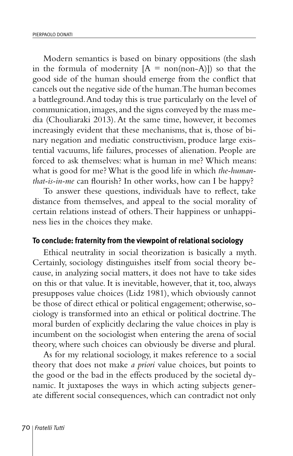Modern semantics is based on binary oppositions (the slash in the formula of modernity  $[A = non(non-A)]$  so that the good side of the human should emerge from the conflict that cancels out the negative side of the human. The human becomes a battleground. And today this is true particularly on the level of communication, images, and the signs conveyed by the mass media (Chouliaraki 2013). At the same time, however, it becomes increasingly evident that these mechanisms, that is, those of binary negation and mediatic constructivism, produce large existential vacuums, life failures, processes of alienation. People are forced to ask themselves: what is human in me? Which means: what is good for me? What is the good life in which *the-humanthat-is-in-me* can flourish? In other works, how can I be happy?

To answer these questions, individuals have to reflect, take distance from themselves, and appeal to the social morality of certain relations instead of others. Their happiness or unhappiness lies in the choices they make.

#### **To conclude: fraternity from the viewpoint of relational sociology**

Ethical neutrality in social theorization is basically a myth. Certainly, sociology distinguishes itself from social theory because, in analyzing social matters, it does not have to take sides on this or that value. It is inevitable, however, that it, too, always presupposes value choices (Lidz 1981), which obviously cannot be those of direct ethical or political engagement; otherwise, sociology is transformed into an ethical or political doctrine. The moral burden of explicitly declaring the value choices in play is incumbent on the sociologist when entering the arena of social theory, where such choices can obviously be diverse and plural.

As for my relational sociology, it makes reference to a social theory that does not make *a priori* value choices, but points to the good or the bad in the effects produced by the societal dynamic. It juxtaposes the ways in which acting subjects generate different social consequences, which can contradict not only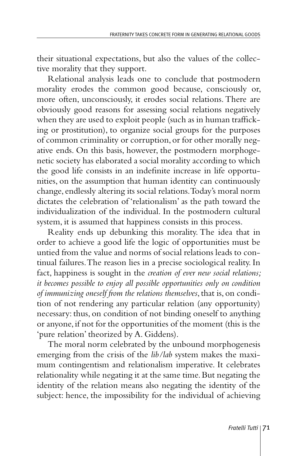their situational expectations, but also the values of the collective morality that they support.

Relational analysis leads one to conclude that postmodern morality erodes the common good because, consciously or, more often, unconsciously, it erodes social relations. There are obviously good reasons for assessing social relations negatively when they are used to exploit people (such as in human trafficking or prostitution), to organize social groups for the purposes of common criminality or corruption, or for other morally negative ends. On this basis, however, the postmodern morphogenetic society has elaborated a social morality according to which the good life consists in an indefinite increase in life opportunities, on the assumption that human identity can continuously change, endlessly altering its social relations. Today's moral norm dictates the celebration of 'relationalism' as the path toward the individualization of the individual. In the postmodern cultural system, it is assumed that happiness consists in this process.

Reality ends up debunking this morality. The idea that in order to achieve a good life the logic of opportunities must be untied from the value and norms of social relations leads to continual failures. The reason lies in a precise sociological reality. In fact, happiness is sought in the *creation of ever new social relations; it becomes possible to enjoy all possible opportunities only on condition of immunizing oneself from the relations themselves*, that is, on condition of not rendering any particular relation (any opportunity) necessary: thus, on condition of not binding oneself to anything or anyone, if not for the opportunities of the moment (this is the 'pure relation' theorized by A. Giddens).

The moral norm celebrated by the unbound morphogenesis emerging from the crisis of the *lib/lab* system makes the maximum contingentism and relationalism imperative. It celebrates relationality while negating it at the same time. But negating the identity of the relation means also negating the identity of the subject: hence, the impossibility for the individual of achieving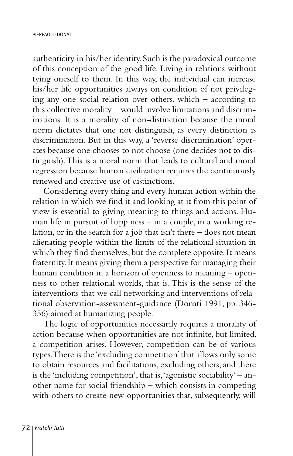authenticity in his/her identity. Such is the paradoxical outcome of this conception of the good life. Living in relations without tying oneself to them. In this way, the individual can increase his/her life opportunities always on condition of not privileging any one social relation over others, which – according to this collective morality – would involve limitations and discriminations. It is a morality of non-distinction because the moral norm dictates that one not distinguish, as every distinction is discrimination. But in this way, a 'reverse discrimination' operates because one chooses to not choose (one decides not to distinguish). This is a moral norm that leads to cultural and moral regression because human civilization requires the continuously renewed and creative use of distinctions.

Considering every thing and every human action within the relation in which we find it and looking at it from this point of view is essential to giving meaning to things and actions. Human life in pursuit of happiness – in a couple, in a working relation, or in the search for a job that isn't there – does not mean alienating people within the limits of the relational situation in which they find themselves, but the complete opposite. It means fraternity. It means giving them a perspective for managing their human condition in a horizon of openness to meaning – openness to other relational worlds, that is. This is the sense of the interventions that we call networking and interventions of relational observation-assessment-guidance (Donati 1991, pp. 346- 356) aimed at humanizing people.

The logic of opportunities necessarily requires a morality of action because when opportunities are not infinite, but limited, a competition arises. However, competition can be of various types. There is the 'excluding competition' that allows only some to obtain resources and facilitations, excluding others, and there is the 'including competition', that is, 'agonistic sociability' – another name for social friendship – which consists in competing with others to create new opportunities that, subsequently, will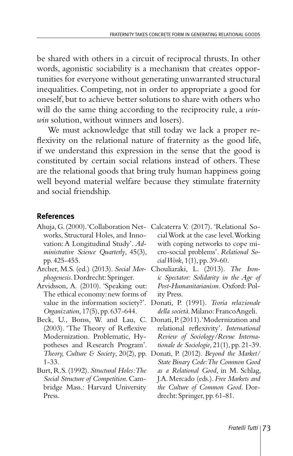be shared with others in a circuit of reciprocal thrusts. In other words, agonistic sociability is a mechanism that creates opportunities for everyone without generating unwarranted structural inequalities. Competing, not in order to appropriate a good for oneself, but to achieve better solutions to share with others who will do the same thing according to the reciprocity rule, a *winwin* solution, without winners and losers).

We must acknowledge that still today we lack a proper reflexivity on the relational nature of fraternity as the good life, if we understand this expression in the sense that the good is constituted by certain social relations instead of others. These are the relational goods that bring truly human happiness going well beyond material welfare because they stimulate fraternity and social friendship.

## **References**

- Ahuja, G. (2000). 'Collaboration Net-Calcaterra V. (2017). 'Relational Soworks, Structural Holes, and Innovation: A Longitudinal Study'. *Administrative Science Quarterly*, 45(3), pp. 425-455.
- Archer, M.S. (ed.) (2013). *Social Mor-*Chouliaraki, L. (2013). *The Ironphogenesis*. Dordrecht: Springer.
- Arvidsson, A. (2010). 'Speaking out: The ethical economy: new forms of value in the information society?'. *Organization*, 17(5), pp. 637-644.
- (2003). 'The Theory of Reflexive Modernization. Problematic, Hypotheses and Research Program'.  $1 - 33$
- Burt, R.S. (1992). *Structural Holes: The Social Structure of Competition*. Cambridge Mass.: Harvard University Press.
- cial Work at the case level. Working with coping networks to cope micro-social problems'. *Relational Social Work*, 1(1), pp. 39-60.
- *ic Spectator: Solidarity in the Age of Post-Humanitarianism*. Oxford: Polity Press.
- Donati, P. (1991). *Teoria relazionale della società*. Milano: FrancoAngeli.
- Beck, U., Bonss, W. and Lau, C. Donati, P. (2011). 'Modernization and relational reflexivity'. *International Review of Sociology/Revue Internationale de Sociologie*, 21(1), pp. 21-39.
	- *Theory, Culture & Society*, 20(2), pp. Donati, P. (2012). *Beyond the Market/ State Binary Code: The Common Good as a Relational Good*, in M. Schlag, J.A. Mercado (eds.). *Free Markets and the Culture of Common Good*. Dordrecht: Springer, pp. 61-81.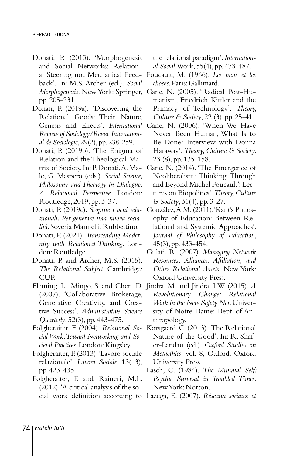- Donati, P. (2013). 'Morphogenesis and Social Networks: Relational Steering not Mechanical Feedback'. In: M.S. Archer (ed.). *Social*  pp. 205-231.
- Donati, P. (2019a). 'Discovering the Relational Goods: Their Nature, *Review of Sociology/Revue International de Sociologie*, 29(2), pp. 238-259.
- Donati, P. (2019b). 'The Enigma of Relation and the Theological Matrix of Society. In: P. Donati, A. Malo, G. Maspero (eds.). *Social Science, Philosophy and Theology in Dialogue: A Relational Perspective*. London: Routledge, 2019, pp. 3-37.
- Donati, P. (2019c). *Scoprire i beni relazionali. Per generare una nuova socialità*. Soveria Mannelli: Rubbettino.
- Donati, P. (2021). *Transcending Modernity with Relational Thinking*. London: Routledge.
- Donati, P. and Archer, M.S. (2015). *The Relational Subject*. Cambridge: CUP.
- Fleming, L., Mingo, S. and Chen, D. Jindra, M. and Jindra. I.W. (2015). *A*  (2007). 'Collaborative Brokerage, Generative Creativity, and Creative Success'. *Administrative Science Quarterly*, 52(3), pp. 443-475.
- Folgheraiter, F. (2004). *Relational Social Work. Toward Networking and Societal Practices*, London: Kingsley.
- Folgheraiter, F. (2013). 'Lavoro sociale relazionale'. *Lavoro Sociale*, 13( 3), pp. 423-435.
- Folgheraiter, F. and Raineri, M.L. (2012). 'A critical analysis of the so-

the relational paradigm'. *International Social* Work, 55(4), pp. 473-487.

- Foucault, M. (1966). *Les mots et les choses*. Paris: Gallimard.
- *Morphogenesis*. New York: Springer, Gane, N. (2005). 'Radical Post-Humanism, Friedrich Kittler and the Primacy of Technology'. *Theory, Culture & Society*, 22 (3), pp. 25-41.
- Genesis and Effects'. *International*  Gane, N. (2006). 'When We Have Never Been Human, What Is to Be Done? Interview with Donna Haraway'. *Theory, Culture & Society*, 23 (8), pp. 135-158.
	- Gane, N. (2014). 'The Emergence of Neoliberalism: Thinking Through and Beyond Michel Foucault's Lectures on Biopolitics'. *Theory, Culture & Society*, 31(4), pp. 3-27.
	- González, A.M. (2011). 'Kant's Philosophy of Education: Between Relational and Systemic Approaches'. *Journal of Philosophy of Education*, 45(3), pp. 433-454.
	- Gulati, R. (2007). *Managing Network Resources: Alliances, Affiliation, and Other Relational Assets*. New York: Oxford University Press.
	- *Revolutionary Change: Relational Work in the New Safety Net*. University of Notre Dame: Dept. of Anthropology.
	- Korsgaard, C. (2013). 'The Relational Nature of the Good'. In: R. Shafer-Landau (ed.). *Oxford Studies on Metaethics*. vol. 8, Oxford: Oxford University Press.
	- Lasch, C. (1984). *The Minimal Self: Psychic Survival in Troubled Times*. New York: Norton.
- cial work definition according to Lazega, E. (2007). *Réseaux sociaux et*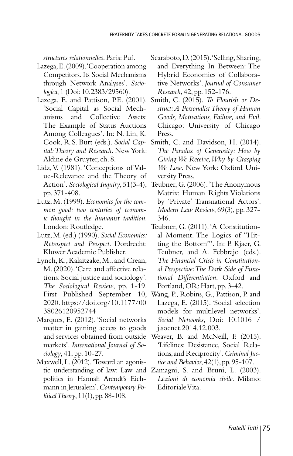*structures relationnelles*. Paris: Puf.

- Lazega, E. (2009). 'Cooperation among Competitors. Its Social Mechanisms through Network Analyses'. *Sociologica*, 1 (Doi: 10.2383/29560).
- Lazega, E. and Pattison, P.E. (2001). Smith, C. (2015). *To Flourish or De-*'Social Capital as Social Mechanisms and Collective Assets: The Example of Status Auctions Among Colleagues'. In: N. Lin, K. *ital: Theory and Research*. New York: Aldine de Gruyter, ch. 8.
- Lidz, V. (1981). 'Conceptions of Value-Relevance and the Theory of Action'. *Sociological Inquiry*, 51(3-4), pp. 371-408.
- Lutz, M. (1999). *Economics for the common good: two centuries of economic thought in the humanist tradition*. London: Routledge.
- Lutz, M. (ed.) (1990). *Social Economics: Retrospect and Prospect*. Dordrecht: Kluwer Academic Publisher.
- Lynch, K., Kalaitzake, M., and Crean, M. (2020). 'Care and affective relations: Social justice and sociology'. *The Sociological Review*, pp. 1-19. 2020. https://doi.org/10.1177/00 38026120952744
- Marques, E. (2012). 'Social networks matter in gaining access to goods and services obtained from outside markets'. *International Journal of Sociology*, 41, pp. 10-27.
- Maxwell, L. (2012). 'Toward an agonispolitics in Hannah Arendt's Eichmann in Jerusalem'. *Contemporary Political Theory*, 11(1), pp. 88-108.
- Scaraboto, D. (2015). 'Selling, Sharing, and Everything In Between: The Hybrid Economies of Collaborative Networks'. *Journal of Consumer Research*, 42, pp. 152-176.
- *struct: A Personalist Theory of Human Goods, Motivations, Failure, and Evil*. Chicago: University of Chicago Press.
- Cook, R.S. Burt (eds.). *Social Cap-*Smith, C. and Davidson, H. (2014). *The Paradox of Generosity: How by Giving We Receive, Why by Grasping We Lose*. New York: Oxford University Press.
	- Teubner, G. (2006). 'The Anonymous Matrix: Human Rights Violations by 'Private' Transnational Actors'. *Modern Law Review*, 69(3), pp. 327- 346.
	- Teubner, G. (2011). 'A Constitutional Moment. The Logics of "Hitting the Bottom"'. In: P. Kjaer, G. Teubner, and A. Febbrajo (eds.). *The Financial Crisis in Constitutional Perspective: The Dark Side of Functional Differentiation*. Oxford and Portland, OR: Hart, pp. 3-42.
- First Published September 10, Wang, P., Robins, G., Pattison, P. and Lazega, E. (2015). 'Social selection models for multilevel networks'. *Social Networks*, Doi: 10.1016 / j.socnet.2014.12.003.
	- Weaver, B. and McNeill, F. (2015). 'Lifelines: Desistance, Social Relations, and Reciprocity'. *Criminal Justice and Behavior*, 42(1), pp. 95-107.
- tic understanding of law: Law and Zamagni, S. and Bruni, L. (2003). *Lezioni di economia civile*. Milano: Editoriale Vita.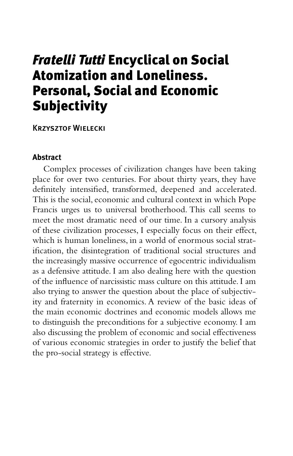# *Fratelli Tutti* Encyclical on Social Atomization and Loneliness. Personal, Social and Economic **Subjectivity**

Krzysztof Wielecki

## **Abstract**

Complex processes of civilization changes have been taking place for over two centuries. For about thirty years, they have definitely intensified, transformed, deepened and accelerated. This is the social, economic and cultural context in which Pope Francis urges us to universal brotherhood. This call seems to meet the most dramatic need of our time. In a cursory analysis of these civilization processes, I especially focus on their effect, which is human loneliness, in a world of enormous social stratification, the disintegration of traditional social structures and the increasingly massive occurrence of egocentric individualism as a defensive attitude. I am also dealing here with the question of the influence of narcissistic mass culture on this attitude. I am also trying to answer the question about the place of subjectivity and fraternity in economics. A review of the basic ideas of the main economic doctrines and economic models allows me to distinguish the preconditions for a subjective economy. I am also discussing the problem of economic and social effectiveness of various economic strategies in order to justify the belief that the pro-social strategy is effective.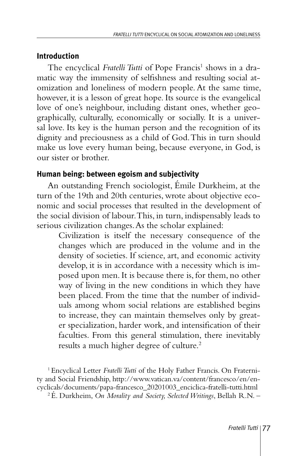## **Introduction**

The encyclical *Fratelli Tutti* of Pope Francis<sup>1</sup> shows in a dramatic way the immensity of selfishness and resulting social atomization and loneliness of modern people. At the same time, however, it is a lesson of great hope. Its source is the evangelical love of one's neighbour, including distant ones, whether geographically, culturally, economically or socially. It is a universal love. Its key is the human person and the recognition of its dignity and preciousness as a child of God. This in turn should make us love every human being, because everyone, in God, is our sister or brother.

## **Human being: between egoism and subjectivity**

An outstanding French sociologist, Émile Durkheim, at the turn of the 19th and 20th centuries, wrote about objective economic and social processes that resulted in the development of the social division of labour. This, in turn, indispensably leads to serious civilization changes. As the scholar explained:

Civilization is itself the necessary consequence of the changes which are produced in the volume and in the density of societies. If science, art, and economic activity develop, it is in accordance with a necessity which is imposed upon men. It is because there is, for them, no other way of living in the new conditions in which they have been placed. From the time that the number of individuals among whom social relations are established begins to increase, they can maintain themselves only by greater specialization, harder work, and intensification of their faculties. From this general stimulation, there inevitably results a much higher degree of culture.<sup>2</sup>

<sup>1</sup> Encyclical Letter *Fratelli Tutti* of the Holy Father Francis. On Fraternity and Social Friendship, http://www.vatican.va/content/francesco/en/encyclicals/documents/papa-francesco\_20201003\_enciclica-fratelli-tutti.html

<sup>2</sup> É. Durkheim, *On Morality and Society, Selected Writings*, Bellah R.N. –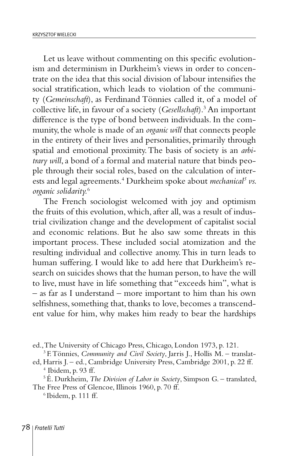Let us leave without commenting on this specific evolutionism and determinism in Durkheim's views in order to concentrate on the idea that this social division of labour intensifies the social stratification, which leads to violation of the community (*Gemeinschaft*), as Ferdinand Tönnies called it, of a model of collective life, in favour of a society (*Gesellschaft*).3 An important difference is the type of bond between individuals. In the community, the whole is made of an *organic will* that connects people in the entirety of their lives and personalities, primarily through spatial and emotional proximity. The basis of society is an *arbitrary will*, a bond of a formal and material nature that binds people through their social roles, based on the calculation of interests and legal agreements.<sup>4</sup> Durkheim spoke about *mechanical<sup>5</sup> vs. organic solidarity.*<sup>6</sup>

The French sociologist welcomed with joy and optimism the fruits of this evolution, which, after all, was a result of industrial civilization change and the development of capitalist social and economic relations. But he also saw some threats in this important process. These included social atomization and the resulting individual and collective anomy. This in turn leads to human suffering. I would like to add here that Durkheim's research on suicides shows that the human person, to have the will to live, must have in life something that "exceeds him", what is – as far as I understand – more important to him than his own selfishness, something that, thanks to love, becomes a transcendent value for him, why makes him ready to bear the hardships

ed., The University of Chicago Press, Chicago, London 1973, p. 121.

<sup>3</sup> F. Tönnies, *Community and Civil Society*, Jarris J., Hollis M. – translat-

ed, Harris J. – ed., Cambridge University Press, Cambridge 2001, p. 22 ff. 4 Ibidem, p. 93 ff.

<sup>5</sup> É. Durkheim, *The Division of Labor in Society*, Simpson G. – translated, The Free Press of Glencoe, Illinois 1960, p. 70 ff.

<sup>6</sup> Ibidem, p. 111 ff.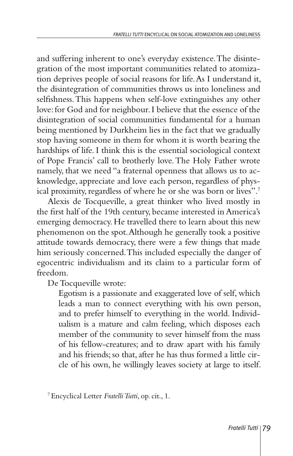and suffering inherent to one's everyday existence. The disintegration of the most important communities related to atomization deprives people of social reasons for life. As I understand it, the disintegration of communities throws us into loneliness and selfishness. This happens when self-love extinguishes any other love: for God and for neighbour. I believe that the essence of the disintegration of social communities fundamental for a human being mentioned by Durkheim lies in the fact that we gradually stop having someone in them for whom it is worth bearing the hardships of life. I think this is the essential sociological context of Pope Francis' call to brotherly love. The Holy Father wrote namely, that we need "a fraternal openness that allows us to acknowledge, appreciate and love each person, regardless of physical proximity, regardless of where he or she was born or lives".7

Alexis de Tocqueville, a great thinker who lived mostly in the first half of the 19th century, became interested in America's emerging democracy. He travelled there to learn about this new phenomenon on the spot. Although he generally took a positive attitude towards democracy, there were a few things that made him seriously concerned. This included especially the danger of egocentric individualism and its claim to a particular form of freedom.

De Tocqueville wrote:

Egotism is a passionate and exaggerated love of self, which leads a man to connect everything with his own person, and to prefer himself to everything in the world. Individualism is a mature and calm feeling, which disposes each member of the community to sever himself from the mass of his fellow-creatures; and to draw apart with his family and his friends; so that, after he has thus formed a little circle of his own, he willingly leaves society at large to itself.

<sup>7</sup>Encyclical Letter *Fratelli Tutti*, op. cit., 1.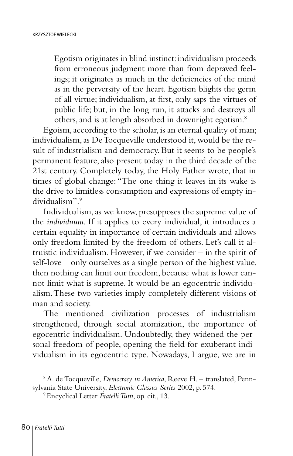Egotism originates in blind instinct: individualism proceeds from erroneous judgment more than from depraved feelings; it originates as much in the deficiencies of the mind as in the perversity of the heart. Egotism blights the germ of all virtue; individualism, at first, only saps the virtues of public life; but, in the long run, it attacks and destroys all others, and is at length absorbed in downright egotism.8

Egoism, according to the scholar, is an eternal quality of man; individualism, as De Tocqueville understood it, would be the result of industrialism and democracy. But it seems to be people's permanent feature, also present today in the third decade of the 21st century. Completely today, the Holy Father wrote, that in times of global change: "The one thing it leaves in its wake is the drive to limitless consumption and expressions of empty individualism".9

Individualism, as we know, presupposes the supreme value of the *individuum*. If it applies to every individual, it introduces a certain equality in importance of certain individuals and allows only freedom limited by the freedom of others. Let's call it altruistic individualism. However, if we consider – in the spirit of self-love – only ourselves as a single person of the highest value, then nothing can limit our freedom, because what is lower cannot limit what is supreme. It would be an egocentric individualism. These two varieties imply completely different visions of man and society.

The mentioned civilization processes of industrialism strengthened, through social atomization, the importance of egocentric individualism. Undoubtedly, they widened the personal freedom of people, opening the field for exuberant individualism in its egocentric type. Nowadays, I argue, we are in

<sup>8</sup>A. de Tocqueville, *Democracy in America*, Reeve H. – translated, Pennsylvania State University, *Electronic Classics Series* 2002, p. 574.

<sup>9</sup>Encyclical Letter *Fratelli Tutti*, op. cit., 13.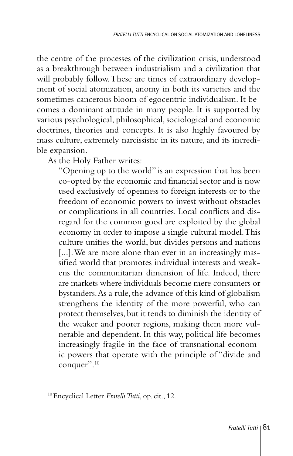the centre of the processes of the civilization crisis, understood as a breakthrough between industrialism and a civilization that will probably follow. These are times of extraordinary development of social atomization, anomy in both its varieties and the sometimes cancerous bloom of egocentric individualism. It becomes a dominant attitude in many people. It is supported by various psychological, philosophical, sociological and economic doctrines, theories and concepts. It is also highly favoured by mass culture, extremely narcissistic in its nature, and its incredible expansion.

As the Holy Father writes:

"Opening up to the world" is an expression that has been co-opted by the economic and financial sector and is now used exclusively of openness to foreign interests or to the freedom of economic powers to invest without obstacles or complications in all countries. Local conflicts and disregard for the common good are exploited by the global economy in order to impose a single cultural model. This culture unifies the world, but divides persons and nations [...]. We are more alone than ever in an increasingly massified world that promotes individual interests and weakens the communitarian dimension of life. Indeed, there are markets where individuals become mere consumers or bystanders. As a rule, the advance of this kind of globalism strengthens the identity of the more powerful, who can protect themselves, but it tends to diminish the identity of the weaker and poorer regions, making them more vulnerable and dependent. In this way, political life becomes increasingly fragile in the face of transnational economic powers that operate with the principle of "divide and conquer".<sup>10</sup>

10Encyclical Letter *Fratelli Tutti*, op. cit., 12.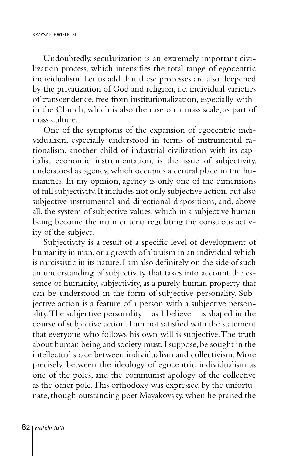Undoubtedly, secularization is an extremely important civilization process, which intensifies the total range of egocentric individualism. Let us add that these processes are also deepened by the privatization of God and religion, i.e. individual varieties of transcendence, free from institutionalization, especially within the Church, which is also the case on a mass scale, as part of mass culture.

One of the symptoms of the expansion of egocentric individualism, especially understood in terms of instrumental rationalism, another child of industrial civilization with its capitalist economic instrumentation, is the issue of subjectivity, understood as agency, which occupies a central place in the humanities. In my opinion, agency is only one of the dimensions of full subjectivity. It includes not only subjective action, but also subjective instrumental and directional dispositions, and, above all, the system of subjective values, which in a subjective human being become the main criteria regulating the conscious activity of the subject.

Subjectivity is a result of a specific level of development of humanity in man, or a growth of altruism in an individual which is narcissistic in its nature. I am also definitely on the side of such an understanding of subjectivity that takes into account the essence of humanity, subjectivity, as a purely human property that can be understood in the form of subjective personality. Subjective action is a feature of a person with a subjective personality. The subjective personality – as I believe – is shaped in the course of subjective action. I am not satisfied with the statement that everyone who follows his own will is subjective. The truth about human being and society must, I suppose, be sought in the intellectual space between individualism and collectivism. More precisely, between the ideology of egocentric individualism as one of the poles, and the communist apology of the collective as the other pole. This orthodoxy was expressed by the unfortunate, though outstanding poet Mayakovsky, when he praised the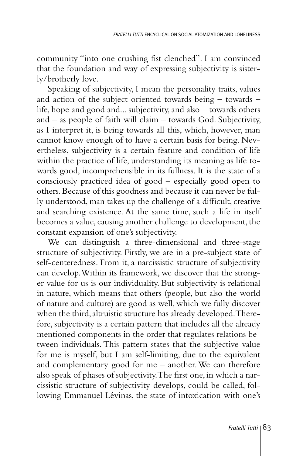community "into one crushing fist clenched". I am convinced that the foundation and way of expressing subjectivity is sisterly/brotherly love.

Speaking of subjectivity, I mean the personality traits, values and action of the subject oriented towards being – towards – life, hope and good and... subjectivity, and also – towards others and – as people of faith will claim – towards God. Subjectivity, as I interpret it, is being towards all this, which, however, man cannot know enough of to have a certain basis for being. Nevertheless, subjectivity is a certain feature and condition of life within the practice of life, understanding its meaning as life towards good, incomprehensible in its fullness. It is the state of a consciously practiced idea of good – especially good open to others. Because of this goodness and because it can never be fully understood, man takes up the challenge of a difficult, creative and searching existence. At the same time, such a life in itself becomes a value, causing another challenge to development, the constant expansion of one's subjectivity.

We can distinguish a three-dimensional and three-stage structure of subjectivity. Firstly, we are in a pre-subject state of self-centeredness. From it, a narcissistic structure of subjectivity can develop. Within its framework, we discover that the stronger value for us is our individuality. But subjectivity is relational in nature, which means that others (people, but also the world of nature and culture) are good as well, which we fully discover when the third, altruistic structure has already developed. Therefore, subjectivity is a certain pattern that includes all the already mentioned components in the order that regulates relations between individuals. This pattern states that the subjective value for me is myself, but I am self-limiting, due to the equivalent and complementary good for me – another. We can therefore also speak of phases of subjectivity. The first one, in which a narcissistic structure of subjectivity develops, could be called, following Emmanuel Lévinas, the state of intoxication with one's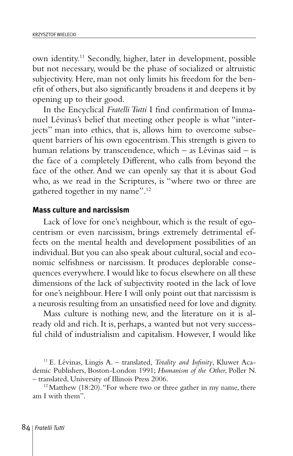own identity.11 Secondly, higher, later in development, possible but not necessary, would be the phase of socialized or altruistic subjectivity. Here, man not only limits his freedom for the benefit of others, but also significantly broadens it and deepens it by opening up to their good.

In the Encyclical *Fratelli Tutti* I find confirmation of Immanuel Lévinas's belief that meeting other people is what "interjects" man into ethics, that is, allows him to overcome subsequent barriers of his own egocentrism. This strength is given to human relations by transcendence, which – as Lévinas said – is the face of a completely Different, who calls from beyond the face of the other. And we can openly say that it is about God who, as we read in the Scriptures, is "where two or three are gathered together in my name".12

#### **Mass culture and narcissism**

Lack of love for one's neighbour, which is the result of egocentrism or even narcissism, brings extremely detrimental effects on the mental health and development possibilities of an individual. But you can also speak about cultural, social and economic selfishness or narcissism. It produces deplorable consequences everywhere. I would like to focus elsewhere on all these dimensions of the lack of subjectivity rooted in the lack of love for one's neighbour. Here I will only point out that narcissism is a neurosis resulting from an unsatisfied need for love and dignity.

Mass culture is nothing new, and the literature on it is already old and rich. It is, perhaps, a wanted but not very successful child of industrialism and capitalism. However, I would like

<sup>11</sup> E. Lévinas, Lingis A. – translated, *Totality and Infinity*, Kluwer Academic Publishers, Boston-London 1991; *Humanism of the Other*, Poller N. – translated, University of Illinois Press 2006.

 $12$  Matthew (18:20). "For where two or three gather in my name, there am I with them".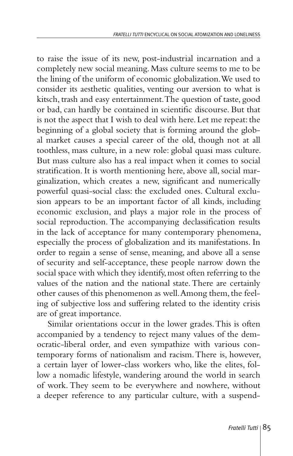to raise the issue of its new, post-industrial incarnation and a completely new social meaning. Mass culture seems to me to be the lining of the uniform of economic globalization. We used to consider its aesthetic qualities, venting our aversion to what is kitsch, trash and easy entertainment. The question of taste, good or bad, can hardly be contained in scientific discourse. But that is not the aspect that I wish to deal with here. Let me repeat: the beginning of a global society that is forming around the global market causes a special career of the old, though not at all toothless, mass culture, in a new role: global quasi mass culture. But mass culture also has a real impact when it comes to social stratification. It is worth mentioning here, above all, social marginalization, which creates a new, significant and numerically powerful quasi-social class: the excluded ones. Cultural exclusion appears to be an important factor of all kinds, including economic exclusion, and plays a major role in the process of social reproduction. The accompanying declassification results in the lack of acceptance for many contemporary phenomena, especially the process of globalization and its manifestations. In order to regain a sense of sense, meaning, and above all a sense of security and self-acceptance, these people narrow down the social space with which they identify, most often referring to the values of the nation and the national state. There are certainly other causes of this phenomenon as well. Among them, the feeling of subjective loss and suffering related to the identity crisis are of great importance.

Similar orientations occur in the lower grades. This is often accompanied by a tendency to reject many values of the democratic-liberal order, and even sympathize with various contemporary forms of nationalism and racism. There is, however, a certain layer of lower-class workers who, like the elites, follow a nomadic lifestyle, wandering around the world in search of work. They seem to be everywhere and nowhere, without a deeper reference to any particular culture, with a suspend-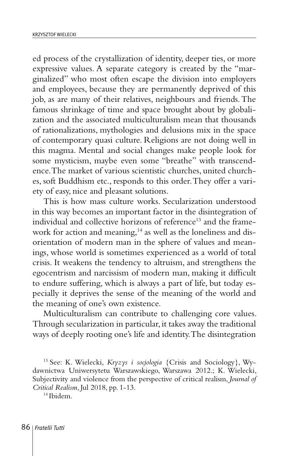ed process of the crystallization of identity, deeper ties, or more expressive values. A separate category is created by the "marginalized" who most often escape the division into employers and employees, because they are permanently deprived of this job, as are many of their relatives, neighbours and friends. The famous shrinkage of time and space brought about by globalization and the associated multiculturalism mean that thousands of rationalizations, mythologies and delusions mix in the space of contemporary quasi culture. Religions are not doing well in this magma. Mental and social changes make people look for some mysticism, maybe even some "breathe" with transcendence. The market of various scientistic churches, united churches, soft Buddhism etc., responds to this order. They offer a variety of easy, nice and pleasant solutions.

This is how mass culture works. Secularization understood in this way becomes an important factor in the disintegration of individual and collective horizons of reference<sup>13</sup> and the framework for action and meaning,<sup>14</sup> as well as the loneliness and disorientation of modern man in the sphere of values and meanings, whose world is sometimes experienced as a world of total crisis. It weakens the tendency to altruism, and strengthens the egocentrism and narcissism of modern man, making it difficult to endure suffering, which is always a part of life, but today especially it deprives the sense of the meaning of the world and the meaning of one's own existence.

Multiculturalism can contribute to challenging core values. Through secularization in particular, it takes away the traditional ways of deeply rooting one's life and identity. The disintegration

<sup>13</sup> See: K. Wielecki, *Kryzys i socjologia* {Crisis and Sociology}, Wydawnictwa Uniwersytetu Warszawskiego, Warszawa 2012.; K. Wielecki, Subjectivity and violence from the perspective of critical realism, *Journal of Critical Realism*, Jul 2018, pp. 1-13.

<sup>14</sup> Ibidem.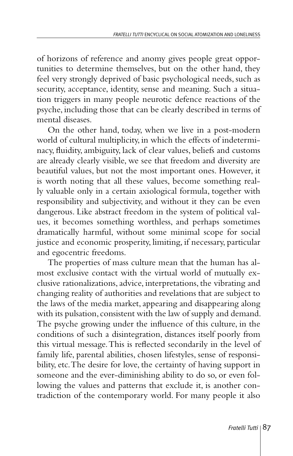of horizons of reference and anomy gives people great opportunities to determine themselves, but on the other hand, they feel very strongly deprived of basic psychological needs, such as security, acceptance, identity, sense and meaning. Such a situation triggers in many people neurotic defence reactions of the psyche, including those that can be clearly described in terms of mental diseases.

On the other hand, today, when we live in a post-modern world of cultural multiplicity, in which the effects of indeterminacy, fluidity, ambiguity, lack of clear values, beliefs and customs are already clearly visible, we see that freedom and diversity are beautiful values, but not the most important ones. However, it is worth noting that all these values, become something really valuable only in a certain axiological formula, together with responsibility and subjectivity, and without it they can be even dangerous. Like abstract freedom in the system of political values, it becomes something worthless, and perhaps sometimes dramatically harmful, without some minimal scope for social justice and economic prosperity, limiting, if necessary, particular and egocentric freedoms.

The properties of mass culture mean that the human has almost exclusive contact with the virtual world of mutually exclusive rationalizations, advice, interpretations, the vibrating and changing reality of authorities and revelations that are subject to the laws of the media market, appearing and disappearing along with its pulsation, consistent with the law of supply and demand. The psyche growing under the influence of this culture, in the conditions of such a disintegration, distances itself poorly from this virtual message. This is reflected secondarily in the level of family life, parental abilities, chosen lifestyles, sense of responsibility, etc. The desire for love, the certainty of having support in someone and the ever-diminishing ability to do so, or even following the values and patterns that exclude it, is another contradiction of the contemporary world. For many people it also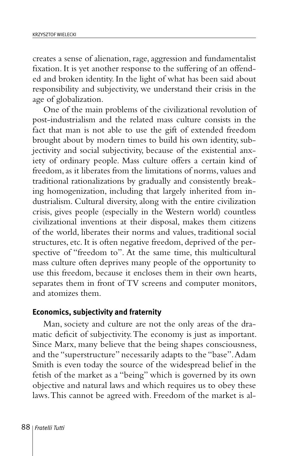creates a sense of alienation, rage, aggression and fundamentalist fixation. It is yet another response to the suffering of an offended and broken identity. In the light of what has been said about responsibility and subjectivity, we understand their crisis in the age of globalization.

One of the main problems of the civilizational revolution of post-industrialism and the related mass culture consists in the fact that man is not able to use the gift of extended freedom brought about by modern times to build his own identity, subjectivity and social subjectivity, because of the existential anxiety of ordinary people. Mass culture offers a certain kind of freedom, as it liberates from the limitations of norms, values and traditional rationalizations by gradually and consistently breaking homogenization, including that largely inherited from industrialism. Cultural diversity, along with the entire civilization crisis, gives people (especially in the Western world) countless civilizational inventions at their disposal, makes them citizens of the world, liberates their norms and values, traditional social structures, etc. It is often negative freedom, deprived of the perspective of "freedom to". At the same time, this multicultural mass culture often deprives many people of the opportunity to use this freedom, because it encloses them in their own hearts, separates them in front of TV screens and computer monitors, and atomizes them.

### **Economics, subjectivity and fraternity**

Man, society and culture are not the only areas of the dramatic deficit of subjectivity. The economy is just as important. Since Marx, many believe that the being shapes consciousness, and the "superstructure" necessarily adapts to the "base". Adam Smith is even today the source of the widespread belief in the fetish of the market as a "being" which is governed by its own objective and natural laws and which requires us to obey these laws. This cannot be agreed with. Freedom of the market is al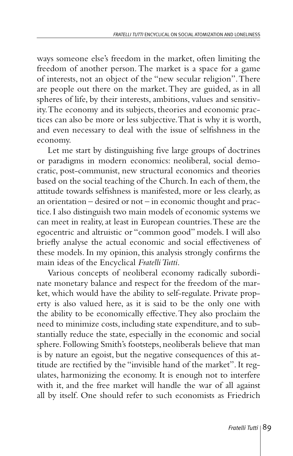ways someone else's freedom in the market, often limiting the freedom of another person. The market is a space for a game of interests, not an object of the "new secular religion". There are people out there on the market. They are guided, as in all spheres of life, by their interests, ambitions, values and sensitivity. The economy and its subjects, theories and economic practices can also be more or less subjective. That is why it is worth, and even necessary to deal with the issue of selfishness in the economy.

Let me start by distinguishing five large groups of doctrines or paradigms in modern economics: neoliberal, social democratic, post-communist, new structural economics and theories based on the social teaching of the Church. In each of them, the attitude towards selfishness is manifested, more or less clearly, as an orientation – desired or not – in economic thought and practice. I also distinguish two main models of economic systems we can meet in reality, at least in European countries. These are the egocentric and altruistic or "common good" models. I will also briefly analyse the actual economic and social effectiveness of these models. In my opinion, this analysis strongly confirms the main ideas of the Encyclical *Fratelli Tutti*.

Various concepts of neoliberal economy radically subordinate monetary balance and respect for the freedom of the market, which would have the ability to self-regulate. Private property is also valued here, as it is said to be the only one with the ability to be economically effective. They also proclaim the need to minimize costs, including state expenditure, and to substantially reduce the state, especially in the economic and social sphere. Following Smith's footsteps, neoliberals believe that man is by nature an egoist, but the negative consequences of this attitude are rectified by the "invisible hand of the market". It regulates, harmonizing the economy. It is enough not to interfere with it, and the free market will handle the war of all against all by itself. One should refer to such economists as Friedrich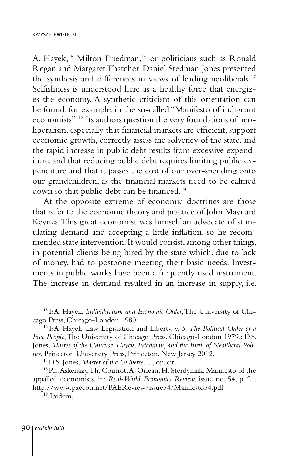A. Hayek,<sup>15</sup> Milton Friedman,<sup>16</sup> or politicians such as Ronald Regan and Margaret Thatcher. Daniel Stedman Jones presented the synthesis and differences in views of leading neoliberals.<sup>17</sup> Selfishness is understood here as a healthy force that energizes the economy. A synthetic criticism of this orientation can be found, for example, in the so-called "Manifesto of indignant economists".18 Its authors question the very foundations of neoliberalism, especially that financial markets are efficient, support economic growth, correctly assess the solvency of the state, and the rapid increase in public debt results from excessive expenditure, and that reducing public debt requires limiting public expenditure and that it passes the cost of our over-spending onto our grandchildren, as the financial markets need to be calmed down so that public debt can be financed.19

At the opposite extreme of economic doctrines are those that refer to the economic theory and practice of John Maynard Keynes. This great economist was himself an advocate of stimulating demand and accepting a little inflation, so he recommended state intervention. It would consist, among other things, in potential clients being hired by the state which, due to lack of money, had to postpone meeting their basic needs. Investments in public works have been a frequently used instrument. The increase in demand resulted in an increase in supply, i.e.

<sup>15</sup> F.A. Hayek, *Individualism and Economic Order*, The University of Chicago Press, Chicago-London 1980.

<sup>16</sup> F.A. Hayek, Law Legislation and Liberty, v. 3, *The Political Order of a Free People*, The University of Chicago Press, Chicago-London 1979.; D.S. Jones, *Master of the Universe. Hayek, Friedman, and the Birth of Neoliberal Politics*, Princeton University Press, Princeton, New Jersey 2012.

17D.S. Jones, *Master of the Universe*. ..., op. cit.

<sup>18</sup> Ph. Askenazy, Th. Coutrot, A. Orlean, H. Sterdyniak, Manifesto of the appalled economists, in: *Real-World Economics Review*, issue no. 54, p. 21. http://www.paecon.net/PAEReview/issue54/Manifesto54.pdf

19 Ibidem.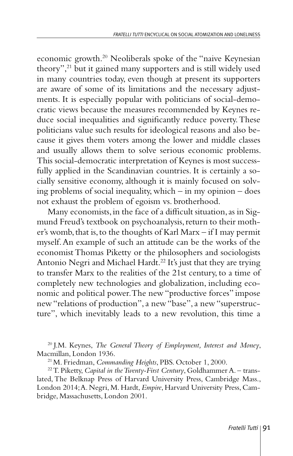economic growth.20 Neoliberals spoke of the "naive Keynesian theory",21 but it gained many supporters and is still widely used in many countries today, even though at present its supporters are aware of some of its limitations and the necessary adjustments. It is especially popular with politicians of social-democratic views because the measures recommended by Keynes reduce social inequalities and significantly reduce poverty. These politicians value such results for ideological reasons and also because it gives them voters among the lower and middle classes and usually allows them to solve serious economic problems. This social-democratic interpretation of Keynes is most successfully applied in the Scandinavian countries. It is certainly a socially sensitive economy, although it is mainly focused on solving problems of social inequality, which – in my opinion – does not exhaust the problem of egoism vs. brotherhood.

Many economists, in the face of a difficult situation, as in Sigmund Freud's textbook on psychoanalysis, return to their mother's womb, that is, to the thoughts of Karl Marx – if I may permit myself. An example of such an attitude can be the works of the economist Thomas Piketty or the philosophers and sociologists Antonio Negri and Michael Hardt.<sup>22</sup> It's just that they are trying to transfer Marx to the realities of the 21st century, to a time of completely new technologies and globalization, including economic and political power. The new "productive forces" impose new "relations of production", a new "base", a new "superstructure", which inevitably leads to a new revolution, this time a

<sup>20</sup> J.M. Keynes, *The General Theory of Employment, Interest and Money*, Macmillan, London 1936.

21M. Friedman, *Commanding Heights*, PBS. October 1, 2000.

<sup>22</sup> T. Piketty, *Capital in the Twenty-First Century*, Goldhammer A. – translated, The Belknap Press of Harvard University Press, Cambridge Mass., London 2014; A. Negri, M. Hardt, *Empire*, Harvard University Press, Cambridge, Massachusetts, London 2001.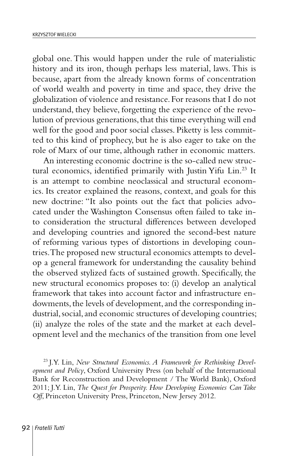global one. This would happen under the rule of materialistic history and its iron, though perhaps less material, laws. This is because, apart from the already known forms of concentration of world wealth and poverty in time and space, they drive the globalization of violence and resistance. For reasons that I do not understand, they believe, forgetting the experience of the revolution of previous generations, that this time everything will end well for the good and poor social classes. Piketty is less committed to this kind of prophecy, but he is also eager to take on the role of Marx of our time, although rather in economic matters.

An interesting economic doctrine is the so-called new structural economics, identified primarily with Justin Yifu Lin.23 It is an attempt to combine neoclassical and structural economics. Its creator explained the reasons, context, and goals for this new doctrine: "It also points out the fact that policies advocated under the Washington Consensus often failed to take into consideration the structural differences between developed and developing countries and ignored the second-best nature of reforming various types of distortions in developing countries. The proposed new structural economics attempts to develop a general framework for understanding the causality behind the observed stylized facts of sustained growth. Specifically, the new structural economics proposes to: (i) develop an analytical framework that takes into account factor and infrastructure endowments, the levels of development, and the corresponding industrial, social, and economic structures of developing countries; (ii) analyze the roles of the state and the market at each development level and the mechanics of the transition from one level

<sup>23</sup> J.Y. Lin, *New Structural Economics. A Framework for Rethinking Development and Policy*, Oxford University Press (on behalf of the International Bank for Reconstruction and Development / The World Bank), Oxford 2011; J.Y. Lin, *The Quest for Prosperity. How Developing Economies Can Take Off*, Princeton University Press, Princeton, New Jersey 2012.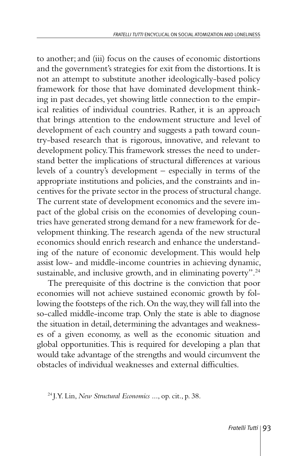to another; and (iii) focus on the causes of economic distortions and the government's strategies for exit from the distortions. It is not an attempt to substitute another ideologically-based policy framework for those that have dominated development thinking in past decades, yet showing little connection to the empirical realities of individual countries. Rather, it is an approach that brings attention to the endowment structure and level of development of each country and suggests a path toward country-based research that is rigorous, innovative, and relevant to development policy. This framework stresses the need to understand better the implications of structural differences at various levels of a country's development – especially in terms of the appropriate institutions and policies, and the constraints and incentives for the private sector in the process of structural change. The current state of development economics and the severe impact of the global crisis on the economies of developing countries have generated strong demand for a new framework for development thinking. The research agenda of the new structural economics should enrich research and enhance the understanding of the nature of economic development. This would help assist low- and middle-income countries in achieving dynamic, sustainable, and inclusive growth, and in eliminating poverty".<sup>24</sup>

The prerequisite of this doctrine is the conviction that poor economies will not achieve sustained economic growth by following the footsteps of the rich. On the way, they will fall into the so-called middle-income trap. Only the state is able to diagnose the situation in detail, determining the advantages and weaknesses of a given economy, as well as the economic situation and global opportunities. This is required for developing a plan that would take advantage of the strengths and would circumvent the obstacles of individual weaknesses and external difficulties.

<sup>24</sup> J.Y. Lin, *New Structural Economics* ..., op. cit., p. 38.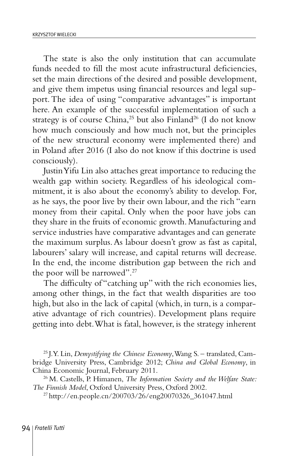The state is also the only institution that can accumulate funds needed to fill the most acute infrastructural deficiencies, set the main directions of the desired and possible development, and give them impetus using financial resources and legal support. The idea of using "comparative advantages" is important here. An example of the successful implementation of such a strategy is of course China,<sup>25</sup> but also Finland<sup>26</sup> (I do not know how much consciously and how much not, but the principles of the new structural economy were implemented there) and in Poland after 2016 (I also do not know if this doctrine is used consciously).

Justin Yifu Lin also attaches great importance to reducing the wealth gap within society. Regardless of his ideological commitment, it is also about the economy's ability to develop. For, as he says, the poor live by their own labour, and the rich "earn money from their capital. Only when the poor have jobs can they share in the fruits of economic growth. Manufacturing and service industries have comparative advantages and can generate the maximum surplus. As labour doesn't grow as fast as capital, labourers' salary will increase, and capital returns will decrease. In the end, the income distribution gap between the rich and the poor will be narrowed".27

The difficulty of "catching up" with the rich economies lies, among other things, in the fact that wealth disparities are too high, but also in the lack of capital (which, in turn, is a comparative advantage of rich countries). Development plans require getting into debt. What is fatal, however, is the strategy inherent

<sup>25</sup> J.Y. Lin, *Demystifying the Chinese Economy*, Wang S. – translated, Cambridge University Press, Cambridge 2012; *China and Global Economy*, in China Economic Journal, February 2011.

<sup>26</sup> M. Castells, P. Himanen, *The Information Society and the Welfare State: The Finnish Model*, Oxford University Press, Oxford 2002.

 $^{27}$  http://en.people.cn/200703/26/eng20070326\_361047.html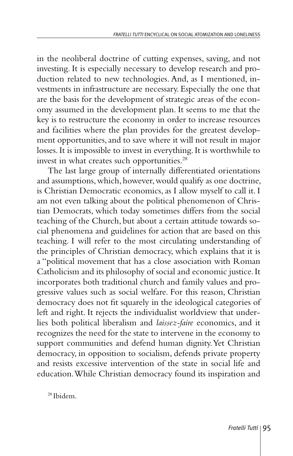in the neoliberal doctrine of cutting expenses, saving, and not investing. It is especially necessary to develop research and production related to new technologies. And, as I mentioned, investments in infrastructure are necessary. Especially the one that are the basis for the development of strategic areas of the economy assumed in the development plan. It seems to me that the key is to restructure the economy in order to increase resources and facilities where the plan provides for the greatest development opportunities, and to save where it will not result in major losses. It is impossible to invest in everything. It is worthwhile to invest in what creates such opportunities.28

The last large group of internally differentiated orientations and assumptions, which, however, would qualify as one doctrine, is Christian Democratic economics, as I allow myself to call it. I am not even talking about the political phenomenon of Christian Democrats, which today sometimes differs from the social teaching of the Church, but about a certain attitude towards social phenomena and guidelines for action that are based on this teaching. I will refer to the most circulating understanding of the principles of Christian democracy, which explains that it is a "political movement that has a close association with Roman Catholicism and its philosophy of social and economic justice. It incorporates both traditional church and family values and progressive values such as social welfare. For this reason, Christian democracy does not fit squarely in the ideological categories of left and right. It rejects the individualist worldview that underlies both political liberalism and *laissez-faire* economics, and it recognizes the need for the state to intervene in the economy to support communities and defend human dignity. Yet Christian democracy, in opposition to socialism, defends private property and resists excessive intervention of the state in social life and education. While Christian democracy found its inspiration and

<sup>28</sup> Ibidem.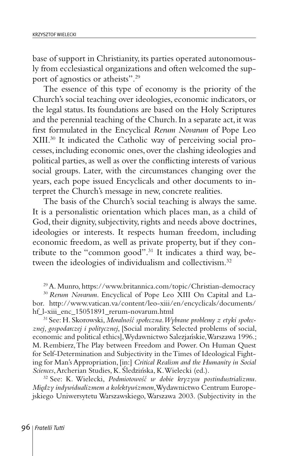base of support in Christianity, its parties operated autonomously from ecclesiastical organizations and often welcomed the support of agnostics or atheists".29

The essence of this type of economy is the priority of the Church's social teaching over ideologies, economic indicators, or the legal status. Its foundations are based on the Holy Scriptures and the perennial teaching of the Church. In a separate act, it was first formulated in the Encyclical *Rerum Novarum* of Pope Leo XIII.30 It indicated the Catholic way of perceiving social processes, including economic ones, over the clashing ideologies and political parties, as well as over the conflicting interests of various social groups. Later, with the circumstances changing over the years, each pope issued Encyclicals and other documents to interpret the Church's message in new, concrete realities.

The basis of the Church's social teaching is always the same. It is a personalistic orientation which places man, as a child of God, their dignity, subjectivity, rights and needs above doctrines, ideologies or interests. It respects human freedom, including economic freedom, as well as private property, but if they contribute to the "common good".31 It indicates a third way, between the ideologies of individualism and collectivism.<sup>32</sup>

29A. Munro, https://www.britannica.com/topic/Christian-democracy

<sup>30</sup> Rerum Novarum. Encyclical of Pope Leo XIII On Capital and Labor. http://www.vatican.va/content/leo-xiii/en/encyclicals/documents/

hf\_l-xiii\_enc\_15051891\_rerum-novarum.html<br><sup>31</sup> See: H. Skorowski, *Moralność społeczna. Wybrane problemy z etyki społecznej, gospodarczej i politycznej*, [Social morality. Selected problems of social, economic and political ethics], Wydawnictwo Salezjańskie, Warszawa 1996.; M. Rembierz, The Play between Freedom and Power. On Human Quest for Self-Determination and Subjectivity in the Times of Ideological Fighting for Man's Appropriation, [in:] *Critical Realism and the Humanity in Social Sciences*, Archerian Studies, K. S´ledzin´ska, K. Wielecki (ed.).

<sup>32</sup> See: K. Wielecki, *Podmiotowość w dobie kryzysu postindustrializmu*. *Mie˛dzy indywidualizmem a kolektywizmem*, Wydawnictwo Centrum Europejskiego Uniwersytetu Warszawskiego, Warszawa 2003. (Subjectivity in the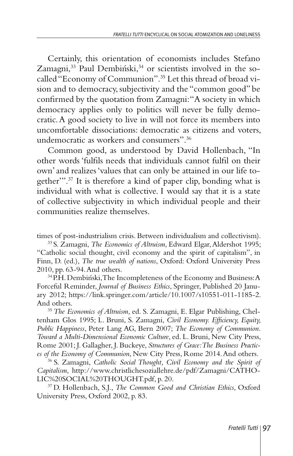Certainly, this orientation of economists includes Stefano Zamagni, $33$  Paul Dembin´ski, $34$  or scientists involved in the socalled "Economy of Communion".35 Let this thread of broad vision and to democracy, subjectivity and the "common good" be confirmed by the quotation from Zamagni: "A society in which democracy applies only to politics will never be fully democratic. A good society to live in will not force its members into uncomfortable dissociations: democratic as citizens and voters, undemocratic as workers and consumers".36

Common good, as understood by David Hollenbach, "In other words 'fulfils needs that individuals cannot fulfil on their own' and realizes 'values that can only be attained in our life together'".37 It is therefore a kind of paper clip, bonding what is individual with what is collective. I would say that it is a state of collective subjectivity in which individual people and their communities realize themselves.

times of post-industrialism crisis. Between individualism and collectivism).

<sup>33</sup> S. Zamagni, *The Economics of Altruism*, Edward Elgar, Aldershot 1995; "Catholic social thought, civil economy and the spirit of capitalism", in Finn, D. (ed.), *The true wealth of nations*, Oxford: Oxford University Press 2010, pp. 63-94. And others.

<sup>34</sup> P.H. Dembin´ski, The Incompleteness of the Economy and Business: A Forceful Reminder, *Journal of Business Ethics*, Springer, Published 20 January 2012; https://link.springer.com/article/10.1007/s10551-011-1185-2. And others.

<sup>35</sup> *The Economics of Altruism*, ed. S. Zamagni, E. Elgar Publishing, Cheltenham Glos 1995; L. Bruni, S. Zamagni, *Civil Economy. Efficiency, Equity, Public Happiness*, Peter Lang AG, Bern 2007; *The Economy of Communion. Toward a Multi-Dimensional Economic Culture*, ed. L. Bruni, New City Press, Rome 2001; J. Gallagher, J. Buckeye, *Structures of Grace: The Business Practices of the Economy of Communion*, New City Press, Rome 2014. And others.

<sup>36</sup> S. Zamagni, *Catholic Social Thought, Civil Economy and the Spirit of Capitalism*, http://www.christlichesoziallehre.de/pdf/Zamagni/CATHO-LIC%20SOCIAL%20THOUGHT.pdf, p. 20.

<sup>37</sup> D. Hollenbach, S.J., *The Common Good and Christian Ethics*, Oxford University Press, Oxford 2002, p. 83.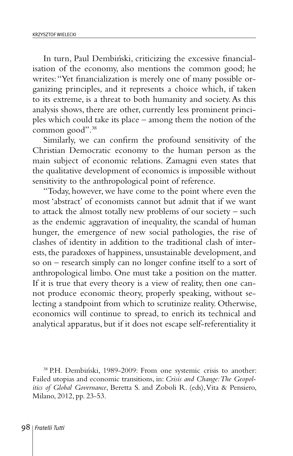In turn, Paul Dembiński, criticizing the excessive financialisation of the economy, also mentions the common good; he writes: "Yet financialization is merely one of many possible organizing principles, and it represents a choice which, if taken to its extreme, is a threat to both humanity and society. As this analysis shows, there are other, currently less prominent principles which could take its place – among them the notion of the common good".<sup>38</sup>

Similarly, we can confirm the profound sensitivity of the Christian Democratic economy to the human person as the main subject of economic relations. Zamagni even states that the qualitative development of economics is impossible without sensitivity to the anthropological point of reference.

"Today, however, we have come to the point where even the most 'abstract' of economists cannot but admit that if we want to attack the almost totally new problems of our society – such as the endemic aggravation of inequality, the scandal of human hunger, the emergence of new social pathologies, the rise of clashes of identity in addition to the traditional clash of interests, the paradoxes of happiness, unsustainable development, and so on – research simply can no longer confine itself to a sort of anthropological limbo. One must take a position on the matter. If it is true that every theory is a view of reality, then one cannot produce economic theory, properly speaking, without selecting a standpoint from which to scrutinize reality. Otherwise, economics will continue to spread, to enrich its technical and analytical apparatus, but if it does not escape self-referentiality it

<sup>38</sup> P.H. Dembiński, 1989-2009: From one systemic crisis to another: Failed utopias and economic transitions, in: *Crisis and Change: The Geopolitics of Global Governance*, Beretta S. and Zoboli R. (eds), Vita & Pensiero, Milano, 2012, pp. 23-53.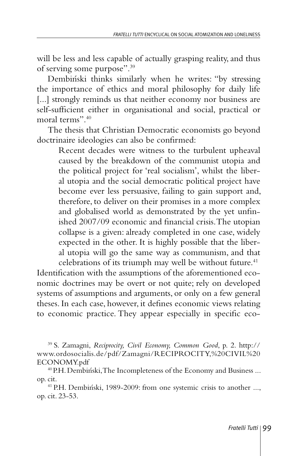will be less and less capable of actually grasping reality, and thus of serving some purpose".39

Dembin´ski thinks similarly when he writes: "by stressing the importance of ethics and moral philosophy for daily life [...] strongly reminds us that neither economy nor business are self-sufficient either in organisational and social, practical or moral terms".40

The thesis that Christian Democratic economists go beyond doctrinaire ideologies can also be confirmed:

Recent decades were witness to the turbulent upheaval caused by the breakdown of the communist utopia and the political project for 'real socialism', whilst the liberal utopia and the social democratic political project have become ever less persuasive, failing to gain support and, therefore, to deliver on their promises in a more complex and globalised world as demonstrated by the yet unfinished 2007/09 economic and financial crisis. The utopian collapse is a given: already completed in one case, widely expected in the other. It is highly possible that the liberal utopia will go the same way as communism, and that celebrations of its triumph may well be without future.<sup>41</sup>

Identification with the assumptions of the aforementioned economic doctrines may be overt or not quite; rely on developed systems of assumptions and arguments, or only on a few general theses. In each case, however, it defines economic views relating to economic practice. They appear especially in specific eco-

<sup>39</sup> S. Zamagni, *Reciprocity, Civil Economy, Common Good*, p. 2. http:// www.ordosocialis.de/pdf/Zamagni/RECIPROCITY,%20CIVIL%20 ECONOMY.pdf

<sup>41</sup> P.H. Dembiński, 1989-2009: from one systemic crisis to another ..., op. cit. 23-53.

<sup>40</sup>P.H. Dembin´ski, The Incompleteness of the Economy and Business ... op. cit.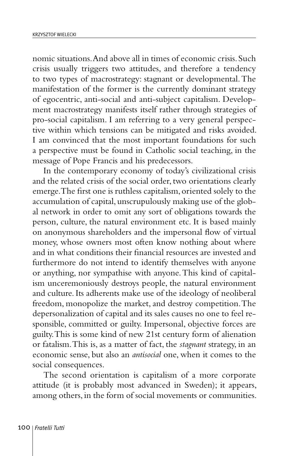nomic situations. And above all in times of economic crisis. Such crisis usually triggers two attitudes, and therefore a tendency to two types of macrostrategy: stagnant or developmental. The manifestation of the former is the currently dominant strategy of egocentric, anti-social and anti-subject capitalism. Development macrostrategy manifests itself rather through strategies of pro-social capitalism. I am referring to a very general perspective within which tensions can be mitigated and risks avoided. I am convinced that the most important foundations for such a perspective must be found in Catholic social teaching, in the message of Pope Francis and his predecessors.

In the contemporary economy of today's civilizational crisis and the related crisis of the social order, two orientations clearly emerge. The first one is ruthless capitalism, oriented solely to the accumulation of capital, unscrupulously making use of the global network in order to omit any sort of obligations towards the person, culture, the natural environment etc. It is based mainly on anonymous shareholders and the impersonal flow of virtual money, whose owners most often know nothing about where and in what conditions their financial resources are invested and furthermore do not intend to identify themselves with anyone or anything, nor sympathise with anyone. This kind of capitalism unceremoniously destroys people, the natural environment and culture. Its adherents make use of the ideology of neoliberal freedom, monopolize the market, and destroy competition. The depersonalization of capital and its sales causes no one to feel responsible, committed or guilty. Impersonal, objective forces are guilty. This is some kind of new 21st century form of alienation or fatalism. This is, as a matter of fact, the *stagnant* strategy, in an economic sense, but also an *antisocial* one, when it comes to the social consequences.

The second orientation is capitalism of a more corporate attitude (it is probably most advanced in Sweden); it appears, among others, in the form of social movements or communities.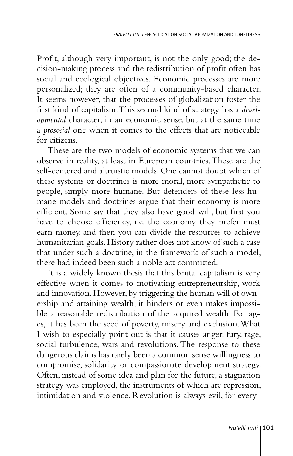Profit, although very important, is not the only good; the decision-making process and the redistribution of profit often has social and ecological objectives. Economic processes are more personalized; they are often of a community-based character. It seems however, that the processes of globalization foster the first kind of capitalism. This second kind of strategy has a *developmental* character, in an economic sense, but at the same time a *prosocial* one when it comes to the effects that are noticeable for citizens.

These are the two models of economic systems that we can observe in reality, at least in European countries. These are the self-centered and altruistic models. One cannot doubt which of these systems or doctrines is more moral, more sympathetic to people, simply more humane. But defenders of these less humane models and doctrines argue that their economy is more efficient. Some say that they also have good will, but first you have to choose efficiency, i.e. the economy they prefer must earn money, and then you can divide the resources to achieve humanitarian goals. History rather does not know of such a case that under such a doctrine, in the framework of such a model, there had indeed been such a noble act committed.

It is a widely known thesis that this brutal capitalism is very effective when it comes to motivating entrepreneurship, work and innovation. However, by triggering the human will of ownership and attaining wealth, it hinders or even makes impossible a reasonable redistribution of the acquired wealth. For ages, it has been the seed of poverty, misery and exclusion. What I wish to especially point out is that it causes anger, fury, rage, social turbulence, wars and revolutions. The response to these dangerous claims has rarely been a common sense willingness to compromise, solidarity or compassionate development strategy. Often, instead of some idea and plan for the future, a stagnation strategy was employed, the instruments of which are repression, intimidation and violence. Revolution is always evil, for every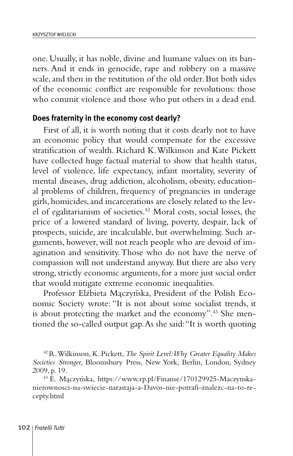one. Usually, it has noble, divine and humane values on its banners. And it ends in genocide, rape and robbery on a massive scale, and then in the restitution of the old order. But both sides of the economic conflict are responsible for revolutions: those who commit violence and those who put others in a dead end.

## **Does fraternity in the economy cost dearly?**

First of all, it is worth noting that it costs dearly not to have an economic policy that would compensate for the excessive stratification of wealth. Richard K. Wilkinson and Kate Pickett have collected huge factual material to show that health status, level of violence, life expectancy, infant mortality, severity of mental diseases, drug addiction, alcoholism, obesity, educational problems of children, frequency of pregnancies in underage girls, homicides, and incarcerations are closely related to the level of egalitarianism of societies.42 Moral costs, social losses, the price of a lowered standard of living, poverty, despair, lack of prospects, suicide, are incalculable, but overwhelming. Such arguments, however, will not reach people who are devoid of imagination and sensitivity. Those who do not have the nerve of compassion will not understand anyway. But there are also very strong, strictly economic arguments, for a more just social order that would mitigate extreme economic inequalities.

Professor Elżbieta Mączyńska, President of the Polish Economic Society wrote: "It is not about some socialist trends, it is about protecting the market and the economy".43 She mentioned the so-called output gap. As she said: "It is worth quoting

<sup>42</sup> R. Wilkinson, K. Pickett, *The Spirit Level: Why Greater Equality Makes Societies Stronger*, Bloomsbury Press, New York, Berlin, London, Sydney 2009, p. 19.

<sup>&</sup>lt;sup>43</sup> E. Mączyńska, https://www.rp.pl/Finanse/170129925-Maczynskanierownosci-na-swiecie-narastaja-a-Davos-nie-potrafi-znalezc-na-to-recepty.html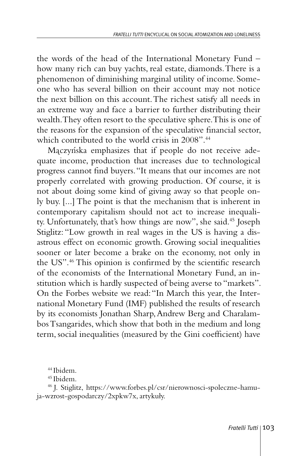the words of the head of the International Monetary Fund – how many rich can buy yachts, real estate, diamonds. There is a phenomenon of diminishing marginal utility of income. Someone who has several billion on their account may not notice the next billion on this account. The richest satisfy all needs in an extreme way and face a barrier to further distributing their wealth. They often resort to the speculative sphere. This is one of the reasons for the expansion of the speculative financial sector, which contributed to the world crisis in 2008".<sup>44</sup>

Mączyńska emphasizes that if people do not receive adequate income, production that increases due to technological progress cannot find buyers. "It means that our incomes are not properly correlated with growing production. Of course, it is not about doing some kind of giving away so that people only buy. [...] The point is that the mechanism that is inherent in contemporary capitalism should not act to increase inequality. Unfortunately, that's how things are now", she said.45 Joseph Stiglitz: "Low growth in real wages in the US is having a disastrous effect on economic growth. Growing social inequalities sooner or later become a brake on the economy, not only in the US".46 This opinion is confirmed by the scientific research of the economists of the International Monetary Fund, an institution which is hardly suspected of being averse to "markets". On the Forbes website we read: "In March this year, the International Monetary Fund (IMF) published the results of research by its economists Jonathan Sharp, Andrew Berg and Charalambos Tsangarides, which show that both in the medium and long term, social inequalities (measured by the Gini coefficient) have

<sup>46</sup> J. Stiglitz, https://www.forbes.pl/csr/nierownosci-spoleczne-hamuja-wzrost-gospodarczy/2xpkw7x, artykuły.

<sup>44</sup> Ibidem.

<sup>45</sup> Ibidem.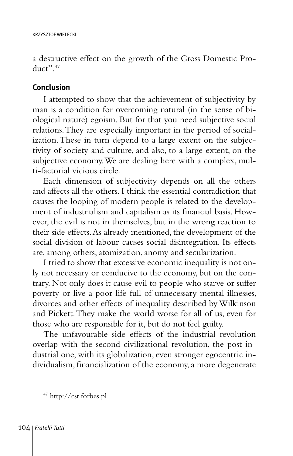a destructive effect on the growth of the Gross Domestic Product". $47$ 

### **Conclusion**

I attempted to show that the achievement of subjectivity by man is a condition for overcoming natural (in the sense of biological nature) egoism. But for that you need subjective social relations. They are especially important in the period of socialization. These in turn depend to a large extent on the subjectivity of society and culture, and also, to a large extent, on the subjective economy. We are dealing here with a complex, multi-factorial vicious circle.

Each dimension of subjectivity depends on all the others and affects all the others. I think the essential contradiction that causes the looping of modern people is related to the development of industrialism and capitalism as its financial basis. However, the evil is not in themselves, but in the wrong reaction to their side effects. As already mentioned, the development of the social division of labour causes social disintegration. Its effects are, among others, atomization, anomy and secularization.

I tried to show that excessive economic inequality is not only not necessary or conducive to the economy, but on the contrary. Not only does it cause evil to people who starve or suffer poverty or live a poor life full of unnecessary mental illnesses, divorces and other effects of inequality described by Wilkinson and Pickett. They make the world worse for all of us, even for those who are responsible for it, but do not feel guilty.

The unfavourable side effects of the industrial revolution overlap with the second civilizational revolution, the post-industrial one, with its globalization, even stronger egocentric individualism, financialization of the economy, a more degenerate

47 http://csr.forbes.pl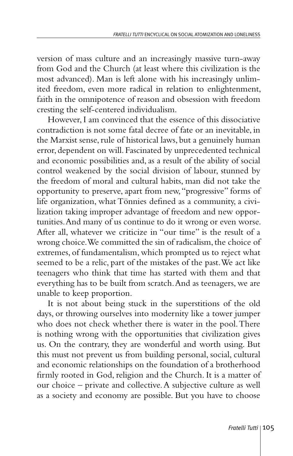version of mass culture and an increasingly massive turn-away from God and the Church (at least where this civilization is the most advanced). Man is left alone with his increasingly unlimited freedom, even more radical in relation to enlightenment, faith in the omnipotence of reason and obsession with freedom cresting the self-centered individualism.

However, I am convinced that the essence of this dissociative contradiction is not some fatal decree of fate or an inevitable, in the Marxist sense, rule of historical laws, but a genuinely human error, dependent on will. Fascinated by unprecedented technical and economic possibilities and, as a result of the ability of social control weakened by the social division of labour, stunned by the freedom of moral and cultural habits, man did not take the opportunity to preserve, apart from new, "progressive" forms of life organization, what Tönnies defined as a community, a civilization taking improper advantage of freedom and new opportunities. And many of us continue to do it wrong or even worse. After all, whatever we criticize in "our time" is the result of a wrong choice. We committed the sin of radicalism, the choice of extremes, of fundamentalism, which prompted us to reject what seemed to be a relic, part of the mistakes of the past. We act like teenagers who think that time has started with them and that everything has to be built from scratch. And as teenagers, we are unable to keep proportion.

It is not about being stuck in the superstitions of the old days, or throwing ourselves into modernity like a tower jumper who does not check whether there is water in the pool. There is nothing wrong with the opportunities that civilization gives us. On the contrary, they are wonderful and worth using. But this must not prevent us from building personal, social, cultural and economic relationships on the foundation of a brotherhood firmly rooted in God, religion and the Church. It is a matter of our choice – private and collective. A subjective culture as well as a society and economy are possible. But you have to choose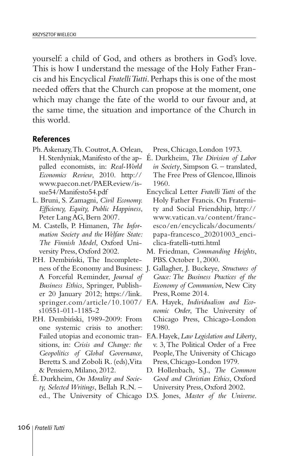yourself: a child of God, and others as brothers in God's love. This is how I understand the message of the Holy Father Francis and his Encyclical *Fratelli Tutti*. Perhaps this is one of the most needed offers that the Church can propose at the moment, one which may change the fate of the world to our favour and, at the same time, the situation and importance of the Church in this world.

#### **References**

- Ph. Askenazy, Th. Coutrot, A. Orlean, H. Sterdyniak, Manifesto of the appalled economists, in: *Real-World Economics Review*, 2010. http:// www.paecon.net/PAEReview/issue54/Manifesto54.pdf
- L. Bruni, S. Zamagni, *Civil Economy. Efficiency, Equity, Public Happiness*, Peter Lang AG, Bern 2007.
- M. Castells, P. Himanen, *The Information Society and the Welfare State: The Finnish Model*, Oxford University Press, Oxford 2002.
- P.H. Dembiński, The Incomplete-A Forceful Reminder, *Journal of Business Ethics*, Springer, Publisher 20 January 2012; https://link. springer.com/article/10.1007/ s10551-011-1185-2
- P.H. Dembiński, 1989-2009: From one systemic crisis to another: sitions, in: *Crisis and Change: the Geopolitics of Global Governance*, Beretta S. and Zoboli R. (eds), Vita & Pensiero, Milano, 2012.
- É. Durkheim, *On Morality and Society, Selected Writings*, Bellah R.N. –

Press, Chicago, London 1973.

- É. Durkheim, *The Division of Labor in Society*, Simpson G. – translated, The Free Press of Glencoe, Illinois 1960.
- Encyclical Letter *Fratelli Tutti* of the Holy Father Francis. On Fraternity and Social Friendship, http:// www.vatican.va/content/francesco/en/encyclicals/documents/ papa-francesco\_20201003\_enciclica-fratelli-tutti.html
- M. Friedman, *Commanding Heights*, PBS. October 1, 2000.
- ness of the Economy and Business: J. Gallagher, J. Buckeye, *Structures of Grace: The Business Practices of the Economy of Communion*, New City Press, Rome 2014.
	- F.A. Hayek, *Individualism and Economic Order*, The University of Chicago Press, Chicago-London 1980.
- Failed utopias and economic tran-F.A. Hayek, *Law Legislation and Liberty*, v. 3, The Political Order of a Free People, The University of Chicago Press, Chicago-London 1979.
	- D. Hollenbach, S.J., *The Common Good and Christian Ethics*, Oxford University Press, Oxford 2002.
- ed., The University of Chicago D.S. Jones, *Master of the Universe.*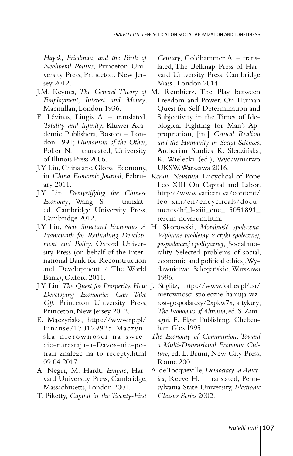*Hayek, Friedman, and the Birth of Neoliberal Politics*, Princeton University Press, Princeton, New Jersey 2012.

- *Employment, Interest and Money*, Macmillan, London 1936.
- E. Lévinas, Lingis A. translated, *Totality and Infinity*, Kluwer Academic Publishers, Boston – London 1991; *Humanism of the Other*, Poller N. – translated, University of Illinois Press 2006.
- J.Y. Lin, China and Global Economy, in *China Economic Journal*, February 2011.
- J.Y. Lin, *Demystifying the Chinese Economy*, Wang S. – translated, Cambridge University Press, Cambridge 2012.
- *Framework for Rethinking Development and Policy*, Oxford University Press (on behalf of the International Bank for Reconstruction and Development / The World Bank), Oxford 2011.
- J.Y. Lin, *The Quest for Prosperity. How Developing Economies Can Take Off*, Princeton University Press, Princeton, New Jersey 2012.
- E. Ma˛czyn´ska, https://www.rp.pl/ Finanse/170129925-Maczynska-nierownosci-na-swie cie-narastaja-a-Davos-nie-potrafi-znalezc-na-to-recepty.html 09.04.2017
- A. Negri, M. Hardt, *Empire*, Har-A. de Tocqueville, *Democracy in Amer*vard University Press, Cambridge, Massachusetts, London 2001.
- T. Piketty, *Capital in the Twenty-First*

*Century*, Goldhammer A. – translated, The Belknap Press of Harvard University Press, Cambridge Mass., London 2014.

- J.M. Keynes, *The General Theory of*  M. Rembierz, The Play between Freedom and Power. On Human Quest for Self-Determination and Subjectivity in the Times of Ideological Fighting for Man's Appropriation, [in:] *Critical Realism and the Humanity in Social Sciences*, Archerian Studies K. Sledzińska, K. Wielecki (ed.), Wydawnictwo UKSW, Warszawa 2016.
	- *Rerum Novarum*. Encyclical of Pope Leo XIII On Capital and Labor. http://www.vatican.va/content/ leo-xiii/en/encyclicals/documents/hf\_l-xiii\_enc\_15051891\_ rerum-novarum.html
- J.Y. Lin, *New Structural Economics. A*  H. Skorowski, *Moralnos´c´ społeczna. Wybrane problemy z etyki społecznej, gospodarczej i politycznej*, [Social morality. Selected problems of social, economic and political ethics], Wydawnictwo Salezjan´skie, Warszawa 1996.
	- Stiglitz, https://www.forbes.pl/csr/ nierownosci-spoleczne-hamuja-wzrost-gospodarczy/2xpkw7x, artykuły; *The Economics of Altruism*, ed. S. Zamagni, E. Elgar Publishing, Cheltenham Glos 1995.
	- *The Economy of Communion. Toward a Multi-Dimensional Economic Culture*, ed. L. Bruni, New City Press, Rome 2001.
	- *ica*, Reeve H. translated, Pennsylvania State University, *Electronic Classics Series* 2002.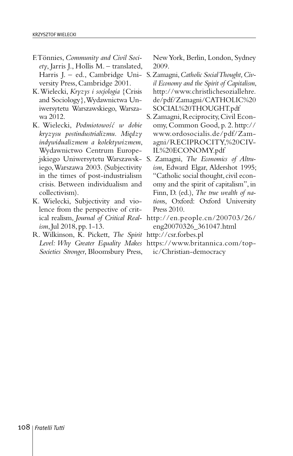- F. Tönnies, *Community and Civil Society*, Jarris J., Hollis M. – translated, Harris J. – ed., Cambridge University Press, Cambridge 2001.
- K. Wielecki, *Kryzys i socjologia* {Crisis and Sociology}, Wydawnictwa Uniwersytetu Warszawskiego, Warszawa 2012.
- K. Wielecki, *Podmiotowos´c´ w dobie kryzysu postindustrializmu. Mie˛dzy indywidualizmem a kolektywizmem*, Wydawnictwo Centrum Europeiego, Warszawa 2003. (Subjectivity in the times of post-industrialism crisis. Between individualism and collectivism).
- K. Wielecki, Subjectivity and violence from the perspective of critical realism, *Journal of Critical Realism*, Jul 2018, pp. 1-13.
- R. Wilkinson, K. Pickett, *The Spirit*  http://csr.forbes.pl *Level: Why Greater Equality Makes*  https://www.britannica.com/top-*Societies Stronger*, Bloomsbury Press,

New York, Berlin, London, Sydney 2009.

- S. Zamagni, *Catholic Social Thought, Civil Economy and the Spirit of Capitalism*, http://www.christlichesoziallehre. de/pdf/Zamagni/CATHOLIC%20 SOCIAL%20THOUGHT.pdf
- S. Zamagni, Reciprocity, Civil Economy, Common Good, p. 2. http:// www.ordosocialis.de/pdf/Zamagni/RECIPROCITY,%20CIV-IL%20ECONOMY.pdf
- jskiego Uniwersytetu Warszawsk-S. Zamagni, *The Economics of Altruism*, Edward Elgar, Aldershot 1995; "Catholic social thought, civil economy and the spirit of capitalism", in Finn, D. (ed.), *The true wealth of nation*s, Oxford: Oxford University Press 2010.
	- http://en.people.cn/200703/26/ eng20070326\_361047.html
	-
	- ic/Christian-democracy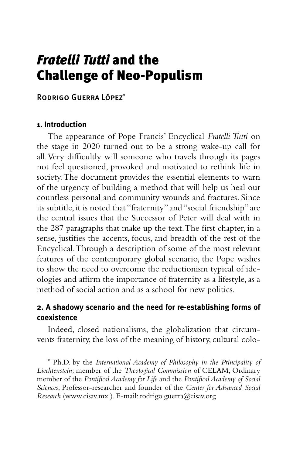# *Fratelli Tutti* and the Challenge of Neo-Populism

## Rodrigo Guerra López\*

### **1. Introduction**

The appearance of Pope Francis' Encyclical *Fratelli Tutti* on the stage in 2020 turned out to be a strong wake-up call for all. Very difficultly will someone who travels through its pages not feel questioned, provoked and motivated to rethink life in society. The document provides the essential elements to warn of the urgency of building a method that will help us heal our countless personal and community wounds and fractures. Since its subtitle, it is noted that "fraternity" and "social friendship" are the central issues that the Successor of Peter will deal with in the 287 paragraphs that make up the text. The first chapter, in a sense, justifies the accents, focus, and breadth of the rest of the Encyclical. Through a description of some of the most relevant features of the contemporary global scenario, the Pope wishes to show the need to overcome the reductionism typical of ideologies and affirm the importance of fraternity as a lifestyle, as a method of social action and as a school for new politics.

# **2. A shadowy scenario and the need for re-establishing forms of coexistence**

Indeed, closed nationalisms, the globalization that circumvents fraternity, the loss of the meaning of history, cultural colo-

\* Ph.D. by the *International Academy of Philosophy in the Principality of Liechtenstein;* member of the *Theological Commission* of CELAM; Ordinary member of the *Pontifical Academy for Life* and the *Pontifical Academy of Social Sciences*; Professor-researcher and founder of the *Center for Advanced Social Research* (www.cisav.mx ). E-mail: rodrigo.guerra@cisav.org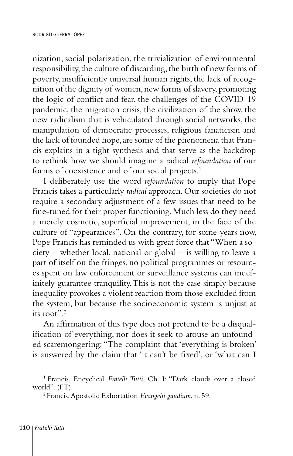nization, social polarization, the trivialization of environmental responsibility, the culture of discarding, the birth of new forms of poverty, insufficiently universal human rights, the lack of recognition of the dignity of women, new forms of slavery, promoting the logic of conflict and fear, the challenges of the COVID-19 pandemic, the migration crisis, the civilization of the show, the new radicalism that is vehiculated through social networks, the manipulation of democratic processes, religious fanaticism and the lack of founded hope, are some of the phenomena that Francis explains in a tight synthesis and that serve as the backdrop to rethink how we should imagine a radical *refoundation* of our forms of coexistence and of our social projects.<sup>1</sup>

I deliberately use the word *refoundation* to imply that Pope Francis takes a particularly *radical* approach. Our societies do not require a secondary adjustment of a few issues that need to be fine-tuned for their proper functioning. Much less do they need a merely cosmetic, superficial improvement, in the face of the culture of "appearances". On the contrary, for some years now, Pope Francis has reminded us with great force that "When a society – whether local, national or global – is willing to leave a part of itself on the fringes, no political programmes or resources spent on law enforcement or surveillance systems can indefinitely guarantee tranquility. This is not the case simply because inequality provokes a violent reaction from those excluded from the system, but because the socioeconomic system is unjust at its root" $2$ 

An affirmation of this type does not pretend to be a disqualification of everything, nor does it seek to arouse an unfounded scaremongering: "The complaint that 'everything is broken' is answered by the claim that 'it can't be fixed', or 'what can I

<sup>&</sup>lt;sup>1</sup> Francis, Encyclical *Fratelli Tutti*, Ch. I: "Dark clouds over a closed world". (FT).

<sup>2</sup> Francis, Apostolic Exhortation *Evangelii gaudium*, n. 59.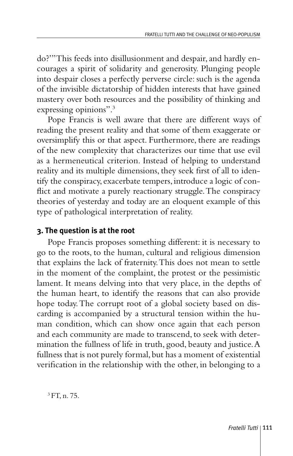do?'" This feeds into disillusionment and despair, and hardly encourages a spirit of solidarity and generosity. Plunging people into despair closes a perfectly perverse circle: such is the agenda of the invisible dictatorship of hidden interests that have gained mastery over both resources and the possibility of thinking and expressing opinions".3

Pope Francis is well aware that there are different ways of reading the present reality and that some of them exaggerate or oversimplify this or that aspect. Furthermore, there are readings of the new complexity that characterizes our time that use evil as a hermeneutical criterion. Instead of helping to understand reality and its multiple dimensions, they seek first of all to identify the conspiracy, exacerbate tempers, introduce a logic of conflict and motivate a purely reactionary struggle. The conspiracy theories of yesterday and today are an eloquent example of this type of pathological interpretation of reality.

## **3. The question is at the root**

Pope Francis proposes something different: it is necessary to go to the roots, to the human, cultural and religious dimension that explains the lack of fraternity. This does not mean to settle in the moment of the complaint, the protest or the pessimistic lament. It means delving into that very place, in the depths of the human heart, to identify the reasons that can also provide hope today. The corrupt root of a global society based on discarding is accompanied by a structural tension within the human condition, which can show once again that each person and each community are made to transcend, to seek with determination the fullness of life in truth, good, beauty and justice. A fullness that is not purely formal, but has a moment of existential verification in the relationship with the other, in belonging to a

<sup>3</sup> FT, n. 75.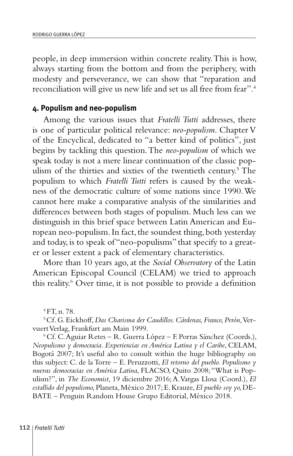people, in deep immersion within concrete reality. This is how, always starting from the bottom and from the periphery, with modesty and perseverance, we can show that "reparation and reconciliation will give us new life and set us all free from fear".4

# **4. Populism and neo-populism**

Among the various issues that *Fratelli Tutti* addresses, there is one of particular political relevance: *neo-populism*. Chapter V of the Encyclical, dedicated to "a better kind of politics", just begins by tackling this question. The *neo-populism* of which we speak today is not a mere linear continuation of the classic populism of the thirties and sixties of the twentieth century.<sup>5</sup> The populism to which *Fratelli Tutti* refers is caused by the weakness of the democratic culture of some nations since 1990. We cannot here make a comparative analysis of the similarities and differences between both stages of populism. Much less can we distinguish in this brief space between Latin American and European neo-populism. In fact, the soundest thing, both yesterday and today, is to speak of "neo-populisms" that specify to a greater or lesser extent a pack of elementary characteristics.

More than 10 years ago, at the *Social Observatory* of the Latin American Episcopal Council (CELAM) we tried to approach this reality.<sup>6</sup> Over time, it is not possible to provide a definition

<sup>4</sup> FT, n. 78.

5Cf. G. Eickhoff, *Das Charisma der Caudillos. Cárdenas, Franco, Perón,* Vervuert Verlag, Frankfurt am Main 1999.

6Cf. C. Aguiar Retes – R. Guerra López – F. Porras Sánchez (Coords.), *Neopulismo y democracia. Experiencias en América Latina y el Caribe*, CELAM, Bogotá 2007; It's useful also to consult within the huge bibliography on this subject: C. de la Torre – E. Peruzzotti, *El retorno del pueblo. Populismo y nuevas democracias en América Latina*, FLACSO, Quito 2008; "What is Populism?", in *The Economist,* 19 diciembre 2016; A. Vargas Llosa (Coord.), *El estallido del populismo,* Planeta, México 2017; E. Krauze, *El pueblo soy yo,* DE-BATE – Penguin Random House Grupo Editorial, México 2018.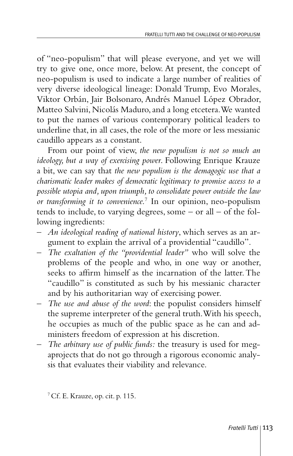of "neo-populism" that will please everyone, and yet we will try to give one, once more, below. At present, the concept of neo-populism is used to indicate a large number of realities of very diverse ideological lineage: Donald Trump, Evo Morales, Viktor Orbán, Jair Bolsonaro, Andrés Manuel López Obrador, Matteo Salvini, Nicolás Maduro, and a long etcetera. We wanted to put the names of various contemporary political leaders to underline that, in all cases, the role of the more or less messianic caudillo appears as a constant.

From our point of view, *the new populism is not so much an ideology, but a way of exercising power*. Following Enrique Krauze a bit, we can say that *the new populism is the demagogic use that a charismatic leader makes of democratic legitimacy to promise access to a possible utopia and, upon triumph, to consolidate power outside the law or transforming it to convenience.*<sup>7</sup> In our opinion, neo-populism tends to include, to varying degrees, some  $-$  or all  $-$  of the following ingredients:

- *An ideological reading of national history*, which serves as an argument to explain the arrival of a providential "caudillo".
- *The exaltation of the "providential leader"* who will solve the problems of the people and who, in one way or another, seeks to affirm himself as the incarnation of the latter. The "caudillo" is constituted as such by his messianic character and by his authoritarian way of exercising power.
- *The use and abuse of the word*: the populist considers himself the supreme interpreter of the general truth. With his speech, he occupies as much of the public space as he can and administers freedom of expression at his discretion.
- *The arbitrary use of public funds:* the treasury is used for megaprojects that do not go through a rigorous economic analysis that evaluates their viability and relevance.

<sup>7</sup>Cf. E. Krauze, op. cit. p. 115.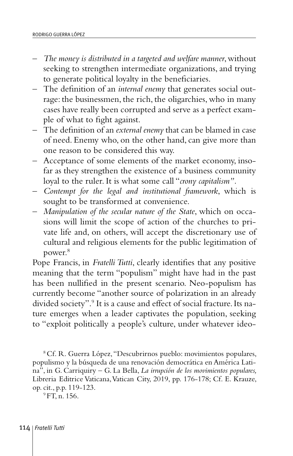- *The money is distributed in a targeted and welfare manner*, without seeking to strengthen intermediate organizations, and trying to generate political loyalty in the beneficiaries.
- The definition of an *internal enemy* that generates social outrage: the businessmen, the rich, the oligarchies, who in many cases have really been corrupted and serve as a perfect example of what to fight against.
- The definition of an *external enemy* that can be blamed in case of need. Enemy who, on the other hand, can give more than one reason to be considered this way.
- Acceptance of some elements of the market economy, insofar as they strengthen the existence of a business community loyal to the ruler. It is what some call "*crony capitalism".*
- *Contempt for the legal and institutional framework*, which is sought to be transformed at convenience.
- *Manipulation of the secular nature of the State*, which on occasions will limit the scope of action of the churches to private life and, on others, will accept the discretionary use of cultural and religious elements for the public legitimation of power.8

Pope Francis, in *Fratelli Tutti*, clearly identifies that any positive meaning that the term "populism" might have had in the past has been nullified in the present scenario. Neo-populism has currently become "another source of polarization in an already divided society".9 It is a cause and effect of social fracture. Its nature emerges when a leader captivates the population, seeking to "exploit politically a people's culture, under whatever ideo-

<sup>8</sup> Cf. R. Guerra López, "Descubrirnos pueblo: movimientos populares, populismo y la búsqueda de una renovación democrática en América Latina", in G. Carriquiry – G. La Bella, *La irrupción de los movimientos populares,*  Libreria Editrice Vaticana, Vatican City, 2019, pp. 176-178; Cf. E. Krauze, op. cit., p.p. 119-123.

<sup>9</sup> FT, n. 156.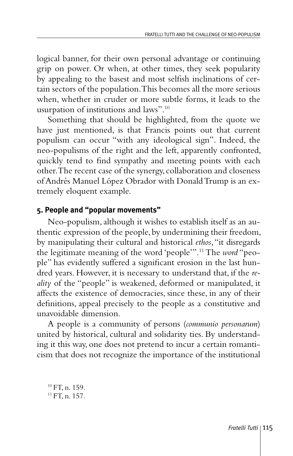logical banner, for their own personal advantage or continuing grip on power. Or when, at other times, they seek popularity by appealing to the basest and most selfish inclinations of certain sectors of the population. This becomes all the more serious when, whether in cruder or more subtle forms, it leads to the usurpation of institutions and laws".10

Something that should be highlighted, from the quote we have just mentioned, is that Francis points out that current populism can occur "with any ideological sign". Indeed, the neo-populisms of the right and the left, apparently confronted, quickly tend to find sympathy and meeting points with each other. The recent case of the synergy, collaboration and closeness of Andrés Manuel López Obrador with Donald Trump is an extremely eloquent example.

## **5. People and "popular movements"**

Neo-populism, although it wishes to establish itself as an authentic expression of the people, by undermining their freedom, by manipulating their cultural and historical *ethos*, "it disregards the legitimate meaning of the word 'people'".11 The *word* "people" has evidently suffered a significant erosion in the last hundred years. However, it is necessary to understand that, if the *reality* of the "people" is weakened, deformed or manipulated, it affects the existence of democracies, since these, in any of their definitions, appeal precisely to the people as a constitutive and unavoidable dimension.

A people is a community of persons (*communio personarum*) united by historical, cultural and solidarity ties. By understanding it this way, one does not pretend to incur a certain romanticism that does not recognize the importance of the institutional

<sup>10</sup> FT, n. 159.  $11$  FT, n, 157.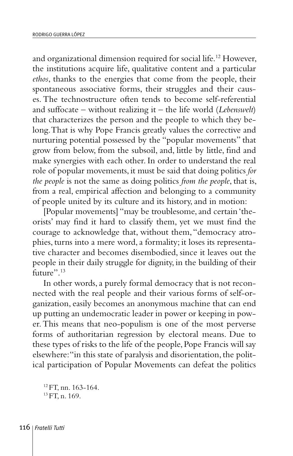and organizational dimension required for social life.12 However, the institutions acquire life, qualitative content and a particular *ethos*, thanks to the energies that come from the people, their spontaneous associative forms, their struggles and their causes. The technostructure often tends to become self-referential and suffocate – without realizing it – the life world (*Lebenswelt*) that characterizes the person and the people to which they belong. That is why Pope Francis greatly values the corrective and nurturing potential possessed by the "popular movements" that grow from below, from the subsoil, and, little by little, find and make synergies with each other. In order to understand the real role of popular movements, it must be said that doing politics *for the people* is not the same as doing politics *from the people*, that is, from a real, empirical affection and belonging to a community of people united by its culture and its history, and in motion:

[Popular movements] "may be troublesome, and certain 'theorists' may find it hard to classify them, yet we must find the courage to acknowledge that, without them, "democracy atrophies, turns into a mere word, a formality; it loses its representative character and becomes disembodied, since it leaves out the people in their daily struggle for dignity, in the building of their  $f$ uture".  $13$ 

In other words, a purely formal democracy that is not reconnected with the real people and their various forms of self-organization, easily becomes an anonymous machine that can end up putting an undemocratic leader in power or keeping in power. This means that neo-populism is one of the most perverse forms of authoritarian regression by electoral means. Due to these types of risks to the life of the people, Pope Francis will say elsewhere: "in this state of paralysis and disorientation, the political participation of Popular Movements can defeat the politics

<sup>12</sup> FT, nn. 163-164.  $13$  FT, n. 169.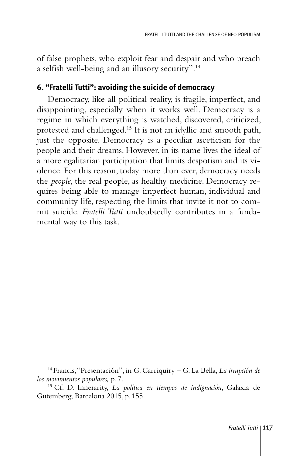of false prophets, who exploit fear and despair and who preach a selfish well-being and an illusory security".14

### **6. "Fratelli Tutti": avoiding the suicide of democracy**

Democracy, like all political reality, is fragile, imperfect, and disappointing, especially when it works well. Democracy is a regime in which everything is watched, discovered, criticized, protested and challenged.15 It is not an idyllic and smooth path, just the opposite. Democracy is a peculiar asceticism for the people and their dreams. However, in its name lives the ideal of a more egalitarian participation that limits despotism and its violence. For this reason, today more than ever, democracy needs the *people*, the real people, as healthy medicine. Democracy requires being able to manage imperfect human, individual and community life, respecting the limits that invite it not to commit suicide. *Fratelli Tutti* undoubtedly contributes in a fundamental way to this task.

<sup>14</sup> Francis, "Presentación", in G. Carriquiry – G. La Bella, *La irrupción de los movimientos populares,* p. 7.

<sup>15</sup> Cf. D. Innerarity, *La política en tiempos de indignación*, Galaxia de Gutemberg, Barcelona 2015, p. 155.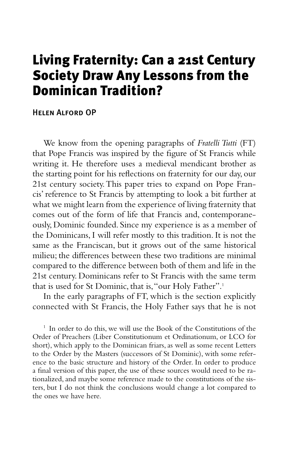# Living Fraternity: Can a 21st Century Society Draw Any Lessons from the Dominican Tradition?

#### Helen Alford OP

We know from the opening paragraphs of *Fratelli Tutti* (FT) that Pope Francis was inspired by the figure of St Francis while writing it. He therefore uses a medieval mendicant brother as the starting point for his reflections on fraternity for our day, our 21st century society. This paper tries to expand on Pope Francis' reference to St Francis by attempting to look a bit further at what we might learn from the experience of living fraternity that comes out of the form of life that Francis and, contemporaneously, Dominic founded. Since my experience is as a member of the Dominicans, I will refer mostly to this tradition. It is not the same as the Franciscan, but it grows out of the same historical milieu; the differences between these two traditions are minimal compared to the difference between both of them and life in the 21st century. Dominicans refer to St Francis with the same term that is used for St Dominic, that is, "our Holy Father".1

In the early paragraphs of FT, which is the section explicitly connected with St Francis, the Holy Father says that he is not

<sup>1</sup> In order to do this, we will use the Book of the Constitutions of the Order of Preachers (Liber Constitutionum et Ordinationum, or LCO for short), which apply to the Dominican friars, as well as some recent Letters to the Order by the Masters (successors of St Dominic), with some reference to the basic structure and history of the Order. In order to produce a final version of this paper, the use of these sources would need to be rationalized, and maybe some reference made to the constitutions of the sisters, but I do not think the conclusions would change a lot compared to the ones we have here.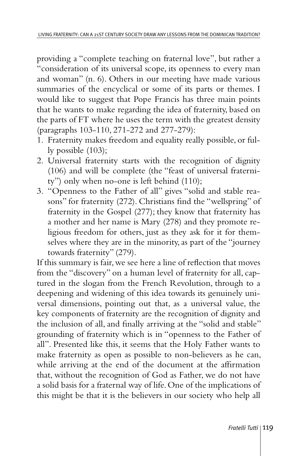providing a "complete teaching on fraternal love", but rather a "consideration of its universal scope, its openness to every man and woman" (n. 6). Others in our meeting have made various summaries of the encyclical or some of its parts or themes. I would like to suggest that Pope Francis has three main points that he wants to make regarding the idea of fraternity, based on the parts of FT where he uses the term with the greatest density (paragraphs 103-110, 271-272 and 277-279):

- 1. Fraternity makes freedom and equality really possible, or fully possible (103);
- 2. Universal fraternity starts with the recognition of dignity (106) and will be complete (the "feast of universal fraternity") only when no-one is left behind (110);
- 3. "Openness to the Father of all" gives "solid and stable reasons" for fraternity (272). Christians find the "wellspring" of fraternity in the Gospel (277); they know that fraternity has a mother and her name is Mary (278) and they promote religious freedom for others, just as they ask for it for themselves where they are in the minority, as part of the "journey towards fraternity" (279).

If this summary is fair, we see here a line of reflection that moves from the "discovery" on a human level of fraternity for all, captured in the slogan from the French Revolution, through to a deepening and widening of this idea towards its genuinely universal dimensions, pointing out that, as a universal value, the key components of fraternity are the recognition of dignity and the inclusion of all, and finally arriving at the "solid and stable" grounding of fraternity which is in "openness to the Father of all". Presented like this, it seems that the Holy Father wants to make fraternity as open as possible to non-believers as he can, while arriving at the end of the document at the affirmation that, without the recognition of God as Father, we do not have a solid basis for a fraternal way of life. One of the implications of this might be that it is the believers in our society who help all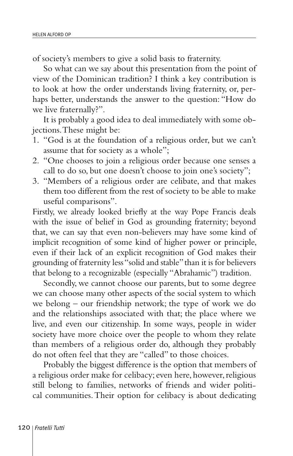of society's members to give a solid basis to fraternity.

So what can we say about this presentation from the point of view of the Dominican tradition? I think a key contribution is to look at how the order understands living fraternity, or, perhaps better, understands the answer to the question: "How do we live fraternally?".

It is probably a good idea to deal immediately with some objections. These might be:

- 1. "God is at the foundation of a religious order, but we can't assume that for society as a whole";
- 2. "One chooses to join a religious order because one senses a call to do so, but one doesn't choose to join one's society";
- 3. "Members of a religious order are celibate, and that makes them too different from the rest of society to be able to make useful comparisons".

Firstly, we already looked briefly at the way Pope Francis deals with the issue of belief in God as grounding fraternity; beyond that, we can say that even non-believers may have some kind of implicit recognition of some kind of higher power or principle, even if their lack of an explicit recognition of God makes their grounding of fraternity less "solid and stable" than it is for believers that belong to a recognizable (especially "Abrahamic") tradition.

Secondly, we cannot choose our parents, but to some degree we can choose many other aspects of the social system to which we belong – our friendship network; the type of work we do and the relationships associated with that; the place where we live, and even our citizenship. In some ways, people in wider society have more choice over the people to whom they relate than members of a religious order do, although they probably do not often feel that they are "called" to those choices.

Probably the biggest difference is the option that members of a religious order make for celibacy; even here, however, religious still belong to families, networks of friends and wider political communities. Their option for celibacy is about dedicating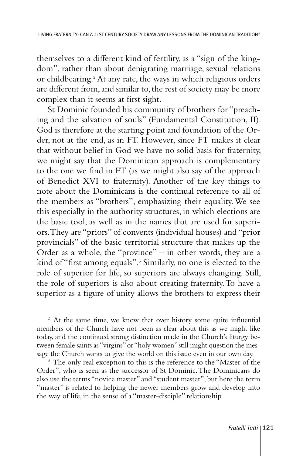themselves to a different kind of fertility, as a "sign of the kingdom", rather than about denigrating marriage, sexual relations or childbearing.2 At any rate, the ways in which religious orders are different from, and similar to, the rest of society may be more complex than it seems at first sight.

St Dominic founded his community of brothers for "preaching and the salvation of souls" (Fundamental Constitution, II). God is therefore at the starting point and foundation of the Order, not at the end, as in FT. However, since FT makes it clear that without belief in God we have no solid basis for fraternity, we might say that the Dominican approach is complementary to the one we find in FT (as we might also say of the approach of Benedict XVI to fraternity). Another of the key things to note about the Dominicans is the continual reference to all of the members as "brothers", emphasizing their equality. We see this especially in the authority structures, in which elections are the basic tool, as well as in the names that are used for superiors. They are "priors" of convents (individual houses) and "prior provincials" of the basic territorial structure that makes up the Order as a whole, the "province" – in other words, they are a kind of "first among equals".<sup>3</sup> Similarly, no one is elected to the role of superior for life, so superiors are always changing. Still, the role of superiors is also about creating fraternity. To have a superior as a figure of unity allows the brothers to express their

<sup>2</sup> At the same time, we know that over history some quite influential members of the Church have not been as clear about this as we might like today, and the continued strong distinction made in the Church's liturgy between female saints as "virgins" or "holy women" still might question the message the Church wants to give the world on this issue even in our own day.

<sup>3</sup> The only real exception to this is the reference to the "Master of the Order", who is seen as the successor of St Dominic. The Dominicans do also use the terms "novice master" and "student master", but here the term "master" is related to helping the newer members grow and develop into the way of life, in the sense of a "master-disciple" relationship.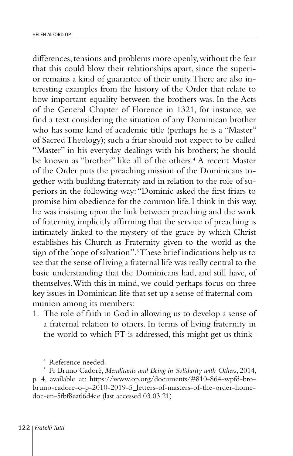differences, tensions and problems more openly, without the fear that this could blow their relationships apart, since the superior remains a kind of guarantee of their unity. There are also interesting examples from the history of the Order that relate to how important equality between the brothers was. In the Acts of the General Chapter of Florence in 1321, for instance, we find a text considering the situation of any Dominican brother who has some kind of academic title (perhaps he is a "Master" of Sacred Theology); such a friar should not expect to be called "Master" in his everyday dealings with his brothers; he should be known as "brother" like all of the others.<sup>4</sup> A recent Master of the Order puts the preaching mission of the Dominicans together with building fraternity and in relation to the role of superiors in the following way: "Dominic asked the first friars to promise him obedience for the common life. I think in this way, he was insisting upon the link between preaching and the work of fraternity, implicitly affirming that the service of preaching is intimately linked to the mystery of the grace by which Christ establishes his Church as Fraternity given to the world as the sign of the hope of salvation".<sup>5</sup> These brief indications help us to see that the sense of living a fraternal life was really central to the basic understanding that the Dominicans had, and still have, of themselves. With this in mind, we could perhaps focus on three key issues in Dominican life that set up a sense of fraternal communion among its members:

1. The role of faith in God in allowing us to develop a sense of a fraternal relation to others. In terms of living fraternity in the world to which FT is addressed, this might get us think-

<sup>4</sup> Reference needed.

<sup>5</sup> Fr Bruno Cadoré, *Mendicants and Being in Solidarity with Others*, 2014, p. 4, available at: https://www.op.org/documents/#810-864-wpfd-brobruno-cadore-o-p-2010-2019-5\_letters-of-masters-of-the-order-homedoc-en-5fbf8ea66d4ae (last accessed 03.03.21).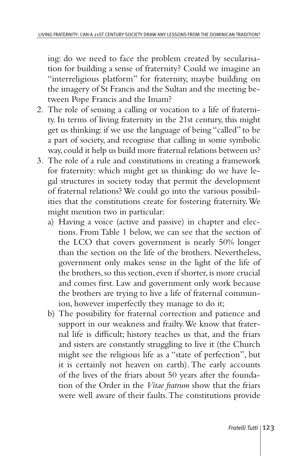ing: do we need to face the problem created by secularisation for building a sense of fraternity? Could we imagine an "interreligious platform" for fraternity, maybe building on the imagery of St Francis and the Sultan and the meeting between Pope Francis and the Imam?

- 2. The role of sensing a calling or vocation to a life of fraternity. In terms of living fraternity in the 21st century, this might get us thinking: if we use the language of being "called" to be a part of society, and recognise that calling in some symbolic way, could it help us build more fraternal relations between us?
- 3. The role of a rule and constitutions in creating a framework for fraternity: which might get us thinking: do we have legal structures in society today that permit the development of fraternal relations? We could go into the various possibilities that the constitutions create for fostering fraternity. We might mention two in particular:
	- a) Having a voice (active and passive) in chapter and elections. From Table 1 below, we can see that the section of the LCO that covers government is nearly 50% longer than the section on the life of the brothers. Nevertheless, government only makes sense in the light of the life of the brothers, so this section, even if shorter, is more crucial and comes first. Law and government only work because the brothers are trying to live a life of fraternal communion, however imperfectly they manage to do it;
	- b) The possibility for fraternal correction and patience and support in our weakness and frailty. We know that fraternal life is difficult; history teaches us that, and the friars and sisters are constantly struggling to live it (the Church might see the religious life as a "state of perfection", but it is certainly not heaven on earth). The early accounts of the lives of the friars about 50 years after the foundation of the Order in the *Vitae fratrum* show that the friars were well aware of their faults. The constitutions provide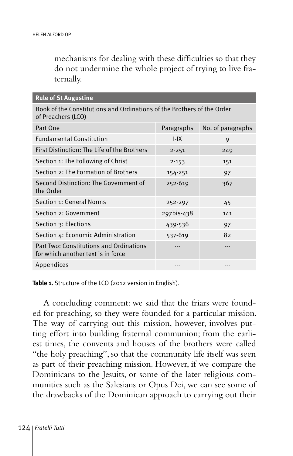mechanisms for dealing with these difficulties so that they do not undermine the whole project of trying to live fraternally.

| <b>Rule of St Augustine</b>                                                                  |            |                   |
|----------------------------------------------------------------------------------------------|------------|-------------------|
| Book of the Constitutions and Ordinations of the Brothers of the Order<br>of Preachers (LCO) |            |                   |
| Part One                                                                                     | Paragraphs | No. of paragraphs |
| <b>Fundamental Constitution</b>                                                              | $I - IX$   | 9                 |
| First Distinction: The Life of the Brothers                                                  | $2 - 251$  | 249               |
| Section 1: The Following of Christ                                                           | $2 - 153$  | 151               |
| Section 2: The Formation of Brothers                                                         | 154-251    | 97                |
| Second Distinction: The Government of<br>the Order                                           | 252-619    | 367               |
| Section 1: General Norms                                                                     | 252-297    | 45                |
| Section 2: Government                                                                        | 297bis-438 | 141               |
| Section 3: Elections                                                                         | 439-536    | 97                |
| Section 4: Economic Administration                                                           | 537-619    | 82                |
| Part Two: Constitutions and Ordinations<br>for which another text is in force                |            |                   |
| Appendices                                                                                   |            |                   |

**Table 1.** Structure of the LCO (2012 version in English).

A concluding comment: we said that the friars were founded for preaching, so they were founded for a particular mission. The way of carrying out this mission, however, involves putting effort into building fraternal communion; from the earliest times, the convents and houses of the brothers were called "the holy preaching", so that the community life itself was seen as part of their preaching mission. However, if we compare the Dominicans to the Jesuits, or some of the later religious communities such as the Salesians or Opus Dei, we can see some of the drawbacks of the Dominican approach to carrying out their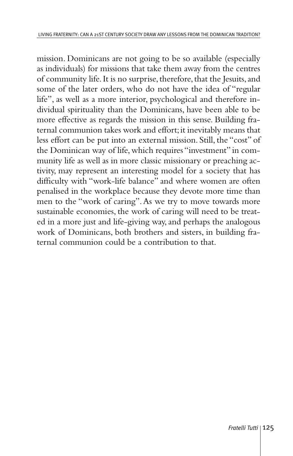mission. Dominicans are not going to be so available (especially as individuals) for missions that take them away from the centres of community life. It is no surprise, therefore, that the Jesuits, and some of the later orders, who do not have the idea of "regular life", as well as a more interior, psychological and therefore individual spirituality than the Dominicans, have been able to be more effective as regards the mission in this sense. Building fraternal communion takes work and effort; it inevitably means that less effort can be put into an external mission. Still, the "cost" of the Dominican way of life, which requires "investment" in community life as well as in more classic missionary or preaching activity, may represent an interesting model for a society that has difficulty with "work-life balance" and where women are often penalised in the workplace because they devote more time than men to the "work of caring". As we try to move towards more sustainable economies, the work of caring will need to be treated in a more just and life-giving way, and perhaps the analogous work of Dominicans, both brothers and sisters, in building fraternal communion could be a contribution to that.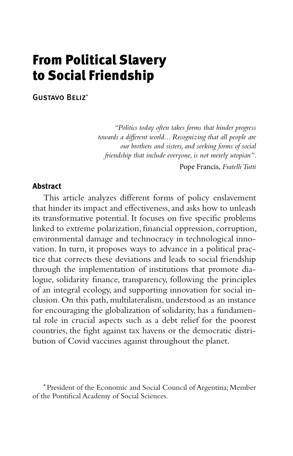# From Political Slavery to Social Friendship

Gustavo Beliz\*

*"Politics today often takes forms that hinder progress towards a different world... Recognizing that all people are our brothers and sisters, and seeking forms of social friendship that include everyone, is not merely utopian".*

Pope Francis, *Fratelli Tutti*

#### **Abstract**

This article analyzes different forms of policy enslavement that hinder its impact and effectiveness, and asks how to unleash its transformative potential. It focuses on five specific problems linked to extreme polarization, financial oppression, corruption, environmental damage and technocracy in technological innovation. In turn, it proposes ways to advance in a political practice that corrects these deviations and leads to social friendship through the implementation of institutions that promote dialogue, solidarity finance, transparency, following the principles of an integral ecology, and supporting innovation for social inclusion. On this path, multilateralism, understood as an instance for encouraging the globalization of solidarity, has a fundamental role in crucial aspects such as a debt relief for the poorest countries, the fight against tax havens or the democratic distribution of Covid vaccines against throughout the planet.

\* President of the Economic and Social Council of Argentina; Member of the Pontifical Academy of Social Sciences.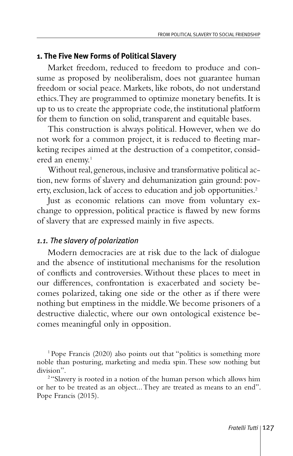# **1. The Five New Forms of Political Slavery**

Market freedom, reduced to freedom to produce and consume as proposed by neoliberalism, does not guarantee human freedom or social peace. Markets, like robots, do not understand ethics. They are programmed to optimize monetary benefits. It is up to us to create the appropriate code, the institutional platform for them to function on solid, transparent and equitable bases.

This construction is always political. However, when we do not work for a common project, it is reduced to fleeting marketing recipes aimed at the destruction of a competitor, considered an enemy.<sup>1</sup>

Without real, generous, inclusive and transformative political action, new forms of slavery and dehumanization gain ground: poverty, exclusion, lack of access to education and job opportunities.<sup>2</sup>

Just as economic relations can move from voluntary exchange to oppression, political practice is flawed by new forms of slavery that are expressed mainly in five aspects.

## *1.1. The slavery of polarization*

Modern democracies are at risk due to the lack of dialogue and the absence of institutional mechanisms for the resolution of conflicts and controversies. Without these places to meet in our differences, confrontation is exacerbated and society becomes polarized, taking one side or the other as if there were nothing but emptiness in the middle. We become prisoners of a destructive dialectic, where our own ontological existence becomes meaningful only in opposition.

<sup>1</sup> Pope Francis (2020) also points out that "politics is something more noble than posturing, marketing and media spin. These sow nothing but division".

<sup>2</sup> "Slavery is rooted in a notion of the human person which allows him or her to be treated as an object... They are treated as means to an end". Pope Francis (2015).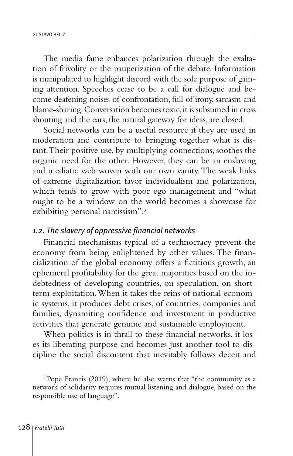The media fame enhances polarization through the exaltation of frivolity or the pauperization of the debate. Information is manipulated to highlight discord with the sole purpose of gaining attention. Speeches cease to be a call for dialogue and become deafening noises of confrontation, full of irony, sarcasm and blame-sharing. Conversation becomes toxic, it is subsumed in cross shouting and the ears, the natural gateway for ideas, are closed.

Social networks can be a useful resource if they are used in moderation and contribute to bringing together what is distant. Their positive use, by multiplying connections, soothes the organic need for the other. However, they can be an enslaving and mediatic web woven with our own vanity. The weak links of extreme digitalization favor individualism and polarization, which tends to grow with poor ego management and "what ought to be a window on the world becomes a showcase for exhibiting personal narcissism".3

#### *1.2. The slavery of oppressive financial networks*

Financial mechanisms typical of a technocracy prevent the economy from being enlightened by other values. The financialization of the global economy offers a fictitious growth, an ephemeral profitability for the great majorities based on the indebtedness of developing countries, on speculation, on shortterm exploitation. When it takes the reins of national economic systems, it produces debt crises, of countries, companies and families, dynamiting confidence and investment in productive activities that generate genuine and sustainable employment.

When politics is in thrall to these financial networks, it loses its liberating purpose and becomes just another tool to discipline the social discontent that inevitably follows deceit and

<sup>3</sup> Pope Francis (2019), where he also warns that "the community as a network of solidarity requires mutual listening and dialogue, based on the responsible use of language".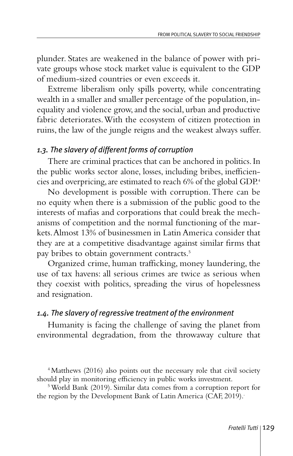plunder. States are weakened in the balance of power with private groups whose stock market value is equivalent to the GDP of medium-sized countries or even exceeds it.

Extreme liberalism only spills poverty, while concentrating wealth in a smaller and smaller percentage of the population, inequality and violence grow, and the social, urban and productive fabric deteriorates. With the ecosystem of citizen protection in ruins, the law of the jungle reigns and the weakest always suffer.

# *1.3. The slavery of different forms of corruption*

There are criminal practices that can be anchored in politics. In the public works sector alone, losses, including bribes, inefficiencies and overpricing, are estimated to reach 6% of the global GDP.4

No development is possible with corruption. There can be no equity when there is a submission of the public good to the interests of mafias and corporations that could break the mechanisms of competition and the normal functioning of the markets. Almost 13% of businessmen in Latin America consider that they are at a competitive disadvantage against similar firms that pay bribes to obtain government contracts.5

Organized crime, human trafficking, money laundering, the use of tax havens: all serious crimes are twice as serious when they coexist with politics, spreading the virus of hopelessness and resignation.

## *1.4. The slavery of regressive treatment of the environment*

Humanity is facing the challenge of saving the planet from environmental degradation, from the throwaway culture that

<sup>4</sup> Matthews (2016) also points out the necessary role that civil society should play in monitoring efficiency in public works investment.

5World Bank (2019). Similar data comes from a corruption report for the region by the Development Bank of Latin America (CAF, 2019).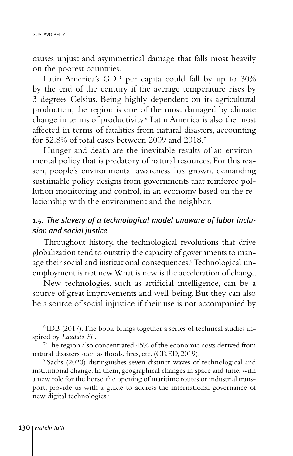causes unjust and asymmetrical damage that falls most heavily on the poorest countries.

Latin America's GDP per capita could fall by up to 30% by the end of the century if the average temperature rises by 3 degrees Celsius. Being highly dependent on its agricultural production, the region is one of the most damaged by climate change in terms of productivity.6 Latin America is also the most affected in terms of fatalities from natural disasters, accounting for 52.8% of total cases between 2009 and 2018.7

Hunger and death are the inevitable results of an environmental policy that is predatory of natural resources. For this reason, people's environmental awareness has grown, demanding sustainable policy designs from governments that reinforce pollution monitoring and control, in an economy based on the relationship with the environment and the neighbor.

# *1.5. The slavery of a technological model unaware of labor inclusion and social justice*

Throughout history, the technological revolutions that drive globalization tend to outstrip the capacity of governments to manage their social and institutional consequences.<sup>8</sup> Technological unemployment is not new. What is new is the acceleration of change.

New technologies, such as artificial intelligence, can be a source of great improvements and well-being. But they can also be a source of social injustice if their use is not accompanied by

<sup>6</sup> IDB (2017). The book brings together a series of technical studies inspired by *Laudato Si'*.

7The region also concentrated 45% of the economic costs derived from natural disasters such as floods, fires, etc. (CRED, 2019).

<sup>8</sup> Sachs (2020) distinguishes seven distinct waves of technological and institutional change. In them, geographical changes in space and time, with a new role for the horse, the opening of maritime routes or industrial transport, provide us with a guide to address the international governance of new digital technologies..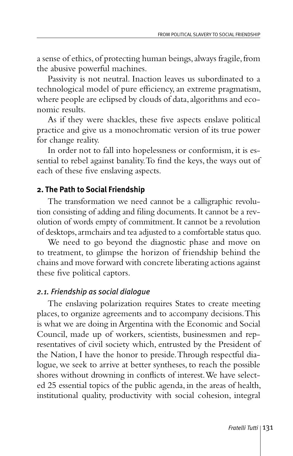a sense of ethics, of protecting human beings, always fragile, from the abusive powerful machines.

Passivity is not neutral. Inaction leaves us subordinated to a technological model of pure efficiency, an extreme pragmatism, where people are eclipsed by clouds of data, algorithms and economic results.

As if they were shackles, these five aspects enslave political practice and give us a monochromatic version of its true power for change reality.

In order not to fall into hopelessness or conformism, it is essential to rebel against banality. To find the keys, the ways out of each of these five enslaving aspects.

# **2. The Path to Social Friendship**

The transformation we need cannot be a calligraphic revolution consisting of adding and filing documents. It cannot be a revolution of words empty of commitment. It cannot be a revolution of desktops, armchairs and tea adjusted to a comfortable status quo.

We need to go beyond the diagnostic phase and move on to treatment, to glimpse the horizon of friendship behind the chains and move forward with concrete liberating actions against these five political captors.

## *2.1. Friendship as social dialogue*

The enslaving polarization requires States to create meeting places, to organize agreements and to accompany decisions. This is what we are doing in Argentina with the Economic and Social Council, made up of workers, scientists, businessmen and representatives of civil society which, entrusted by the President of the Nation, I have the honor to preside. Through respectful dialogue, we seek to arrive at better syntheses, to reach the possible shores without drowning in conflicts of interest. We have selected 25 essential topics of the public agenda, in the areas of health, institutional quality, productivity with social cohesion, integral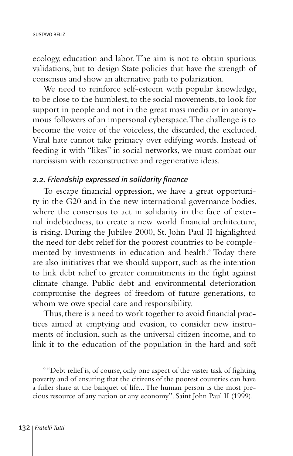ecology, education and labor. The aim is not to obtain spurious validations, but to design State policies that have the strength of consensus and show an alternative path to polarization.

We need to reinforce self-esteem with popular knowledge, to be close to the humblest, to the social movements, to look for support in people and not in the great mass media or in anonymous followers of an impersonal cyberspace. The challenge is to become the voice of the voiceless, the discarded, the excluded. Viral hate cannot take primacy over edifying words. Instead of feeding it with "likes" in social networks, we must combat our narcissism with reconstructive and regenerative ideas.

### *2.2. Friendship expressed in solidarity finance*

To escape financial oppression, we have a great opportunity in the G20 and in the new international governance bodies, where the consensus to act in solidarity in the face of external indebtedness, to create a new world financial architecture, is rising. During the Jubilee 2000, St. John Paul II highlighted the need for debt relief for the poorest countries to be complemented by investments in education and health.<sup>9</sup> Today there are also initiatives that we should support, such as the intention to link debt relief to greater commitments in the fight against climate change. Public debt and environmental deterioration compromise the degrees of freedom of future generations, to whom we owe special care and responsibility.

Thus, there is a need to work together to avoid financial practices aimed at emptying and evasion, to consider new instruments of inclusion, such as the universal citizen income, and to link it to the education of the population in the hard and soft

<sup>9</sup> "Debt relief is, of course, only one aspect of the vaster task of fighting poverty and of ensuring that the citizens of the poorest countries can have a fuller share at the banquet of life... The human person is the most precious resource of any nation or any economy". Saint John Paul II (1999).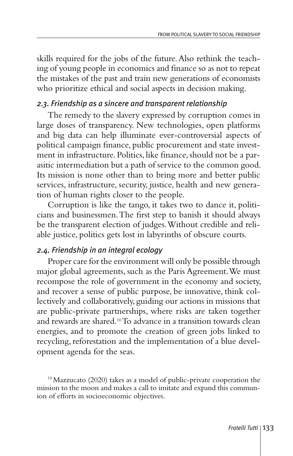skills required for the jobs of the future. Also rethink the teaching of young people in economics and finance so as not to repeat the mistakes of the past and train new generations of economists who prioritize ethical and social aspects in decision making.

## *2.3. Friendship as a sincere and transparent relationship*

The remedy to the slavery expressed by corruption comes in large doses of transparency. New technologies, open platforms and big data can help illuminate ever-controversial aspects of political campaign finance, public procurement and state investment in infrastructure. Politics, like finance, should not be a parasitic intermediation but a path of service to the common good. Its mission is none other than to bring more and better public services, infrastructure, security, justice, health and new generation of human rights closer to the people.

Corruption is like the tango, it takes two to dance it, politicians and businessmen. The first step to banish it should always be the transparent election of judges. Without credible and reliable justice, politics gets lost in labyrinths of obscure courts.

### *2.4. Friendship in an integral ecology*

Proper care for the environment will only be possible through major global agreements, such as the Paris Agreement. We must recompose the role of government in the economy and society, and recover a sense of public purpose, be innovative, think collectively and collaboratively, guiding our actions in missions that are public-private partnerships, where risks are taken together and rewards are shared.10 To advance in a transition towards clean energies, and to promote the creation of green jobs linked to recycling, reforestation and the implementation of a blue development agenda for the seas.

 $10$ Mazzucato (2020) takes as a model of public-private cooperation the mission to the moon and makes a call to imitate and expand this communion of efforts in socioeconomic objectives.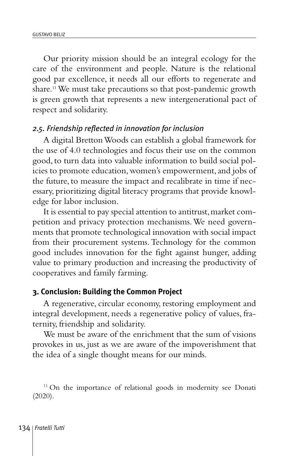Our priority mission should be an integral ecology for the care of the environment and people. Nature is the relational good par excellence, it needs all our efforts to regenerate and share.<sup>11</sup> We must take precautions so that post-pandemic growth is green growth that represents a new intergenerational pact of respect and solidarity.

### *2.5. Friendship reflected in innovation for inclusion*

A digital Bretton Woods can establish a global framework for the use of 4.0 technologies and focus their use on the common good, to turn data into valuable information to build social policies to promote education, women's empowerment, and jobs of the future, to measure the impact and recalibrate in time if necessary, prioritizing digital literacy programs that provide knowledge for labor inclusion.

It is essential to pay special attention to antitrust, market competition and privacy protection mechanisms. We need governments that promote technological innovation with social impact from their procurement systems. Technology for the common good includes innovation for the fight against hunger, adding value to primary production and increasing the productivity of cooperatives and family farming.

### **3. Conclusion: Building the Common Project**

A regenerative, circular economy, restoring employment and integral development, needs a regenerative policy of values, fraternity, friendship and solidarity.

We must be aware of the enrichment that the sum of visions provokes in us, just as we are aware of the impoverishment that the idea of a single thought means for our minds.

<sup>11</sup> On the importance of relational goods in modernity see Donati (2020).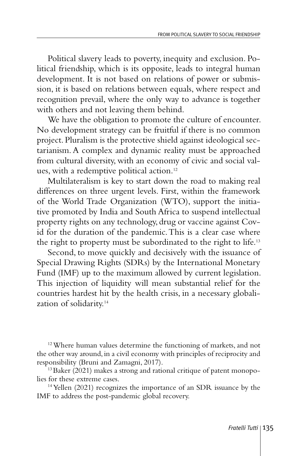Political slavery leads to poverty, inequity and exclusion. Political friendship, which is its opposite, leads to integral human development. It is not based on relations of power or submission, it is based on relations between equals, where respect and recognition prevail, where the only way to advance is together with others and not leaving them behind.

We have the obligation to promote the culture of encounter. No development strategy can be fruitful if there is no common project. Pluralism is the protective shield against ideological sectarianism. A complex and dynamic reality must be approached from cultural diversity, with an economy of civic and social values, with a redemptive political action.<sup>12</sup>

Multilateralism is key to start down the road to making real differences on three urgent levels. First, within the framework of the World Trade Organization (WTO), support the initiative promoted by India and South Africa to suspend intellectual property rights on any technology, drug or vaccine against Covid for the duration of the pandemic. This is a clear case where the right to property must be subordinated to the right to life.13

Second, to move quickly and decisively with the issuance of Special Drawing Rights (SDRs) by the International Monetary Fund (IMF) up to the maximum allowed by current legislation. This injection of liquidity will mean substantial relief for the countries hardest hit by the health crisis, in a necessary globalization of solidarity.14

12Where human values determine the functioning of markets, and not the other way around, in a civil economy with principles of reciprocity and responsibility (Bruni and Zamagni, 2017).

<sup>13</sup>Baker (2021) makes a strong and rational critique of patent monopolies for these extreme cases.

<sup>14</sup> Yellen (2021) recognizes the importance of an SDR issuance by the IMF to address the post-pandemic global recovery.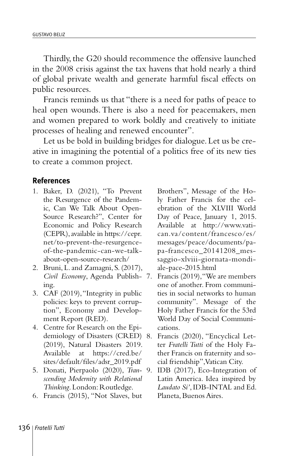Thirdly, the G20 should recommence the offensive launched in the 2008 crisis against the tax havens that hold nearly a third of global private wealth and generate harmful fiscal effects on public resources.

Francis reminds us that "there is a need for paths of peace to heal open wounds. There is also a need for peacemakers, men and women prepared to work boldly and creatively to initiate processes of healing and renewed encounter".

Let us be bold in building bridges for dialogue. Let us be creative in imagining the potential of a politics free of its new ties to create a common project.

### **References**

- 1. Baker, D. (2021), "To Prevent the Resurgence of the Pandemic, Can We Talk About Open-Source Research?", Center for Economic and Policy Research (CEPR), available in https://cepr. net/to-prevent-the-resurgenceof-the-pandemic-can-we-talkabout-open-source-research/
- 2. Bruni, L. and Zamagni, S. (2017), *Civil Economy*, Agenda Publishing.
- 3. CAF (2019), "Integrity in public policies: keys to prevent corruption", Economy and Development Report (RED).
- 4. Centre for Research on the Epidemiology of Disasters (CRED) 8. (2019), Natural Disasters 2019. Available at https://cred.be/ sites/default/files/adsr\_2019.pdf
- 5. Donati, Pierpaolo (2020), *Transcending Modernity with Relational Thinking*. London: Routledge.
- 6. Francis (2015), "Not Slaves, but

Brothers", Message of the Holy Father Francis for the celebration of the XLVIII World Day of Peace, January 1, 2015. Available at http://www.vatican.va/content/francesco/es/ messages/peace/documents/papa-francesco\_20141208\_messaggio-xlviii-giornata-mondiale-pace-2015.html

- Francis (2019), "We are members one of another. From communities in social networks to human community". Message of the Holy Father Francis for the 53rd World Day of Social Communications.
- Francis (2020), "Encyclical Letter *Fratelli Tutti* of the Holy Father Francis on fraternity and social friendship", Vatican City.
- IDB (2017), Eco-Integration of Latin America. Idea inspired by *Laudato Si'*, IDB-INTAL and Ed. Planeta, Buenos Aires.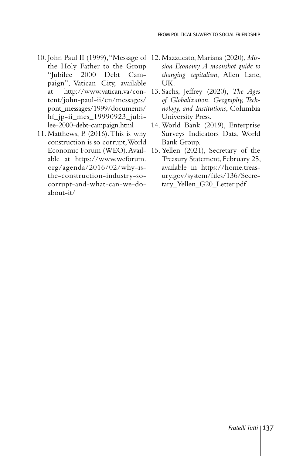- 10. John Paul II (1999), "Message of 12. Mazzucato, Mariana (2020), *Mis*the Holy Father to the Group "Jubilee 2000 Debt Campaign", Vatican City, available tent/john-paul-ii/en/messages/ pont\_messages/1999/documents/ hf\_jp-ii\_mes\_19990923\_jubilee-2000-debt-campaign.html
- 11. Matthews, P. (2016). This is why construction is so corrupt, World able at https://www.weforum. org/agenda/2016/02/why-isthe-construction-industry-socorrupt-and-what-can-we-doabout-it/
- *sion Economy. A moonshot guide to changing capitalism*, Allen Lane, UK.
- at http://www.vatican.va/con-13. Sachs, Jeffrey (2020), *The Ages of Globalization. Geography, Technology, and Institutions*, Columbia University Press.
	- 14. World Bank (2019), Enterprise Surveys Indicators Data, World Bank Group.
- Economic Forum (WEO). Avail-15. Yellen (2021), Secretary of the Treasury Statement, February 25, available in https://home.treasury.gov/system/files/136/Secretary Yellen G20 Letter.pdf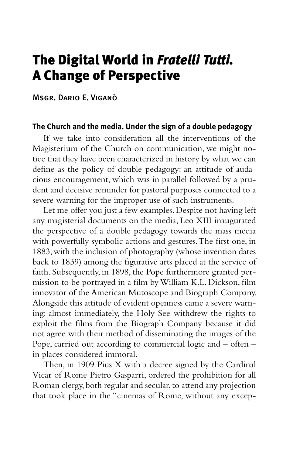# The Digital World in *Fratelli Tutti.* A Change of Perspective

#### Msgr. Dario E. Viganò

#### **The Church and the media. Under the sign of a double pedagogy**

If we take into consideration all the interventions of the Magisterium of the Church on communication, we might notice that they have been characterized in history by what we can define as the policy of double pedagogy: an attitude of audacious encouragement, which was in parallel followed by a prudent and decisive reminder for pastoral purposes connected to a severe warning for the improper use of such instruments.

Let me offer you just a few examples. Despite not having left any magisterial documents on the media, Leo XIII inaugurated the perspective of a double pedagogy towards the mass media with powerfully symbolic actions and gestures. The first one, in 1883, with the inclusion of photography (whose invention dates back to 1839) among the figurative arts placed at the service of faith. Subsequently, in 1898, the Pope furthermore granted permission to be portrayed in a film by William K.L. Dickson, film innovator of the American Mutoscope and Biograph Company. Alongside this attitude of evident openness came a severe warning: almost immediately, the Holy See withdrew the rights to exploit the films from the Biograph Company because it did not agree with their method of disseminating the images of the Pope, carried out according to commercial logic and – often – in places considered immoral.

Then, in 1909 Pius X with a decree signed by the Cardinal Vicar of Rome Pietro Gasparri, ordered the prohibition for all Roman clergy, both regular and secular, to attend any projection that took place in the "cinemas of Rome, without any excep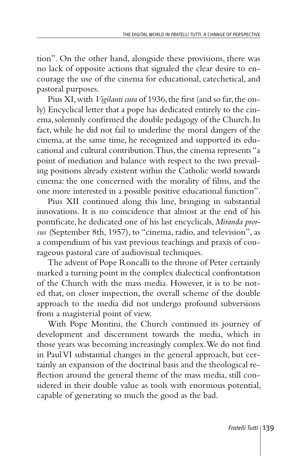tion". On the other hand, alongside these provisions, there was no lack of opposite actions that signaled the clear desire to encourage the use of the cinema for educational, catechetical, and pastoral purposes.

Pius XI, with *Vigilanti cura* of 1936, the first (and so far, the only) Encyclical letter that a pope has dedicated entirely to the cinema, solemnly confirmed the double pedagogy of the Church. In fact, while he did not fail to underline the moral dangers of the cinema, at the same time, he recognized and supported its educational and cultural contribution. Thus, the cinema represents "a point of mediation and balance with respect to the two prevailing positions already existent within the Catholic world towards cinema: the one concerned with the morality of films, and the one more interested in a possible positive educational function".

Pius XII continued along this line, bringing in substantial innovations. It is no coincidence that almost at the end of his pontificate, he dedicated one of his last encyclicals, *Miranda prorsus* (September 8th, 1957), to "cinema, radio, and television", as a compendium of his vast previous teachings and praxis of courageous pastoral care of audiovisual techniques.

The advent of Pope Roncalli to the throne of Peter certainly marked a turning point in the complex dialectical confrontation of the Church with the mass media. However, it is to be noted that, on closer inspection, the overall scheme of the double approach to the media did not undergo profound subversions from a magisterial point of view.

With Pope Montini, the Church continued its journey of development and discernment towards the media, which in those years was becoming increasingly complex. We do not find in Paul VI substantial changes in the general approach, but certainly an expansion of the doctrinal basis and the theological reflection around the general theme of the mass media, still considered in their double value as tools with enormous potential, capable of generating so much the good as the bad.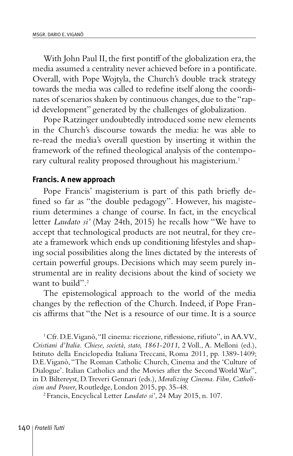With John Paul II, the first pontiff of the globalization era, the media assumed a centrality never achieved before in a pontificate. Overall, with Pope Wojtyla, the Church's double track strategy towards the media was called to redefine itself along the coordinates of scenarios shaken by continuous changes, due to the "rapid development" generated by the challenges of globalization.

Pope Ratzinger undoubtedly introduced some new elements in the Church's discourse towards the media: he was able to re-read the media's overall question by inserting it within the framework of the refined theological analysis of the contemporary cultural reality proposed throughout his magisterium.<sup>1</sup>

#### **Francis. A new approach**

Pope Francis' magisterium is part of this path briefly defined so far as "the double pedagogy". However, his magisterium determines a change of course. In fact, in the encyclical letter *Laudato si'* (May 24th, 2015) he recalls how "We have to accept that technological products are not neutral, for they create a framework which ends up conditioning lifestyles and shaping social possibilities along the lines dictated by the interests of certain powerful groups. Decisions which may seem purely instrumental are in reality decisions about the kind of society we want to build".<sup>2</sup>

The epistemological approach to the world of the media changes by the reflection of the Church. Indeed, if Pope Francis affirms that "the Net is a resource of our time. It is a source

1Cfr. D.E. Viganò, "Il cinema: ricezione, riflessione, rifiuto", in AA.VV., *Cristiani d'Italia. Chiese, società, stato, 1861-2011*, 2 Voll., A. Melloni (ed.), Istituto della Enciclopedia Italiana Treccani, Roma 2011, pp. 1389-1409; D.E. Viganò, "The Roman Catholic Church, Cinema and the 'Culture of Dialogue'. Italian Catholics and the Movies after the Second World War", in D. Biltereyst, D. Treveri Gennari (eds.), *Moralizing Cinema. Film, Catholicism and Power*, Routledge, London 2015, pp. 35-48.

<sup>2</sup> Francis, Encyclical Letter *Laudato si'*, 24 May 2015, n. 107.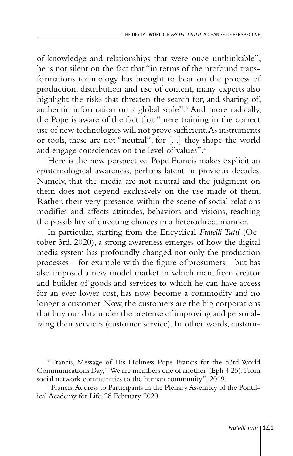of knowledge and relationships that were once unthinkable", he is not silent on the fact that "in terms of the profound transformations technology has brought to bear on the process of production, distribution and use of content, many experts also highlight the risks that threaten the search for, and sharing of, authentic information on a global scale".3 And more radically, the Pope is aware of the fact that "mere training in the correct use of new technologies will not prove sufficient. As instruments or tools, these are not "neutral", for [...] they shape the world and engage consciences on the level of values".4

Here is the new perspective: Pope Francis makes explicit an epistemological awareness, perhaps latent in previous decades. Namely, that the media are not neutral and the judgment on them does not depend exclusively on the use made of them. Rather, their very presence within the scene of social relations modifies and affects attitudes, behaviors and visions, reaching the possibility of directing choices in a heterodirect manner.

In particular, starting from the Encyclical *Fratelli Tutti* (October 3rd, 2020), a strong awareness emerges of how the digital media system has profoundly changed not only the production processes – for example with the figure of prosumers – but has also imposed a new model market in which man, from creator and builder of goods and services to which he can have access for an ever-lower cost, has now become a commodity and no longer a customer. Now, the customers are the big corporations that buy our data under the pretense of improving and personalizing their services (customer service). In other words, custom-

<sup>3</sup> Francis, Message of His Holiness Pope Francis for the 53rd World Communications Day, "'We are members one of another' (Eph 4,25). From social network communities to the human community"*,* 2019.

<sup>4</sup> Francis, Address to Participants in the Plenary Assembly of the Pontifical Academy for Life, 28 February 2020.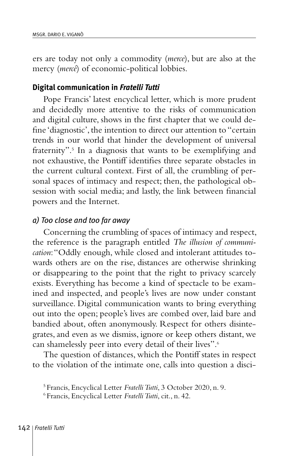ers are today not only a commodity (*merce*), but are also at the mercy (*mercé*) of economic-political lobbies.

#### **Digital communication in** *Fratelli Tutti*

Pope Francis' latest encyclical letter, which is more prudent and decidedly more attentive to the risks of communication and digital culture, shows in the first chapter that we could define 'diagnostic', the intention to direct our attention to "certain trends in our world that hinder the development of universal fraternity".<sup>5</sup> In a diagnosis that wants to be exemplifying and not exhaustive, the Pontiff identifies three separate obstacles in the current cultural context. First of all, the crumbling of personal spaces of intimacy and respect; then, the pathological obsession with social media; and lastly, the link between financial powers and the Internet.

#### *a) Too close and too far away*

Concerning the crumbling of spaces of intimacy and respect, the reference is the paragraph entitled *The illusion of communication*: "Oddly enough, while closed and intolerant attitudes towards others are on the rise, distances are otherwise shrinking or disappearing to the point that the right to privacy scarcely exists. Everything has become a kind of spectacle to be examined and inspected, and people's lives are now under constant surveillance. Digital communication wants to bring everything out into the open; people's lives are combed over, laid bare and bandied about, often anonymously. Respect for others disintegrates, and even as we dismiss, ignore or keep others distant, we can shamelessly peer into every detail of their lives".6

The question of distances, which the Pontiff states in respect to the violation of the intimate one, calls into question a disci-

<sup>5</sup> Francis, Encyclical Letter *Fratelli Tutti*, 3 October 2020, n. 9.

<sup>6</sup> Francis, Encyclical Letter *Fratelli Tutti*, cit., n. 42.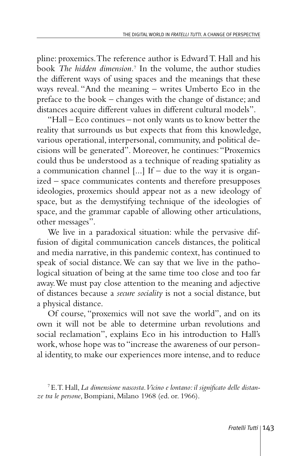pline: proxemics. The reference author is Edward T. Hall and his book *The hidden dimension.*<sup>7</sup> In the volume, the author studies the different ways of using spaces and the meanings that these ways reveal. "And the meaning – writes Umberto Eco in the preface to the book – changes with the change of distance; and distances acquire different values in different cultural models".

"Hall – Eco continues – not only wants us to know better the reality that surrounds us but expects that from this knowledge, various operational, interpersonal, community, and political decisions will be generated". Moreover, he continues: "Proxemics could thus be understood as a technique of reading spatiality as a communication channel  $\left[ \ldots \right]$  If – due to the way it is organized – space communicates contents and therefore presupposes ideologies, proxemics should appear not as a new ideology of space, but as the demystifying technique of the ideologies of space, and the grammar capable of allowing other articulations, other messages".

We live in a paradoxical situation: while the pervasive diffusion of digital communication cancels distances, the political and media narrative, in this pandemic context, has continued to speak of social distance. We can say that we live in the pathological situation of being at the same time too close and too far away. We must pay close attention to the meaning and adjective of distances because a *secure sociality* is not a social distance, but a physical distance.

Of course, "proxemics will not save the world", and on its own it will not be able to determine urban revolutions and social reclamation", explains Eco in his introduction to Hall's work, whose hope was to "increase the awareness of our personal identity, to make our experiences more intense, and to reduce

<sup>7</sup>E.T. Hall, *La dimensione nascosta. Vicino e lontano: il significato delle distanze tra le persone*, Bompiani, Milano 1968 (ed. or. 1966).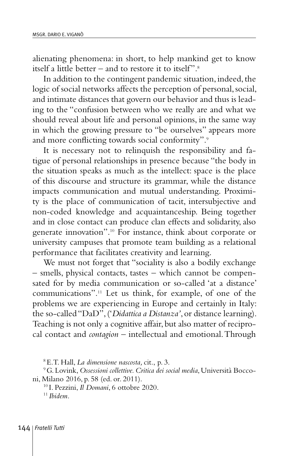alienating phenomena: in short, to help mankind get to know itself a little better – and to restore it to itself".<sup>8</sup>

In addition to the contingent pandemic situation, indeed, the logic of social networks affects the perception of personal, social, and intimate distances that govern our behavior and thus is leading to the "confusion between who we really are and what we should reveal about life and personal opinions, in the same way in which the growing pressure to "be ourselves" appears more and more conflicting towards social conformity".9

It is necessary not to relinquish the responsibility and fatigue of personal relationships in presence because "the body in the situation speaks as much as the intellect: space is the place of this discourse and structure its grammar, while the distance impacts communication and mutual understanding. Proximity is the place of communication of tacit, intersubjective and non-coded knowledge and acquaintanceship. Being together and in close contact can produce clan effects and solidarity, also generate innovation".10 For instance, think about corporate or university campuses that promote team building as a relational performance that facilitates creativity and learning.

We must not forget that "sociality is also a bodily exchange – smells, physical contacts, tastes – which cannot be compensated for by media communication or so-called 'at a distance' communications".11 Let us think, for example, of one of the problems we are experiencing in Europe and certainly in Italy: the so-called "DaD", ('*Didattica a Distanza'*, or distance learning). Teaching is not only a cognitive affair, but also matter of reciprocal contact and *contagion* – intellectual and emotional. Through

<sup>8</sup>E.T. Hall, *La dimensione nascosta,* cit., p. 3.

<sup>9</sup>G. Lovink, *Ossessioni collettive. Critica dei social media*, Università Bocconi, Milano 2016, p. 58 (ed. or. 2011).

<sup>10</sup> I. Pezzini, *Il Domani*, 6 ottobre 2020. <sup>11</sup> *Ibidem.*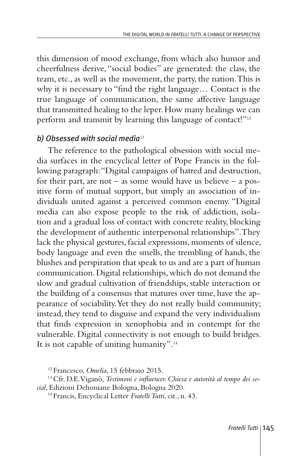this dimension of mood exchange, from which also humor and cheerfulness derive, "social bodies" are generated: the class, the team, etc., as well as the movement, the party, the nation. This is why it is necessary to "find the right language… Contact is the true language of communication, the same affective language that transmitted healing to the leper. How many healings we can perform and transmit by learning this language of contact!"<sup>12</sup>

## *b) Obsessed with social media*<sup>13</sup>

The reference to the pathological obsession with social media surfaces in the encyclical letter of Pope Francis in the following paragraph: "Digital campaigns of hatred and destruction, for their part, are not – as some would have us believe – a positive form of mutual support, but simply an association of individuals united against a perceived common enemy. "Digital media can also expose people to the risk of addiction, isolation and a gradual loss of contact with concrete reality, blocking the development of authentic interpersonal relationships". They lack the physical gestures, facial expressions, moments of silence, body language and even the smells, the trembling of hands, the blushes and perspiration that speak to us and are a part of human communication. Digital relationships, which do not demand the slow and gradual cultivation of friendships, stable interaction or the building of a consensus that matures over time, have the appearance of sociability. Yet they do not really build community; instead, they tend to disguise and expand the very individualism that finds expression in xenophobia and in contempt for the vulnerable. Digital connectivity is not enough to build bridges. It is not capable of uniting humanity".14

<sup>13</sup> Cfr. D.E. Viganò, *Testimoni e influencer. Chiesa e autorità al tempo dei social*, Edizioni Dehoniane Bologna, Bologna 2020.

<sup>14</sup> Francis, Encyclical Letter *Fratelli Tutti*, cit., n. 43.

<sup>12</sup> Francesco, *Omelia*, 15 febbraio 2015.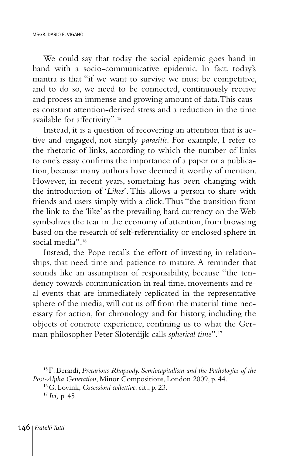We could say that today the social epidemic goes hand in hand with a socio-communicative epidemic. In fact, today's mantra is that "if we want to survive we must be competitive, and to do so, we need to be connected, continuously receive and process an immense and growing amount of data. This causes constant attention-derived stress and a reduction in the time available for affectivity".15

Instead, it is a question of recovering an attention that is active and engaged, not simply *parasitic*. For example, I refer to the rhetoric of links, according to which the number of links to one's essay confirms the importance of a paper or a publication, because many authors have deemed it worthy of mention. However, in recent years, something has been changing with the introduction of '*Likes*'. This allows a person to share with friends and users simply with a click. Thus "the transition from the link to the 'like' as the prevailing hard currency on the Web symbolizes the tear in the economy of attention, from browsing based on the research of self-referentiality or enclosed sphere in social media"<sup>16</sup>

Instead, the Pope recalls the effort of investing in relationships, that need time and patience to mature. A reminder that sounds like an assumption of responsibility, because "the tendency towards communication in real time, movements and real events that are immediately replicated in the representative sphere of the media, will cut us off from the material time necessary for action, for chronology and for history, including the objects of concrete experience, confining us to what the German philosopher Peter Sloterdijk calls *spherical time*".17

<sup>15</sup> F. Berardi, *Precarious Rhapsody. Semiocapitalism and the Pathologies of the Post-Alpha Generation*, Minor Compositions, London 2009, p. 44. 16G. Lovink, *Ossessioni collettive,* cit., p. 23. <sup>17</sup> *Ivi,* p. 45.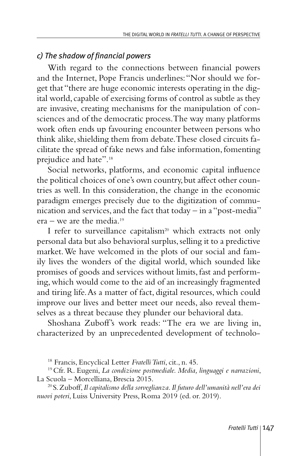## *c) The shadow of financial powers*

With regard to the connections between financial powers and the Internet, Pope Francis underlines: "Nor should we forget that "there are huge economic interests operating in the digital world, capable of exercising forms of control as subtle as they are invasive, creating mechanisms for the manipulation of consciences and of the democratic process. The way many platforms work often ends up favouring encounter between persons who think alike, shielding them from debate. These closed circuits facilitate the spread of fake news and false information, fomenting prejudice and hate".18

Social networks, platforms, and economic capital influence the political choices of one's own country, but affect other countries as well. In this consideration, the change in the economic paradigm emerges precisely due to the digitization of communication and services, and the fact that today – in a "post-media"  $era - we$  are the media.<sup>19</sup>

I refer to surveillance capitalism<sup>20</sup> which extracts not only personal data but also behavioral surplus, selling it to a predictive market. We have welcomed in the plots of our social and family lives the wonders of the digital world, which sounded like promises of goods and services without limits, fast and performing, which would come to the aid of an increasingly fragmented and tiring life. As a matter of fact, digital resources, which could improve our lives and better meet our needs, also reveal themselves as a threat because they plunder our behavioral data.

Shoshana Zuboff's work reads: "The era we are living in, characterized by an unprecedented development of technolo-

<sup>18</sup> Francis, Encyclical Letter *Fratelli Tutti*, cit., n. 45.

<sup>19</sup> Cfr. R. Eugeni, *La condizione postmediale. Media, linguaggi e narrazioni*, La Scuola – Morcelliana, Brescia 2015.

<sup>20</sup> S. Zuboff, *Il capitalismo della sorveglianza. Il futuro dell'umanità nell'era dei nuovi poteri*, Luiss University Press, Roma 2019 (ed. or. 2019).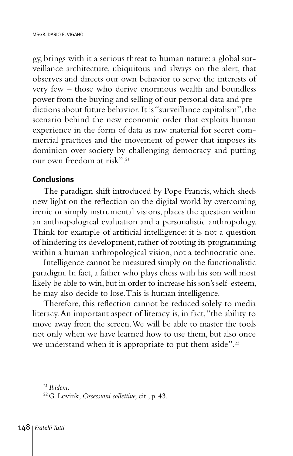gy, brings with it a serious threat to human nature: a global surveillance architecture, ubiquitous and always on the alert, that observes and directs our own behavior to serve the interests of very few – those who derive enormous wealth and boundless power from the buying and selling of our personal data and predictions about future behavior. It is "surveillance capitalism", the scenario behind the new economic order that exploits human experience in the form of data as raw material for secret commercial practices and the movement of power that imposes its dominion over society by challenging democracy and putting our own freedom at risk".<sup>21</sup>

#### **Conclusions**

The paradigm shift introduced by Pope Francis, which sheds new light on the reflection on the digital world by overcoming irenic or simply instrumental visions, places the question within an anthropological evaluation and a personalistic anthropology. Think for example of artificial intelligence: it is not a question of hindering its development, rather of rooting its programming within a human anthropological vision, not a technocratic one.

Intelligence cannot be measured simply on the functionalistic paradigm. In fact, a father who plays chess with his son will most likely be able to win, but in order to increase his son's self-esteem, he may also decide to lose. This is human intelligence.

Therefore, this reflection cannot be reduced solely to media literacy. An important aspect of literacy is, in fact, "the ability to move away from the screen. We will be able to master the tools not only when we have learned how to use them, but also once we understand when it is appropriate to put them aside".<sup>22</sup>

<sup>21</sup> *Ibidem.* 22G. Lovink, *Ossessioni collettive,* cit., p. 43.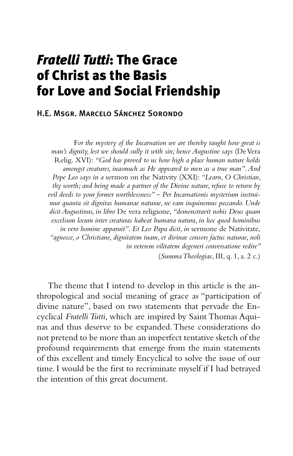# *Fratelli Tutti*: The Grace of Christ as the Basis for Love and Social Friendship

#### H.E. Msgr. Marcelo Sánchez Sorondo

F*or the mystery of the Incarnation we are thereby taught how great is man's dignity, lest we should sully it with sin; hence Augustine says* (De Vera Relig. XVI): *"God has proved to us how high a place human nature holds amongst creatures, inasmuch as He appeared to men as a true man". And Pope Leo says in a* sermon on the Nativity (XXI): *"Learn, O Christian, thy worth; and being made a partner of the Divine nature, refuse to return by evil deeds to your former worthlessness" – Per Incarnationis mysterium instruimur quanta sit dignitas humanae naturae, ne eam inquinemus peccando. Unde dicit Augustinus, in libro* De vera religione, *"demonstravit nobis Deus quam excelsum locum inter creaturas habeat humana natura, in hoc quod hominibus in vero homine apparuit". Et Leo Papa dicit, in* sermone de Nativitate, *"agnosce, o Christiane, dignitatem tuam, et divinae consors factus naturae, noli in veterem vilitatem degeneri conversatione redire"* 

(*Summa Theologiae*, III, q. 1, a. 2 c.)

The theme that I intend to develop in this article is the anthropological and social meaning of grace as "participation of divine nature", based on two statements that pervade the Encyclical *Fratelli Tutti*, which are inspired by Saint Thomas Aquinas and thus deserve to be expanded. These considerations do not pretend to be more than an imperfect tentative sketch of the profound requirements that emerge from the main statements of this excellent and timely Encyclical to solve the issue of our time. I would be the first to recriminate myself if I had betrayed the intention of this great document.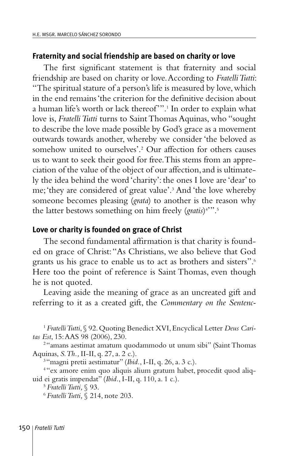### **Fraternity and social friendship are based on charity or love**

The first significant statement is that fraternity and social friendship are based on charity or love. According to *Fratelli Tutti*: "The spiritual stature of a person's life is measured by love, which in the end remains 'the criterion for the definitive decision about a human life's worth or lack thereof"".<sup>1</sup> In order to explain what love is, *Fratelli Tutti* turns to Saint Thomas Aquinas, who "sought to describe the love made possible by God's grace as a movement outwards towards another, whereby we consider 'the beloved as somehow united to ourselves'.2 Our affection for others causes us to want to seek their good for free. This stems from an appreciation of the value of the object of our affection, and is ultimately the idea behind the word 'charity': the ones I love are 'dear' to me; 'they are considered of great value'.3 And 'the love whereby someone becomes pleasing (*grata*) to another is the reason why the latter bestows something on him freely (*gratis*)<sup>4</sup>".<sup>5</sup>

#### **Love or charity is founded on grace of Christ**

The second fundamental affirmation is that charity is founded on grace of Christ: "As Christians, we also believe that God grants us his grace to enable us to act as brothers and sisters".6 Here too the point of reference is Saint Thomas, even though he is not quoted.

Leaving aside the meaning of grace as an uncreated gift and referring to it as a created gift, the *Commentary on the Sentenc-*

1 *Fratelli Tutti*, § 92. Quoting Benedict XVI, Encyclical Letter *Deus Caritas Est*, 15: AAS 98 (2006), 230.

2 "amans aestimat amatum quodammodo ut unum sibi" (Saint Thomas Aquinas, *S. Th.,* II-II, q. 27, a. 2 c.). 3 "magni pretii aestimatur" (*Ibid.*, I-II, q. 26, a. 3 c.).

4 "ex amore enim quo aliquis alium gratum habet, procedit quod aliquid ei gratis impendat" (*Ibid.*, I-II, q. 110, a. 1 c.).

<sup>5</sup>*Fratelli Tutti,* § 93.

6 *Fratelli Tutti,* § 214, note 203.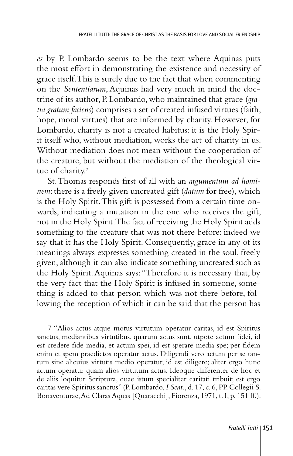*es* by P. Lombardo seems to be the text where Aquinas puts the most effort in demonstrating the existence and necessity of grace itself. This is surely due to the fact that when commenting on the *Sententiarum*, Aquinas had very much in mind the doctrine of its author, P. Lombardo, who maintained that grace (*gratia gratum faciens*) comprises a set of created infused virtues (faith, hope, moral virtues) that are informed by charity. However, for Lombardo, charity is not a created habitus: it is the Holy Spirit itself who, without mediation, works the act of charity in us. Without mediation does not mean without the cooperation of the creature, but without the mediation of the theological virtue of charity.<sup>7</sup>

St. Thomas responds first of all with an *argumentum ad hominem*: there is a freely given uncreated gift (*datum* for free), which is the Holy Spirit. This gift is possessed from a certain time onwards, indicating a mutation in the one who receives the gift, not in the Holy Spirit. The fact of receiving the Holy Spirit adds something to the creature that was not there before: indeed we say that it has the Holy Spirit. Consequently, grace in any of its meanings always expresses something created in the soul, freely given, although it can also indicate something uncreated such as the Holy Spirit. Aquinas says: "Therefore it is necessary that, by the very fact that the Holy Spirit is infused in someone, something is added to that person which was not there before, following the reception of which it can be said that the person has

7 "Alios actus atque motus virtutum operatur caritas, id est Spiritus sanctus, mediantibus virtutibus, quarum actus sunt, utpote actum fidei, id est credere fide media, et actum spei, id est sperare media spe; per fidem enim et spem praedictos operatur actus. Diligendi vero actum per se tantum sine alicuius virtutis medio operatur, id est diligere; aliter ergo hunc actum operatur quam alios virtutum actus. Ideoque differenter de hoc et de aliis loquitur Scriptura, quae istum specialiter caritati tribuit; est ergo caritas vere Spiritus sanctus" (P. Lombardo, *I Sent.*, d. 17, c. 6, PP. Collegii S. Bonaventurae, Ad Claras Aquas [Quaracchi], Fiorenza, 1971, t. I, p. 151 ff.).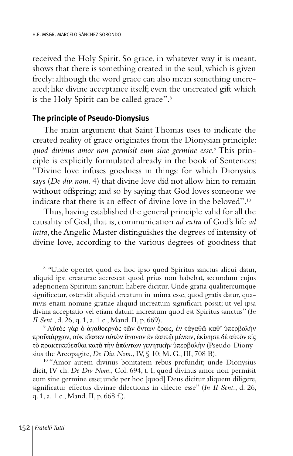received the Holy Spirit. So grace, in whatever way it is meant, shows that there is something created in the soul, which is given freely: although the word grace can also mean something uncreated; like divine acceptance itself; even the uncreated gift which is the Holy Spirit can be called grace".8

### **The principle of Pseudo-Dionysius**

The main argument that Saint Thomas uses to indicate the created reality of grace originates from the Dionysian principle: *quod divinus amor non permisit eum sine germine esse*. 9 This principle is explicitly formulated already in the book of Sentences: "Divine love infuses goodness in things: for which Dionysius says (*De div. nom.* 4) that divine love did not allow him to remain without offspring; and so by saying that God loves someone we indicate that there is an effect of divine love in the beloved".10

Thus, having established the general principle valid for all the causality of God, that is, communication *ad extra* of God's life *ad intra*, the Angelic Master distinguishes the degrees of intensity of divine love, according to the various degrees of goodness that

<sup>8</sup>*"*Unde oportet quod ex hoc ipso quod Spiritus sanctus alicui datur, aliquid ipsi creaturae accrescat quod prius non habebat, secundum cujus adeptionem Spiritum sanctum habere dicitur. Unde gratia qualitercumque significetur, ostendit aliquid creatum in anima esse, quod gratis datur, quamvis etiam nomine gratiae aliquid increatum significari possit; ut vel ipsa divina acceptatio vel etiam datum increatum quod est Spiritus sanctus" (*In II Sent.*, d. 26, q. 1, a. 1 c., Mand. II, p. 669).<br><sup>9</sup> Αὐτὸς γὰρ ὁ ἀγαθοεργὸς τῶν ὅντων ἔρως, ἐν τάγαθῷ καθ' ὑπερβολὴν

προῦπάρχων, οὐκ εἴασεν αὐτὸν ἄγονον ἐν ἐαυτῷ μένειν, ἐκίνησε δὲ αὐτὸν εἰς τὸ πρακτικεύεσθαι κατὰ τὴν ἀπάντων γενητικὴν ὑπερβολὴν (Pseudo-Dionysius the Areopagite, *De Div. Nom.*, IV, § 10; M. G., III, 708 B). <sup>10</sup> "Amor autem divinus bonitatem rebus profundit; unde Dionysius

dicit, IV ch. *De Div Nom*., Col. 694, t. I, quod divinus amor non permisit eum sine germine esse; unde per hoc [quod] Deus dicitur aliquem diligere, significatur effectus divinae dilectionis in dilecto esse" (*In II Sent.*, d. 26, q. 1, a. 1 c., Mand. II, p. 668 f.).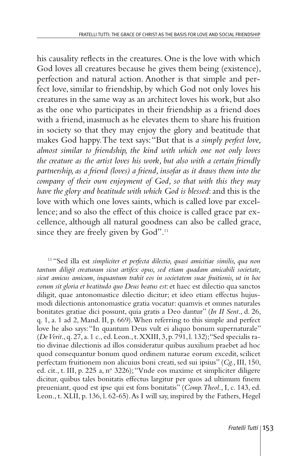his causality reflects in the creatures. One is the love with which God loves all creatures because he gives them being (existence), perfection and natural action. Another is that simple and perfect love, similar to friendship, by which God not only loves his creatures in the same way as an architect loves his work, but also as the one who participates in their friendship as a friend does with a friend, inasmuch as he elevates them to share his fruition in society so that they may enjoy the glory and beatitude that makes God happy. The text says: "But that is *a simply perfect love, almost similar to friendship, the kind with which one not only loves the creature as the artist loves his work, but also with a certain friendly partnership, as a friend (loves) a friend, insofar as it draws them into the company of their own enjoyment of God, so that with this they may have the glory and beatitude with which God is blessed*: and this is the love with which one loves saints, which is called love par excellence; and so also the effect of this choice is called grace par excellence, although all natural goodness can also be called grace, since they are freely given by God".<sup>11</sup>

11 "Sed illa est *simpliciter et perfecta dilectio, quasi amicitiae similis, qua non tantum diligit creaturam sicut artifex opus, sed etiam quadam amicabili societate, sicut amicus amicum, inquantum trahit eos in societatem suae fruitionis, ut in hoc eorum sit gloria et beatitudo quo Deus beatus est*: et haec est dilectio qua sanctos diligit, quae antonomastice dilectio dicitur; et ideo etiam effectus hujusmodi dilectionis antonomastice gratia vocatur: quamvis et omnes naturales bonitates gratiae dici possunt, quia gratis a Deo dantur" (*In II Sent*., d. 26, q. 1, a. 1 ad 2, Mand. II, p. 669). When referring to this simple and perfect love he also says: "In quantum Deus vult ei aliquo bonum supernaturale" (*De Verit*., q. 27, a. 1 c., ed. Leon., t. XXIII, 3, p. 791, l. 132); "Sed specialis ratio divinae dilectionis ad illos consideratur quibus auxilium praebet ad hoc quod consequantur bonum quod ordinem naturae eorum excedit, scilicet perfectam fruitionem non alicuius boni creati, sed sui ipsius" (*Cg.*, III, 150, ed. cit., t. III, p. 225 a, nº 3226); "Vnde eos maxime et simpliciter diligere dicitur, quibus tales bonitatis effectus largitur per quos ad ultimum finem preueniant, quod est ipse qui est fons bonitatis" (*Comp. Theol.*, I, c. 143, ed. Leon., t. XLII, p. 136, l. 62-65). As I will say, inspired by the Fathers, Hegel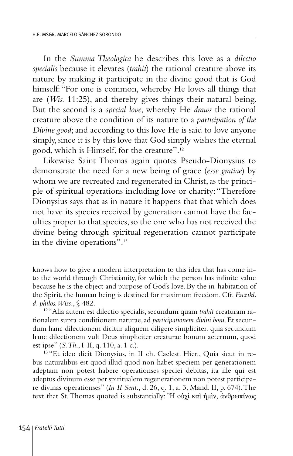In the *Summa Theologica* he describes this love as a *dilectio specialis* because it elevates (*trahit*) the rational creature above its nature by making it participate in the divine good that is God himself: "For one is common, whereby He loves all things that are (*Wis.* 11:25), and thereby gives things their natural being. But the second is a *special love*, whereby He *draws* the rational creature above the condition of its nature to a *participation of the Divine good*; and according to this love He is said to love anyone simply, since it is by this love that God simply wishes the eternal good, which is Himself, for the creature".12

Likewise Saint Thomas again quotes Pseudo-Dionysius to demonstrate the need for a new being of grace (*esse gratiae*) by whom we are recreated and regenerated in Christ, as the principle of spiritual operations including love or charity: "Therefore Dionysius says that as in nature it happens that that which does not have its species received by generation cannot have the faculties proper to that species, so the one who has not received the divine being through spiritual regeneration cannot participate in the divine operations".13

knows how to give a modern interpretation to this idea that has come into the world through Christianity, for which the person has infinite value because he is the object and purpose of God's love. By the in-habitation of the Spirit, the human being is destined for maximum freedom. Cfr. *Enzikl. d. philos. Wiss*., § 482. 12 "Alia autem est dilectio specialis, secundum quam *trahit* creaturam ra-

tionalem supra conditionem naturae, ad *participationem divini boni*. Et secundum hanc dilectionem dicitur aliquem diligere simpliciter: quia secundum hanc dilectionem vult Deus simpliciter creaturae bonum aeternum, quod est ipse" (*S. Th.*, I-II, q. 110, a. 1 c.).<br><sup>13</sup> "Et ideo dicit Dionysius, in II ch. Caelest. Hier., Quia sicut in re-

bus naturalibus est quod illud quod non habet speciem per generationem adeptam non potest habere operationses speciei debitas, ita ille qui est adeptus divinum esse per spiritualem regenerationem non potest participare divinas operationses" (*In II Sent.*, d. 26, q. 1, a. 3, Mand. II, p. 674). The text that St. Thomas quoted is substantially: "Η οὐχὶ καὶ ἡμῖν, ἀνθρωπίνως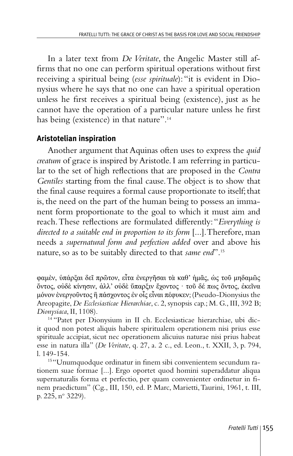In a later text from *De Veritate*, the Angelic Master still affirms that no one can perform spiritual operations without first receiving a spiritual being (*esse spirituale*): "it is evident in Dionysius where he says that no one can have a spiritual operation unless he first receives a spiritual being (existence), just as he cannot have the operation of a particular nature unless he first has being (existence) in that nature".14

#### **Aristotelian inspiration**

Another argument that Aquinas often uses to express the *quid creatum* of grace is inspired by Aristotle. I am referring in particular to the set of high reflections that are proposed in the *Contra Gentiles* starting from the final cause. The object is to show that the final cause requires a formal cause proportionate to itself; that is, the need on the part of the human being to possess an immanent form proportionate to the goal to which it must aim and reach. These reflections are formulated differently: "*Everything is directed to a suitable end in proportion to its form* [...]. Therefore, man needs a *supernatural form and perfection added* over and above his nature, so as to be suitably directed to that *same end*".15

φαμὲν, ὑπάρξαι δεῖ πρῶτον, εἶτα ἐνεργῆσαι τὰ καθ' ἡμᾶς, ὡς τοῦ μηδαμῶς ὄντος, οὐδὲ κίνησιν, ἀλλ' οὐδὲ ὕπαρξιν ἔχοντος · τοῦ δέ πως ὄντος, ἐκεῖνα μόνον ὲνεργοῦντος ἢ πάσχοντος ἐν οἷς εἶναι πέφυκεν; (Pseudo-Dionysius the Areopagite, *De Ecclesiasticae Hierarchiae*, c. 2, synopsis cap.; M. G., III, 392 B; *Dionysiaca*, II, 1108). 14 "Patet per Dionysium in II ch. Ecclesiasticae hierarchiae, ubi dic-

it quod non potest aliquis habere spiritualem operationem nisi prius esse spirituale accipiat, sicut nec operationem alicuius naturae nisi prius habeat esse in natura illa" (*De Veritate*, q. 27, a. 2 c., ed. Leon., t. XXII, 3, p. 794, l. 149-154.

15 "Unumquodque ordinatur in finem sibi convenientem secundum rationem suae formae [...]. Ergo oportet quod homini superaddatur aliqua supernaturalis forma et perfectio, per quam convenienter ordinetur in finem praedictum" (Cg., III, 150, ed. P. Marc, Marietti, Taurini, 1961, t. III, p. 225, n° 3229).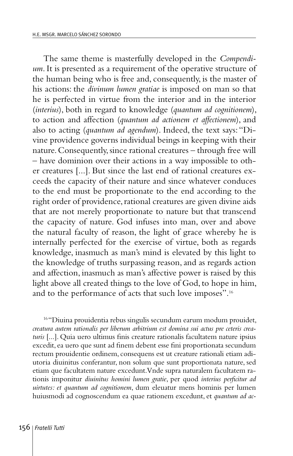The same theme is masterfully developed in the *Compendium*. It is presented as a requirement of the operative structure of the human being who is free and, consequently, is the master of his actions: the *divinum lumen gratiae* is imposed on man so that he is perfected in virtue from the interior and in the interior (*interius*), both in regard to knowledge (*quantum ad cognitionem*), to action and affection (*quantum ad actionem et affectionem*), and also to acting (*quantum ad agendum*). Indeed, the text says: "Divine providence governs individual beings in keeping with their nature. Consequently, since rational creatures – through free will – have dominion over their actions in a way impossible to other creatures [...]. But since the last end of rational creatures exceeds the capacity of their nature and since whatever conduces to the end must be proportionate to the end according to the right order of providence, rational creatures are given divine aids that are not merely proportionate to nature but that transcend the capacity of nature. God infuses into man, over and above the natural faculty of reason, the light of grace whereby he is internally perfected for the exercise of virtue, both as regards knowledge, inasmuch as man's mind is elevated by this light to the knowledge of truths surpassing reason, and as regards action and affection, inasmuch as man's affective power is raised by this light above all created things to the love of God, to hope in him, and to the performance of acts that such love imposes".16

16 "Diuina prouidentia rebus singulis secundum earum modum prouidet, *creatura autem rationalis per liberum arbitrium est domina sui actus pre ceteris creaturis* [...]. Quia uero ultimus finis creature rationalis facultatem nature ipsius excedit, ea uero que sunt ad finem debent esse fini proportionata secundum rectum prouidentie ordinem, consequens est ut creature rationali etiam adiutoria diuinitus conferantur, non solum que sunt proportionata nature, sed etiam que facultatem nature excedunt. Vnde supra naturalem facultatem rationis imponitur *diuinitus homini lumen gratie*, per quod *interius perficitur ad uirtutes: et quantum ad cognitionem*, dum eleuatur mens hominis per lumen huiusmodi ad cognoscendum ea quae rationem excedunt, et *quantum ad ac-*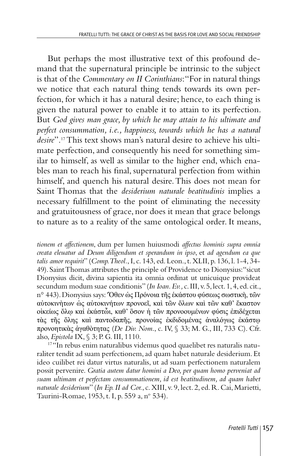But perhaps the most illustrative text of this profound demand that the supernatural principle be intrinsic to the subject is that of the *Commentary on II Corinthians*: "For in natural things we notice that each natural thing tends towards its own perfection, for which it has a natural desire; hence, to each thing is given the natural power to enable it to attain to its perfection. But *God gives man grace, by which he may attain to his ultimate and perfect consummation, i.e., happiness, towards which he has a natural desire*".17 This text shows man's natural desire to achieve his ultimate perfection, and consequently his need for something similar to himself, as well as similar to the higher end, which enables man to reach his final, supernatural perfection from within himself, and quench his natural desire. This does not mean for Saint Thomas that the *desiderium naturale beatitudinis* implies a necessary fulfillment to the point of eliminating the necessity and gratuitousness of grace, nor does it mean that grace belongs to nature as to a reality of the same ontological order. It means,

*tionem et affectionem*, dum per lumen huiusmodi *affectus hominis supra omnia creata eleuatur ad Deum diligendum et sperandum in ipso*, et *ad agendum ea que talis amor requirit*" (*Comp. Theol.*, I, c. 143, ed. Leon., t. XLII, p. 136, l. 1-4, 34- 49). Saint Thomas attributes the principle of Providence to Dionysius: "sicut Dionysius dicit, divina sapientia ita omnia ordinat ut unicuique provideat secundum modum suae conditionis" (*In Ioan. Ev.,* c. III, v. 5, lect. 1, 4, ed. cit., n° 443). Dionysius says: ʹὈθεν ὡς Πρόνοια τῆς ἑκάστου φύσεως σωστικὴ, τῶν αὐτοκινὴτων ὡς αὐτοκινήτων προνοεῖ, καὶ τῶν ὅλων καὶ τῶν καθ' ἔκαστον οἰκείως ὄλῳ καἰ ἑκάστὦι, καθ' ὂσον ἡ τῶν προνοουμένων φύσις ἐπιδέχεται τὰς τῆς ὅλης καὶ παντοδαπῆς, προνοίας ἐκδιδομένας ἀναλόγως ἑκάστῳ προνοητικὰς ἀγαθὸτητας (*De Div. Nom*., c. IV, § 33; M. G., III, 733 C). Cfr.

<sup>17</sup>"In rebus enim naturalibus videmus quod quaelibet res naturalis naturaliter tendit ad suam perfectionem, ad quam habet naturale desiderium. Et ideo cuilibet rei datur virtus naturalis, ut ad suam perfectionem naturalem possit pervenire. *Gratia autem datur homini a Deo, per quam homo perveniat ad suam ultimam et perfectam consummationem, id est beatitudinem, ad quam habet naturale desiderium*" (*In Ep. II ad Cor.*, c. XIII, v. 9, lect. 2, ed. R. Cai, Marietti, Taurini-Romae, 1953, t. I, p. 559 a, nº 534).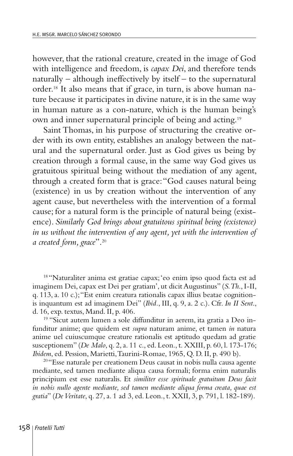however, that the rational creature, created in the image of God with intelligence and freedom, is *capax Dei*, and therefore tends naturally – although ineffectively by itself – to the supernatural order.18 It also means that if grace, in turn, is above human nature because it participates in divine nature, it is in the same way in human nature as a con-nature, which is the human being's own and inner supernatural principle of being and acting.19

Saint Thomas, in his purpose of structuring the creative order with its own entity, establishes an analogy between the natural and the supernatural order. Just as God gives us being by creation through a formal cause, in the same way God gives us gratuitous spiritual being without the mediation of any agent, through a created form that is grace: "God causes natural being (existence) in us by creation without the intervention of any agent cause, but nevertheless with the intervention of a formal cause; for a natural form is the principle of natural being (existence). *Similarly God brings about gratuitous spiritual being (existence) in us without the intervention of any agent, yet with the intervention of a created form, grace*".20

18 "Naturaliter anima est gratiae capax; 'eo enim ipso quod facta est ad imaginem Dei, capax est Dei per gratiam', ut dicit Augustinus" (*S. Th*., I-II, q. 113, a. 10 c.); "Est enim creatura rationalis capax illius beatae cognitionis inquantum est ad imaginem Dei" (*Ibid.*, III, q. 9, a. 2 c.). Cfr. *In II Sent*., d. 16, exp. textus, Mand. II, p. 406.

19 "Sicut autem lumen a sole diffunditur in aerem, ita gratia a Deo infunditur anime; que quidem est *supra* naturam anime, et tamen *in* natura anime uel cuiuscumque creature rationalis est aptitudo quedam ad gratie susceptionem" (*De Malo*, q. 2, a. 11 c., ed. Leon., t. XXIII, p. 60, l. 173-176; *Ibidem*, ed. Pession, Marietti, Taurini-Romae, 1965, Q. D. II, p. 490 b).

<sup>20</sup> "Esse naturale per creationem Deus causat in nobis nulla causa agente mediante, sed tamen mediante aliqua causa formali; forma enim naturalis principium est esse naturalis. Et *similiter esse spirituale gratuitum Deus facit in nobis nullo agente mediante, sed tamen mediante aliqua forma creata, quae est gratia*" (*De Veritate*, q. 27, a. 1 ad 3, ed. Leon., t. XXII, 3, p. 791, l. 182-189).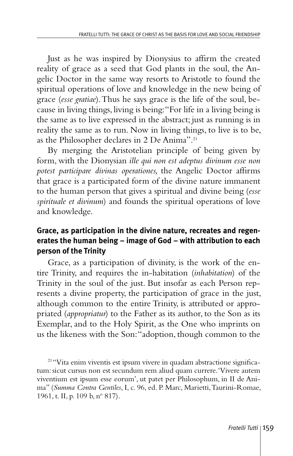Just as he was inspired by Dionysius to affirm the created reality of grace as a seed that God plants in the soul, the Angelic Doctor in the same way resorts to Aristotle to found the spiritual operations of love and knowledge in the new being of grace (*esse gratiae*). Thus he says grace is the life of the soul, because in living things, living is being: "For life in a living being is the same as to live expressed in the abstract; just as running is in reality the same as to run. Now in living things, to live is to be, as the Philosopher declares in 2 De Anima".21

By merging the Aristotelian principle of being given by form, with the Dionysian *ille qui non est adeptus divinum esse non potest participare divinas operationes,* the Angelic Doctor affirms that grace is a participated form of the divine nature immanent to the human person that gives a spiritual and divine being (*esse spirituale et divinum*) and founds the spiritual operations of love and knowledge.

# **Grace, as participation in the divine nature, recreates and regenerates the human being – image of God – with attribution to each person of the Trinity**

Grace, as a participation of divinity, is the work of the entire Trinity, and requires the in-habitation (*inhabitation*) of the Trinity in the soul of the just. But insofar as each Person represents a divine property, the participation of grace in the just, although common to the entire Trinity, is attributed or appropriated (*appropriatur*) to the Father as its author, to the Son as its Exemplar, and to the Holy Spirit, as the One who imprints on us the likeness with the Son: "adoption, though common to the

21 "Vita enim viventis est ipsum vivere in quadam abstractione significatum: sicut cursus non est secundum rem aliud quam currere. 'Vivere autem viventium est ipsum esse eorum', ut patet per Philosophum, in II de Anima" (*Summa Contra Gentiles*, I, c. 96, ed. P. Marc, Marietti, Taurini-Romae, 1961, t. II, p. 109 b, nº 817).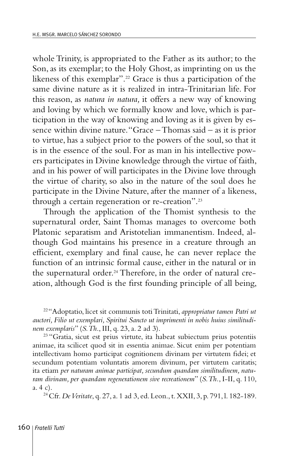whole Trinity, is appropriated to the Father as its author; to the Son, as its exemplar; to the Holy Ghost, as imprinting on us the likeness of this exemplar".22 Grace is thus a participation of the same divine nature as it is realized in intra-Trinitarian life. For this reason, as *natura in natura,* it offers a new way of knowing and loving by which we formally know and love, which is participation in the way of knowing and loving as it is given by essence within divine nature. "Grace – Thomas said – as it is prior to virtue, has a subject prior to the powers of the soul, so that it is in the essence of the soul. For as man in his intellective powers participates in Divine knowledge through the virtue of faith, and in his power of will participates in the Divine love through the virtue of charity, so also in the nature of the soul does he participate in the Divine Nature, after the manner of a likeness, through a certain regeneration or re-creation".23

Through the application of the Thomist synthesis to the supernatural order, Saint Thomas manages to overcome both Platonic separatism and Aristotelian immanentism. Indeed, although God maintains his presence in a creature through an efficient, exemplary and final cause, he can never replace the function of an intrinsic formal cause, either in the natural or in the supernatural order.<sup>24</sup> Therefore, in the order of natural creation, although God is the first founding principle of all being,

22 "Adoptatio, licet sit communis toti Trinitati, *appropriatur tamen Patri ut auctori, Filio ut exemplari, Spiritui Sancto ut imprimenti in nobis huius similitudi-*

<sup>23</sup> "Gratia, sicut est prius virtute, ita habeat subiectum prius potentiis animae, ita scilicet quod sit in essentia animae. Sicut enim per potentiam intellectivam homo participat cognitionem divinam per virtutem fidei; et secundum potentiam voluntatis amorem divinum, per virtutem caritatis; ita etiam *per naturam animae participat, secundum quandam similitudinem, naturam divinam, per quandam regenerationem sive recreationem*" (*S. Th.*, I-II, q. 110, a. 4 c).

24 Cfr. *De Veritate*, q. 27, a. 1 ad 3, ed. Leon., t. XXII, 3, p. 791, l. 182-189.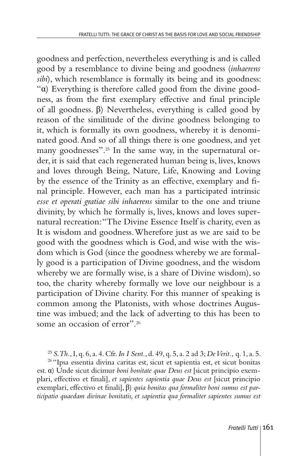goodness and perfection, nevertheless everything is and is called good by a resemblance to divine being and goodness (*inhaerens sibi*), which resemblance is formally its being and its goodness: "α) Everything is therefore called good from the divine goodness, as from the first exemplary effective and final principle of all goodness. β) Nevertheless, everything is called good by reason of the similitude of the divine goodness belonging to it, which is formally its own goodness, whereby it is denominated good. And so of all things there is one goodness, and yet many goodnesses".25 In the same way, in the supernatural order, it is said that each regenerated human being is, lives, knows and loves through Being, Nature, Life, Knowing and Loving by the essence of the Trinity as an effective, exemplary and final principle. However, each man has a participated intrinsic *esse et operati gratiae sibi inhaerens* similar to the one and triune divinity, by which he formally is, lives, knows and loves supernatural recreation: "The Divine Essence Itself is charity, even as It is wisdom and goodness. Wherefore just as we are said to be good with the goodness which is God, and wise with the wisdom which is God (since the goodness whereby we are formally good is a participation of Divine goodness, and the wisdom whereby we are formally wise, is a share of Divine wisdom), so too, the charity whereby formally we love our neighbour is a participation of Divine charity. For this manner of speaking is common among the Platonists, with whose doctrines Augustine was imbued; and the lack of adverting to this has been to some an occasion of error".<sup>26</sup>

<sup>25</sup>*S. Th.*, I, q. 6, a. 4. Cfr. *In I Sent.*, d. 49, q. 5, a. 2 ad 3; *De Verit.*, q. 1, a. 5. 26 "Ipsa essentia divina caritas est, sicut et sapientia est, et sicut bonitas est. α) Unde sicut dicimur *boni bonitate quae Deus est* [sicut principio exemplari, effectivo et finali], *et sapientes sapientia quae Deus est* [sicut principio exemplari, effectivo et finali], β) *quia bonitas qua formaliter boni sumus est participatio quaedam divinae bonitatis, et sapientia qua formaliter sapientes sumus est*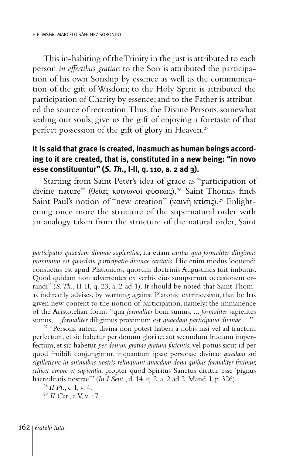This in-habiting of the Trinity in the just is attributed to each person *in effectibus gratiae*: to the Son is attributed the participation of his own Sonship by essence as well as the communication of the gift of Wisdom; to the Holy Spirit is attributed the participation of Charity by essence; and to the Father is attributed the source of recreation. Thus, the Divine Persons, somewhat sealing our souls, give us the gift of enjoying a foretaste of that perfect possession of the gift of glory in Heaven.<sup>27</sup>

# **It is said that grace is created, inasmuch as human beings according to it are created, that is, constituted in a new being: "in novo esse constituuntur" (***S. Th***., I-II, q. 110, a. 2 ad 3).**

Starting from Saint Peter's idea of grace as "participation of divine nature" (θείας κοινωνοὶ φύσεως),<sup>28</sup> Saint Thomas finds Saint Paul's notion of "new creation" (καινὴ κτίσις).29 Enlightening once more the structure of the supernatural order with an analogy taken from the structure of the natural order, Saint

*participatio quaedam divinae sapientiae*; ita etiam *caritas qua formaliter diligimus proximum est quaedam participatio divinae caritatis*. Hic enim modus loquendi consuetus est apud Platonicos, quorum doctrinis Augustinus fuit imbutus. Quod quidam non advertentes ex verbis eius sumpserunt occasionem errandi" (*S. Th.*, II-II, q. 23, a. 2 ad 1). It should be noted that Saint Thomas indirectly advises, by warning against Platonic extrincesism, that he has given new content to the notion of participation, namely: the immanence of the Aristotelian form: "qua *formaliter* boni sumus, ... *formaliter* sapientes sumus, ... *formaliter* diligimus proximum est *quaedam participatio divinae ...*".

<sup>27</sup> "Persona autem divina non potest haberi a nobis nisi vel ad fructum perfectum, et sic habetur per donum gloriae; aut secundum fructum imperfectum, et sic habetur *per donum gratiae gratum facientis*; vel potius sicut id per quod fruibili conjungimur, inquantum ipsae personae divinae *quadam sui sigillatione in animabus nostris relinquunt quaedam dona quibus formaliter fruimur, scilicet amore et sapientia*; propter quod Spiritus Sanctus dicitur esse 'pignus haereditatis nostrae'" (*In I Sent.*, d. 14, q. 2, a. 2 ad 2, Mand. I, p. 326).

<sup>28</sup>*II Pt.*, c. I, v. 4.  $^{29}$  *II Cor.*, c.V, v. 17.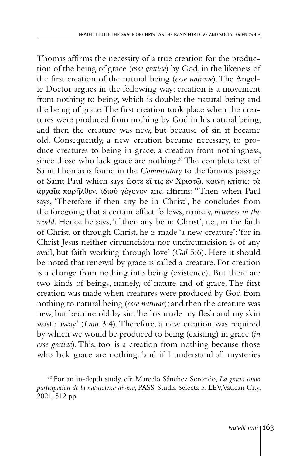Thomas affirms the necessity of a true creation for the production of the being of grace (*esse gratiae*) by God, in the likeness of the first creation of the natural being (*esse naturae*). The Angelic Doctor argues in the following way: creation is a movement from nothing to being, which is double: the natural being and the being of grace. The first creation took place when the creatures were produced from nothing by God in his natural being, and then the creature was new, but because of sin it became old. Consequently, a new creation became necessary, to produce creatures to being in grace, a creation from nothingness, since those who lack grace are nothing.<sup>30</sup> The complete text of Saint Thomas is found in the *Commentary* to the famous passage of Saint Paul which says ὥστε εἴ τις ἐν Χριστῷ, καινὴ κτίσις: τὰ ἀρχαῖα παρῆλθεν, ἰδιοὺ γέγονεν and affirms: "Then when Paul says, 'Therefore if then any be in Christ', he concludes from the foregoing that a certain effect follows, namely, *newness in the world*. Hence he says, 'if then any be in Christ', i.e., in the faith of Christ, or through Christ, he is made 'a new creature': 'for in Christ Jesus neither circumcision nor uncircumcision is of any avail, but faith working through love' (*Gal* 5:6). Here it should be noted that renewal by grace is called a creature. For creation is a change from nothing into being (existence). But there are two kinds of beings, namely, of nature and of grace. The first creation was made when creatures were produced by God from nothing to natural being (*esse naturae*); and then the creature was new, but became old by sin: 'he has made my flesh and my skin waste away' (*Lam* 3:4). Therefore, a new creation was required by which we would be produced to being (existing) in grace (*in esse gratiae*). This, too, is a creation from nothing because those who lack grace are nothing: 'and if I understand all mysteries

<sup>30</sup> For an in-depth study, cfr. Marcelo Sánchez Sorondo, *La gracia como participación de la naturaleza divina*, PASS, Studia Selecta 5, LEV, Vatican City, 2021, 512 pp.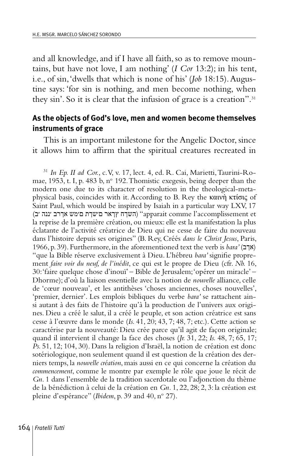and all knowledge, and if I have all faith, so as to remove mountains, but have not love, I am nothing' (*I Cor* 13:2); in his tent, i.e., of sin, 'dwells that which is none of his' (*Job* 18:15). Augustine says: 'for sin is nothing, and men become nothing, when they sin'. So it is clear that the infusion of grace is a creation".<sup>31</sup>

### **As the objects of God's love, men and women become themselves instruments of grace**

This is an important milestone for the Angelic Doctor, since it allows him to affirm that the spiritual creatures recreated in

<sup>31</sup> *In Ep. II ad Cor.*, c. V, v. 17, lect. 4, ed. R. Cai, Marietti, Taurini-Romae, 1953, t. I, p. 483 b, nº 192. Thomistic exegesis, being deeper than the modern one due to its character of resolution in the theological-metaphysical basis, coincides with it. According to B. Rey the καινὴ κτίσις of Saint Paul, which would be inspired by Isaiah in a particular way LXV, 17 et accomplissement'l comme apparait) "השךח ץךאר ם׳שךת ם׳מש אךרב ׳ננה ׳ב) la reprise de la première création, ou mieux: elle est la manifestation la plus éclatante de l'activité créatrice de Dieu qui ne cesse de faire du nouveau dans l'histoire depuis ses origines" (B. Rey, Créés *dans le Christ Jesus*, Paris, 1966, p. 39). Furthermore, in the aforementioned text the verb is *bara'* (אךב) "que la Bible réserve exclusivement à Dieu. L'hébreu *bara'* signifie proprement *faire voir du neuf, de l'inédit*, ce qui est le propre de Dieu (cfr. *Nb.* 16, 30: 'faire quelque chose d'inouï' – Bible de Jerusalem; 'opérer un miracle' – Dhorme); d'où la liaison essentielle avec la notion de *nouvelle* alliance, celle de 'cœur nouveau', et les antithèses 'choses anciennes, choses nouvelles', 'premier, dernier'. Les emplois bibliques du verbe *bara'* se rattachent ainsi autant à des faits de l'histoire qu'à la production de l'univers aux origines. Dieu a créé le salut, il a créé le peuple, et son action créatrice est sans cesse à l'œuvre dans le monde (*Is.* 41, 20; 43, 7; 48, 7; etc.). Cette action se caractérise par la nouveauté: Dieu crée parce qu'il agit de façon originale; quand il intervient il change la face des choses (*Jr.* 31, 22; *Is.* 48, 7; 65, 17; *Ps.* 51, 12; 104, 30). Dans la religion d'Israël, la notion de création est donc sotériologique, non seulement quand il est question de la création des derniers temps, la *nouvelle création*, mais aussi en ce qui concerne la création du *commencement*, comme le montre par exemple le rôle que joue le récit de *Gn.* 1 dans l'ensemble de la tradition sacerdotale ou l'adjonction du thème de la bénédiction à celui de la création en *Gn.* 1, 22, 28; 2, 3: la création est pleine d'espérance" (Ibidem, p. 39 and 40, nº 27).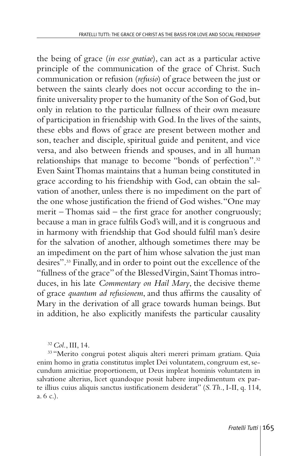the being of grace (*in esse gratiae*), can act as a particular active principle of the communication of the grace of Christ. Such communication or refusion (*refusio*) of grace between the just or between the saints clearly does not occur according to the infinite universality proper to the humanity of the Son of God, but only in relation to the particular fullness of their own measure of participation in friendship with God. In the lives of the saints, these ebbs and flows of grace are present between mother and son, teacher and disciple, spiritual guide and penitent, and vice versa, and also between friends and spouses, and in all human relationships that manage to become "bonds of perfection".32 Even Saint Thomas maintains that a human being constituted in grace according to his friendship with God, can obtain the salvation of another, unless there is no impediment on the part of the one whose justification the friend of God wishes. "One may merit – Thomas said – the first grace for another congruously; because a man in grace fulfils God's will, and it is congruous and in harmony with friendship that God should fulfil man's desire for the salvation of another, although sometimes there may be an impediment on the part of him whose salvation the just man desires".33 Finally, and in order to point out the excellence of the "fullness of the grace" of the Blessed Virgin, Saint Thomas introduces, in his late *Commentary on Hail Mary*, the decisive theme of grace *quantum ad refusionem*, and thus affirms the causality of Mary in the derivation of all grace towards human beings. But in addition, he also explicitly manifests the particular causality

<sup>32</sup>*Col.*, III, 14.

<sup>33</sup> "Merito congrui potest aliquis alteri mereri primam gratiam. Quia enim homo in gratia constitutus implet Dei voluntatem, congruum est, secundum amicitiae proportionem, ut Deus impleat hominis voluntatem in salvatione alterius, licet quandoque possit habere impedimentum ex parte illius cuius aliquis sanctus iustificationem desiderat" (*S. Th.*, I-II, q. 114, a. 6 c.).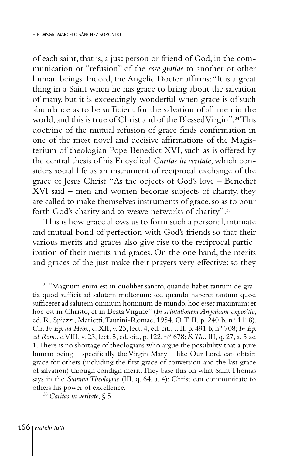of each saint, that is, a just person or friend of God, in the communication or "refusion" of the *esse gratiae* to another or other human beings. Indeed, the Angelic Doctor affirms: "It is a great thing in a Saint when he has grace to bring about the salvation of many, but it is exceedingly wonderful when grace is of such abundance as to be sufficient for the salvation of all men in the world, and this is true of Christ and of the Blessed Virgin".34 This doctrine of the mutual refusion of grace finds confirmation in one of the most novel and decisive affirmations of the Magisterium of theologian Pope Benedict XVI, such as is offered by the central thesis of his Encyclical *Caritas in veritate*, which considers social life as an instrument of reciprocal exchange of the grace of Jesus Christ. "As the objects of God's love – Benedict XVI said – men and women become subjects of charity, they are called to make themselves instruments of grace, so as to pour forth God's charity and to weave networks of charity".35

This is how grace allows us to form such a personal, intimate and mutual bond of perfection with God's friends so that their various merits and graces also give rise to the reciprocal participation of their merits and graces. On the one hand, the merits and graces of the just make their prayers very effective: so they

34 "Magnum enim est in quolibet sancto, quando habet tantum de gratia quod sufficit ad salutem multorum; sed quando haberet tantum quod sufficeret ad salutem omnium hominum de mundo, hoc esset maximum: et hoc est in Christo, et in Beata Virgine" (*In salutationem Angelicam expositio*, ed. R. Spiazzi, Marietti, Taurini-Romae, 1954, O.T. II, p. 240 b, nº 1118). Cfr. *In Ep. ad Hebr.*, c. XII, v. 23, lect. 4, ed. cit., t. II, p. 491 b, n° 708; *In Ep. ad Rom*., c. VIII, v. 23, lect. 5, ed. cit., p. 122, n° 678; *S. Th*., III, q. 27, a. 5 ad 1. There is no shortage of theologians who argue the possibility that a pure human being – specifically the Virgin Mary – like Our Lord, can obtain grace for others (including the first grace of conversion and the last grace of salvation) through condign merit. They base this on what Saint Thomas says in the *Summa Theologiae* (III, q. 64, a. 4): Christ can communicate to others his power of excellence. 35 *Caritas in veritate*, § 5.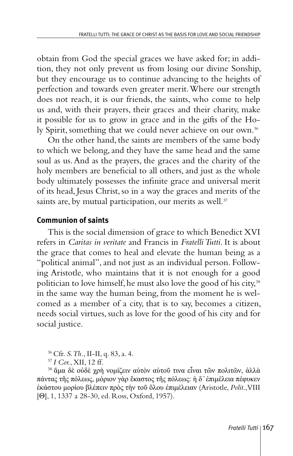obtain from God the special graces we have asked for; in addition, they not only prevent us from losing our divine Sonship, but they encourage us to continue advancing to the heights of perfection and towards even greater merit. Where our strength does not reach, it is our friends, the saints, who come to help us and, with their prayers, their graces and their charity, make it possible for us to grow in grace and in the gifts of the Holy Spirit, something that we could never achieve on our own.<sup>36</sup>

On the other hand, the saints are members of the same body to which we belong, and they have the same head and the same soul as us. And as the prayers, the graces and the charity of the holy members are beneficial to all others, and just as the whole body ultimately possesses the infinite grace and universal merit of its head, Jesus Christ, so in a way the graces and merits of the saints are, by mutual participation, our merits as well. $37$ 

#### **Communion of saints**

This is the social dimension of grace to which Benedict XVI refers in *Caritas in veritate* and Francis in *Fratelli Tutti*. It is about the grace that comes to heal and elevate the human being as a "political animal", and not just as an individual person. Following Aristotle, who maintains that it is not enough for a good politician to love himself, he must also love the good of his city,<sup>38</sup> in the same way the human being, from the moment he is welcomed as a member of a city, that is to say, becomes a citizen, needs social virtues, such as love for the good of his city and for social justice.

<sup>38</sup> άμα δε ούδε χρή νομίζειν αύτον αύτοῦ τινα εἶναι τῶν πολιτῶν, ἀλλὰ πάντας τῆς πόλεως, μόριον γὰρ ἕκαστος τῆς πόλεως: ἡ δ ̓ ἐπιμέλεια πέφυκεν ἑκάστου μορίου βλέπειν πρὸς τὴν τοῦ ὅλου ἐπιμέλειαν (Aristotle, *Polit*., VIII [Θ], 1, 1337 a 28-30, ed. Ross, Oxford, 1957).

<sup>36</sup> Cfr. *S. Th.*, II-II, q. 83, a. 4.

<sup>37</sup>*I Cor.*, XII, 12 ff.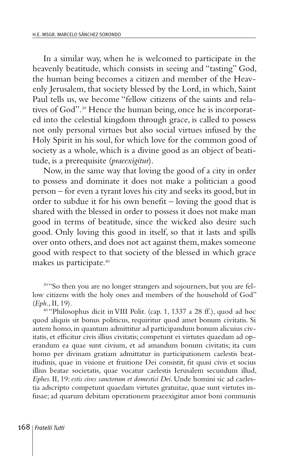In a similar way, when he is welcomed to participate in the heavenly beatitude, which consists in seeing and "tasting" God, the human being becomes a citizen and member of the Heavenly Jerusalem, that society blessed by the Lord, in which, Saint Paul tells us, we become "fellow citizens of the saints and relatives of God".39 Hence the human being, once he is incorporated into the celestial kingdom through grace, is called to possess not only personal virtues but also social virtues infused by the Holy Spirit in his soul, for which love for the common good of society as a whole, which is a divine good as an object of beatitude, is a prerequisite (*praeexigitur*).

Now, in the same way that loving the good of a city in order to possess and dominate it does not make a politician a good person – for even a tyrant loves his city and seeks its good, but in order to subdue it for his own benefit – loving the good that is shared with the blessed in order to possess it does not make man good in terms of beatitude, since the wicked also desire such good. Only loving this good in itself, so that it lasts and spills over onto others, and does not act against them, makes someone good with respect to that society of the blessed in which grace makes us participate.40

<sup>39 &</sup>quot;So then you are no longer strangers and sojourners, but you are fellow citizens with the holy ones and members of the household of God" (*Eph*., II, 19).

<sup>40 &</sup>quot;Philosophus dicit in VIII Polit. (cap. 1, 1337 a 28 ff.), quod ad hoc quod aliquis sit bonus politicus, requiritur quod amet bonum civitatis. Si autem homo, in quantum admittitur ad participandum bonum alicuius civitatis, et efficitur civis illius civitatis; competunt ei virtutes quaedam ad operandum ea quae sunt civium, et ad amandum bonum civitatis; ita cum homo per divinam gratiam admittatur in participationem caelestis beatitudinis, quae in visione et fruitione Dei consistit, fit quasi civis et socius illius beatae societatis, quae vocatur caelestis Ierusalem secundum illud, *Ephes.* II, 19: *estis cives sanctorum et domestici Dei*. Unde homini sic ad caelestia adscripto competunt quaedam virtutes gratuitae, quae sunt virtutes infusae; ad quarum debitam operationem praeexigitur amor boni communis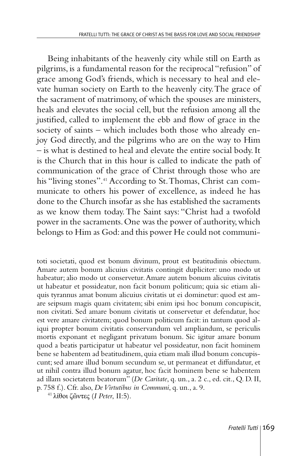Being inhabitants of the heavenly city while still on Earth as pilgrims, is a fundamental reason for the reciprocal "refusion" of grace among God's friends, which is necessary to heal and elevate human society on Earth to the heavenly city. The grace of the sacrament of matrimony, of which the spouses are ministers, heals and elevates the social cell, but the refusion among all the justified, called to implement the ebb and flow of grace in the society of saints – which includes both those who already enjoy God directly, and the pilgrims who are on the way to Him – is what is destined to heal and elevate the entire social body. It is the Church that in this hour is called to indicate the path of communication of the grace of Christ through those who are his "living stones".<sup>41</sup> According to St. Thomas, Christ can communicate to others his power of excellence, as indeed he has done to the Church insofar as she has established the sacraments as we know them today. The Saint says: "Christ had a twofold power in the sacraments. One was the power of authority, which belongs to Him as God: and this power He could not communi-

toti societati, quod est bonum divinum, prout est beatitudinis obiectum. Amare autem bonum alicuius civitatis contingit dupliciter: uno modo ut habeatur; alio modo ut conservetur. Amare autem bonum alicuius civitatis ut habeatur et possideatur, non facit bonum politicum; quia sic etiam aliquis tyrannus amat bonum alicuius civitatis ut ei dominetur: quod est amare seipsum magis quam civitatem; sibi enim ipsi hoc bonum concupiscit, non civitati. Sed amare bonum civitatis ut conservetur et defendatur, hoc est vere amare civitatem; quod bonum politicum facit: in tantum quod aliqui propter bonum civitatis conservandum vel ampliandum, se periculis mortis exponant et negligant privatum bonum. Sic igitur amare bonum quod a beatis participatur ut habeatur vel possideatur, non facit hominem bene se habentem ad beatitudinem, quia etiam mali illud bonum concupiscunt; sed amare illud bonum secundum se, ut permaneat et diffundatur, et ut nihil contra illud bonum agatur, hoc facit hominem bene se habentem ad illam societatem beatorum" (*De Caritate*, q. un., a. 2 c., ed. cit., Q. D. II, p. 758 f.). Cfr. also, *De Virtutibus in Communi*, q. un., a. 9.

<sup>41</sup>λίθοι ζῶντες (*I Peter*, II:5).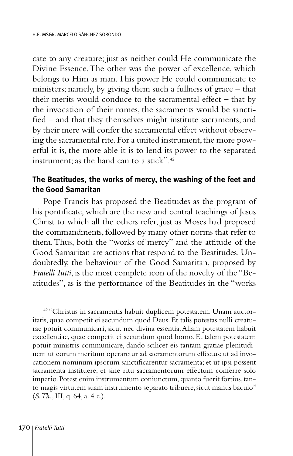cate to any creature; just as neither could He communicate the Divine Essence. The other was the power of excellence, which belongs to Him as man. This power He could communicate to ministers; namely, by giving them such a fullness of grace – that their merits would conduce to the sacramental effect – that by the invocation of their names, the sacraments would be sanctified – and that they themselves might institute sacraments, and by their mere will confer the sacramental effect without observing the sacramental rite. For a united instrument, the more powerful it is, the more able it is to lend its power to the separated instrument; as the hand can to a stick".42

## **The Beatitudes, the works of mercy, the washing of the feet and the Good Samaritan**

Pope Francis has proposed the Beatitudes as the program of his pontificate, which are the new and central teachings of Jesus Christ to which all the others refer, just as Moses had proposed the commandments, followed by many other norms that refer to them. Thus, both the "works of mercy" and the attitude of the Good Samaritan are actions that respond to the Beatitudes. Undoubtedly, the behaviour of the Good Samaritan, proposed by *Fratelli Tutti*, is the most complete icon of the novelty of the "Beatitudes", as is the performance of the Beatitudes in the "works

42 "Christus in sacramentis habuit duplicem potestatem. Unam auctoritatis, quae competit ei secundum quod Deus. Et talis potestas nulli creaturae potuit communicari, sicut nec divina essentia. Aliam potestatem habuit excellentiae, quae competit ei secundum quod homo. Et talem potestatem potuit ministris communicare, dando scilicet eis tantam gratiae plenitudinem ut eorum meritum operaretur ad sacramentorum effectus; ut ad invocationem nominum ipsorum sanctificarentur sacramenta; et ut ipsi possent sacramenta instituere; et sine ritu sacramentorum effectum conferre solo imperio. Potest enim instrumentum coniunctum, quanto fuerit fortius, tanto magis virtutem suam instrumento separato tribuere, sicut manus baculo" (*S. Th.*, III, q. 64, a. 4 c.).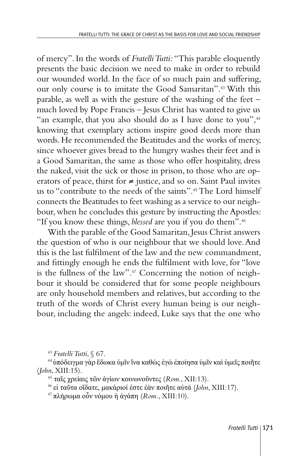of mercy". In the words of *Fratelli Tutti:* "This parable eloquently presents the basic decision we need to make in order to rebuild our wounded world. In the face of so much pain and suffering, our only course is to imitate the Good Samaritan".43 With this parable, as well as with the gesture of the washing of the feet – much loved by Pope Francis – Jesus Christ has wanted to give us "an example, that you also should do as I have done to you",<sup>44</sup> knowing that exemplary actions inspire good deeds more than words. He recommended the Beatitudes and the works of mercy, since whoever gives bread to the hungry washes their feet and is a Good Samaritan, the same as those who offer hospitality, dress the naked, visit the sick or those in prison, to those who are operators of peace, thirst for  $\neq$  justice, and so on. Saint Paul invites us to "contribute to the needs of the saints".45 The Lord himself connects the Beatitudes to feet washing as a service to our neighbour, when he concludes this gesture by instructing the Apostles: "If you know these things, *blessed* are you if you do them".46

With the parable of the Good Samaritan, Jesus Christ answers the question of who is our neighbour that we should love. And this is the last fulfilment of the law and the new commandment, and fittingly enough he ends the fulfilment with love, for "love is the fullness of the law".<sup>47</sup> Concerning the notion of neighbour it should be considered that for some people neighbours are only household members and relatives, but according to the truth of the words of Christ every human being is our neighbour, including the angels: indeed, Luke says that the one who

<sup>43</sup>*Fratelli Tutti*, § 67.

<sup>44</sup>ὑπόδειγμα γὰρ ἔδωκα ὑμῖν ἵνα καθὼς ἐγὼ ἐποίησα ὑμῖν καὶ ὑμεῖς ποιῆτε (*John*, XIII:15).

<sup>45</sup> ταῖς χρείαις τῶν ἁγίων κοινωνοῦντες (*Rom*., XII:13).

<sup>46</sup>εἰ ταῦτα οἴδατε, μακάριοί ἐστε ἐὰν ποιῆτε αὐτά (*John*, XIII:17). 47 πλήρωμα οὖν νόμου ἡ ἀγάπη (*Rom.*, XIII:10).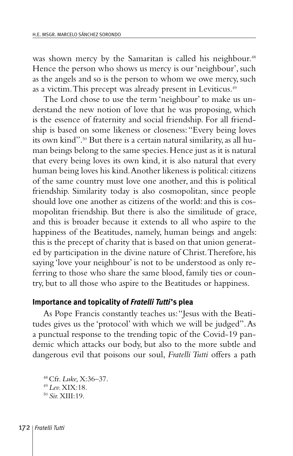was shown mercy by the Samaritan is called his neighbour.<sup>48</sup> Hence the person who shows us mercy is our 'neighbour', such as the angels and so is the person to whom we owe mercy, such as a victim. This precept was already present in Leviticus.49

The Lord chose to use the term 'neighbour' to make us understand the new notion of love that he was proposing, which is the essence of fraternity and social friendship. For all friendship is based on some likeness or closeness: "Every being loves its own kind".50 But there is a certain natural similarity, as all human beings belong to the same species. Hence just as it is natural that every being loves its own kind, it is also natural that every human being loves his kind. Another likeness is political: citizens of the same country must love one another, and this is political friendship. Similarity today is also cosmopolitan, since people should love one another as citizens of the world: and this is cosmopolitan friendship. But there is also the similitude of grace, and this is broader because it extends to all who aspire to the happiness of the Beatitudes, namely, human beings and angels: this is the precept of charity that is based on that union generated by participation in the divine nature of Christ. Therefore, his saying 'love your neighbour' is not to be understood as only referring to those who share the same blood, family ties or country, but to all those who aspire to the Beatitudes or happiness.

#### **Importance and topicality of** *Fratelli Tutti***'s plea**

As Pope Francis constantly teaches us: "Jesus with the Beatitudes gives us the 'protocol' with which we will be judged". As a punctual response to the trending topic of the Covid-19 pandemic which attacks our body, but also to the more subtle and dangerous evil that poisons our soul, *Fratelli Tutti* offers a path

```
48 Cfr. Luke, X:36–37. 49Lev. XIX:18. 50 Sir. XIII:19.
```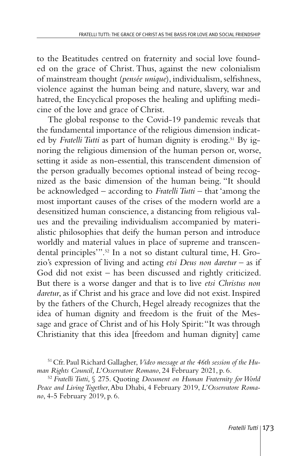to the Beatitudes centred on fraternity and social love founded on the grace of Christ. Thus, against the new colonialism of mainstream thought (*pensée unique*), individualism, selfishness, violence against the human being and nature, slavery, war and hatred, the Encyclical proposes the healing and uplifting medicine of the love and grace of Christ.

The global response to the Covid-19 pandemic reveals that the fundamental importance of the religious dimension indicated by *Fratelli Tutti* as part of human dignity is eroding.<sup>51</sup> By ignoring the religious dimension of the human person or, worse, setting it aside as non-essential, this transcendent dimension of the person gradually becomes optional instead of being recognized as the basic dimension of the human being. "It should be acknowledged – according to *Fratelli Tutti* – that 'among the most important causes of the crises of the modern world are a desensitized human conscience, a distancing from religious values and the prevailing individualism accompanied by materialistic philosophies that deify the human person and introduce worldly and material values in place of supreme and transcendental principles'".52 In a not so distant cultural time, H. Grozio's expression of living and acting *etsi Deus non daretur* – as if God did not exist – has been discussed and rightly criticized. But there is a worse danger and that is to live *etsi Christus non daretur*, as if Christ and his grace and love did not exist. Inspired by the fathers of the Church, Hegel already recognizes that the idea of human dignity and freedom is the fruit of the Message and grace of Christ and of his Holy Spirit: "It was through Christianity that this idea [freedom and human dignity] came

<sup>51</sup> Cfr. Paul Richard Gallagher, *Video message at the 46th session of the Human Rights Council, L'Osservatore Romano*, 24 February 2021, p. 6*.*

<sup>52</sup>*Fratelli Tutti*, § 275. Quoting *Document on Human Fraternity for World Peace and Living Together*, Abu Dhabi, 4 February 2019, *L'Osservatore Romano*, 4-5 February 2019, p. 6.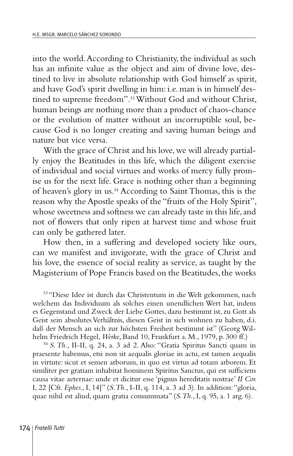into the world. According to Christianity, the individual as such has an infinite value as the object and aim of divine love, destined to live in absolute relationship with God himself as spirit, and have God's spirit dwelling in him: i.e. man is in himself destined to supreme freedom".53 Without God and without Christ, human beings are nothing more than a product of chaos-chance or the evolution of matter without an incorruptible soul, because God is no longer creating and saving human beings and nature but vice versa.

With the grace of Christ and his love, we will already partially enjoy the Beatitudes in this life, which the diligent exercise of individual and social virtues and works of mercy fully promise us for the next life. Grace is nothing other than a beginning of heaven's glory in us.54 According to Saint Thomas, this is the reason why the Apostle speaks of the "fruits of the Holy Spirit", whose sweetness and softness we can already taste in this life, and not of flowers that only ripen at harvest time and whose fruit can only be gathered later.

How then, in a suffering and developed society like ours, can we manifest and invigorate, with the grace of Christ and his love, the essence of social reality as service, as taught by the Magisterium of Pope Francis based on the Beatitudes, the works

53 "Diese Idee ist durch das Christentum in die Welt gekommen, nach welchem das Individuum als solches einen unendlichen Wert hat, indem es Gegenstand und Zweck der Liebe Gottes, dazu bestimmt ist, zu Gott als Geist sein absolutes Verhältnis, diesen Geist in sich wohnen zu haben, d.i. daß der Mensch an sich zur höchsten Freiheit bestimmt ist" (Georg Wilhelm Friedrich Hegel, *Werke*, Band 10, Frankfurt a. M., 1979, p. 300 ff.)

<sup>54</sup>*S. Th.*, II-II, q. 24, a. 3 ad 2. Also: "Gratia Spiritus Sancti quam in praesente habemus, etsi non sit aequalis gloriae in actu, est tamen aequalis in virtute: sicut et semen arborum, in quo est virtus ad totam arborem. Et similiter per gratiam inhabitat hominem Spiritus Sanctus, qui est sufficiens causa vitae aeternae: unde et dicitur esse 'pignus hereditatis nostrae' *II Cor.*  I, 22 [Cfr. *Ephes.*, I, 14]" (*S. Th.*, I-II, q. 114, a. 3 ad 3). In addition: "gloria, quae nihil est aliud, quam gratia consummata" (*S. Th.*, I, q. 95, a. 1 arg. 6).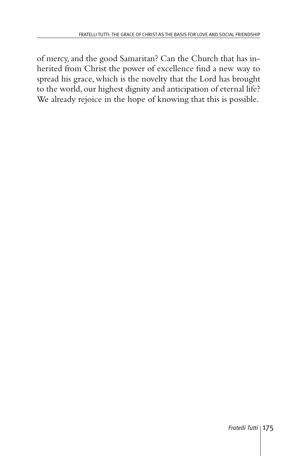of mercy, and the good Samaritan? Can the Church that has inherited from Christ the power of excellence find a new way to spread his grace, which is the novelty that the Lord has brought to the world, our highest dignity and anticipation of eternal life? We already rejoice in the hope of knowing that this is possible.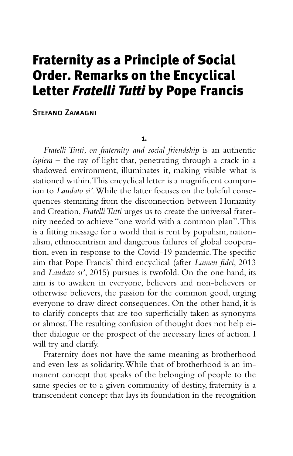# Fraternity as a Principle of Social Order. Remarks on the Encyclical Letter *Fratelli Tutti* by Pope Francis

Stefano Zamagni

**1.**

*Fratelli Tutti, on fraternity and social friendship* is an authentic *ispiera* – the ray of light that, penetrating through a crack in a shadowed environment, illuminates it, making visible what is stationed within. This encyclical letter is a magnificent companion to *Laudato si'*. While the latter focuses on the baleful consequences stemming from the disconnection between Humanity and Creation, *Fratelli Tutti* urges us to create the universal fraternity needed to achieve "one world with a common plan". This is a fitting message for a world that is rent by populism, nationalism, ethnocentrism and dangerous failures of global cooperation, even in response to the Covid-19 pandemic. The specific aim that Pope Francis' third encyclical (after *Lumen fidei*, 2013 and *Laudato si'*, 2015) pursues is twofold. On the one hand, its aim is to awaken in everyone, believers and non-believers or otherwise believers, the passion for the common good, urging everyone to draw direct consequences. On the other hand, it is to clarify concepts that are too superficially taken as synonyms or almost. The resulting confusion of thought does not help either dialogue or the prospect of the necessary lines of action. I will try and clarify.

Fraternity does not have the same meaning as brotherhood and even less as solidarity. While that of brotherhood is an immanent concept that speaks of the belonging of people to the same species or to a given community of destiny, fraternity is a transcendent concept that lays its foundation in the recognition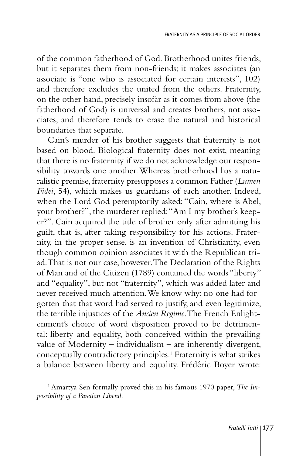of the common fatherhood of God. Brotherhood unites friends, but it separates them from non-friends; it makes associates (an associate is "one who is associated for certain interests", 102) and therefore excludes the united from the others. Fraternity, on the other hand, precisely insofar as it comes from above (the fatherhood of God) is universal and creates brothers, not associates, and therefore tends to erase the natural and historical boundaries that separate.

Cain's murder of his brother suggests that fraternity is not based on blood. Biological fraternity does not exist, meaning that there is no fraternity if we do not acknowledge our responsibility towards one another. Whereas brotherhood has a naturalistic premise, fraternity presupposes a common Father (*Lumen Fidei*, 54), which makes us guardians of each another. Indeed, when the Lord God peremptorily asked: "Cain, where is Abel, your brother?", the murderer replied: "Am I my brother's keeper?". Cain acquired the title of brother only after admitting his guilt, that is, after taking responsibility for his actions. Fraternity, in the proper sense, is an invention of Christianity, even though common opinion associates it with the Republican triad. That is not our case, however. The Declaration of the Rights of Man and of the Citizen (1789) contained the words "liberty" and "equality", but not "fraternity", which was added later and never received much attention. We know why: no one had forgotten that that word had served to justify, and even legitimize, the terrible injustices of the *Ancien Regime*. The French Enlightenment's choice of word disposition proved to be detrimental: liberty and equality, both conceived within the prevailing value of Modernity – individualism – are inherently divergent, conceptually contradictory principles.<sup>1</sup> Fraternity is what strikes a balance between liberty and equality. Frédéric Boyer wrote:

<sup>1</sup>Amartya Sen formally proved this in his famous 1970 paper, *The Impossibility of a Paretian Liberal*.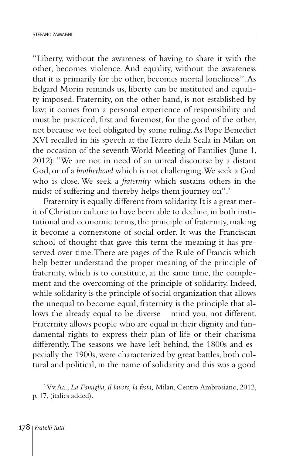"Liberty, without the awareness of having to share it with the other, becomes violence. And equality, without the awareness that it is primarily for the other, becomes mortal loneliness". As Edgard Morin reminds us, liberty can be instituted and equality imposed. Fraternity, on the other hand, is not established by law; it comes from a personal experience of responsibility and must be practiced, first and foremost, for the good of the other, not because we feel obligated by some ruling. As Pope Benedict XVI recalled in his speech at the Teatro della Scala in Milan on the occasion of the seventh World Meeting of Families (June 1, 2012): "We are not in need of an unreal discourse by a distant God, or of a *brotherhood* which is not challenging. We seek a God who is close. We seek a *fraternity* which sustains others in the midst of suffering and thereby helps them journey on".2

Fraternity is equally different from solidarity. It is a great merit of Christian culture to have been able to decline, in both institutional and economic terms, the principle of fraternity, making it become a cornerstone of social order. It was the Franciscan school of thought that gave this term the meaning it has preserved over time. There are pages of the Rule of Francis which help better understand the proper meaning of the principle of fraternity, which is to constitute, at the same time, the complement and the overcoming of the principle of solidarity. Indeed, while solidarity is the principle of social organization that allows the unequal to become equal, fraternity is the principle that allows the already equal to be diverse – mind you, not different. Fraternity allows people who are equal in their dignity and fundamental rights to express their plan of life or their charisma differently. The seasons we have left behind, the 1800s and especially the 1900s, were characterized by great battles, both cultural and political, in the name of solidarity and this was a good

2Vv.Aa., *La Famiglia, il lavoro, la festa,* Milan, Centro Ambrosiano, 2012, p. 17, (italics added).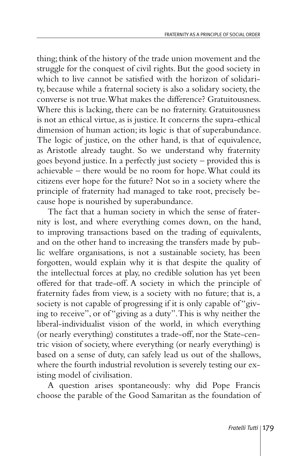thing; think of the history of the trade union movement and the struggle for the conquest of civil rights. But the good society in which to live cannot be satisfied with the horizon of solidarity, because while a fraternal society is also a solidary society, the converse is not true. What makes the difference? Gratuitousness. Where this is lacking, there can be no fraternity. Gratuitousness is not an ethical virtue, as is justice. It concerns the supra-ethical dimension of human action; its logic is that of superabundance. The logic of justice, on the other hand, is that of equivalence, as Aristotle already taught. So we understand why fraternity goes beyond justice. In a perfectly just society – provided this is achievable – there would be no room for hope. What could its citizens ever hope for the future? Not so in a society where the principle of fraternity had managed to take root, precisely because hope is nourished by superabundance.

The fact that a human society in which the sense of fraternity is lost, and where everything comes down, on the hand, to improving transactions based on the trading of equivalents, and on the other hand to increasing the transfers made by public welfare organisations, is not a sustainable society, has been forgotten, would explain why it is that despite the quality of the intellectual forces at play, no credible solution has yet been offered for that trade-off. A society in which the principle of fraternity fades from view, is a society with no future; that is, a society is not capable of progressing if it is only capable of "giving to receive", or of "giving as a duty". This is why neither the liberal-individualist vision of the world, in which everything (or nearly everything) constitutes a trade-off, nor the State-centric vision of society, where everything (or nearly everything) is based on a sense of duty, can safely lead us out of the shallows, where the fourth industrial revolution is severely testing our existing model of civilisation.

A question arises spontaneously: why did Pope Francis choose the parable of the Good Samaritan as the foundation of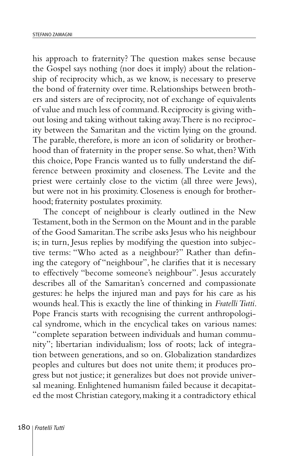his approach to fraternity? The question makes sense because the Gospel says nothing (nor does it imply) about the relationship of reciprocity which, as we know, is necessary to preserve the bond of fraternity over time. Relationships between brothers and sisters are of reciprocity, not of exchange of equivalents of value and much less of command. Reciprocity is giving without losing and taking without taking away. There is no reciprocity between the Samaritan and the victim lying on the ground. The parable, therefore, is more an icon of solidarity or brotherhood than of fraternity in the proper sense. So what, then? With this choice, Pope Francis wanted us to fully understand the difference between proximity and closeness. The Levite and the priest were certainly close to the victim (all three were Jews), but were not in his proximity. Closeness is enough for brotherhood; fraternity postulates proximity.

The concept of neighbour is clearly outlined in the New Testament, both in the Sermon on the Mount and in the parable of the Good Samaritan. The scribe asks Jesus who his neighbour is; in turn, Jesus replies by modifying the question into subjective terms: "Who acted as a neighbour?" Rather than defining the category of "neighbour", he clarifies that it is necessary to effectively "become someone's neighbour". Jesus accurately describes all of the Samaritan's concerned and compassionate gestures: he helps the injured man and pays for his care as his wounds heal. This is exactly the line of thinking in *Fratelli Tutti*. Pope Francis starts with recognising the current anthropological syndrome, which in the encyclical takes on various names: "complete separation between individuals and human community"; libertarian individualism; loss of roots; lack of integration between generations, and so on. Globalization standardizes peoples and cultures but does not unite them; it produces progress but not justice; it generalizes but does not provide universal meaning. Enlightened humanism failed because it decapitated the most Christian category, making it a contradictory ethical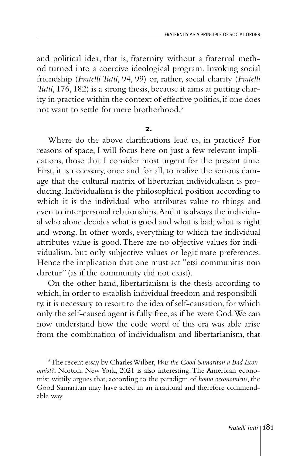and political idea, that is, fraternity without a fraternal method turned into a coercive ideological program. Invoking social friendship (*Fratelli Tutti*, 94, 99) or, rather, social charity (*Fratelli Tutti*, 176, 182) is a strong thesis, because it aims at putting charity in practice within the context of effective politics, if one does not want to settle for mere brotherhood<sup>3</sup>

### **2.**

Where do the above clarifications lead us, in practice? For reasons of space, I will focus here on just a few relevant implications, those that I consider most urgent for the present time. First, it is necessary, once and for all, to realize the serious damage that the cultural matrix of libertarian individualism is producing. Individualism is the philosophical position according to which it is the individual who attributes value to things and even to interpersonal relationships. And it is always the individual who alone decides what is good and what is bad; what is right and wrong. In other words, everything to which the individual attributes value is good. There are no objective values for individualism, but only subjective values or legitimate preferences. Hence the implication that one must act "etsi communitas non daretur" (as if the community did not exist).

On the other hand, libertarianism is the thesis according to which, in order to establish individual freedom and responsibility, it is necessary to resort to the idea of self-causation, for which only the self-caused agent is fully free, as if he were God. We can now understand how the code word of this era was able arise from the combination of individualism and libertarianism, that

3The recent essay by Charles Wilber, *Was the Good Samaritan a Bad Economist?*, Norton, New York, 2021 is also interesting. The American economist wittily argues that, according to the paradigm of *homo oeconomicus*, the Good Samaritan may have acted in an irrational and therefore commendable way.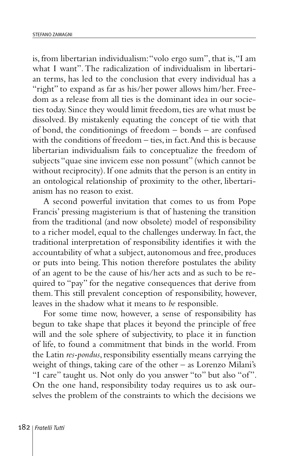is, from libertarian individualism: "volo ergo sum", that is, "I am what I want". The radicalization of individualism in libertarian terms, has led to the conclusion that every individual has a "right" to expand as far as his/her power allows him/her. Freedom as a release from all ties is the dominant idea in our societies today. Since they would limit freedom, ties are what must be dissolved. By mistakenly equating the concept of tie with that of bond, the conditionings of freedom – bonds – are confused with the conditions of freedom – ties, in fact. And this is because libertarian individualism fails to conceptualize the freedom of subjects "quae sine invicem esse non possunt" (which cannot be without reciprocity). If one admits that the person is an entity in an ontological relationship of proximity to the other, libertarianism has no reason to exist.

A second powerful invitation that comes to us from Pope Francis' pressing magisterium is that of hastening the transition from the traditional (and now obsolete) model of responsibility to a richer model, equal to the challenges underway. In fact, the traditional interpretation of responsibility identifies it with the accountability of what a subject, autonomous and free, produces or puts into being. This notion therefore postulates the ability of an agent to be the cause of his/her acts and as such to be required to "pay" for the negative consequences that derive from them. This still prevalent conception of responsibility, however, leaves in the shadow what it means to *be* responsible.

For some time now, however, a sense of responsibility has begun to take shape that places it beyond the principle of free will and the sole sphere of subjectivity, to place it in function of life, to found a commitment that binds in the world. From the Latin *res-pondus*, responsibility essentially means carrying the weight of things, taking care of the other – as Lorenzo Milani's "I care" taught us. Not only do you answer "to" but also "of". On the one hand, responsibility today requires us to ask ourselves the problem of the constraints to which the decisions we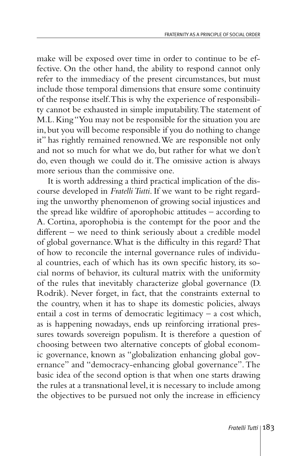make will be exposed over time in order to continue to be effective. On the other hand, the ability to respond cannot only refer to the immediacy of the present circumstances, but must include those temporal dimensions that ensure some continuity of the response itself. This is why the experience of responsibility cannot be exhausted in simple imputability. The statement of M.L. King "You may not be responsible for the situation you are in, but you will become responsible if you do nothing to change it" has rightly remained renowned. We are responsible not only and not so much for what we do, but rather for what we don't do, even though we could do it. The omissive action is always more serious than the commissive one.

It is worth addressing a third practical implication of the discourse developed in *Fratelli Tutti*. If we want to be right regarding the unworthy phenomenon of growing social injustices and the spread like wildfire of aporophobic attitudes – according to A. Cortina, aporophobia is the contempt for the poor and the different – we need to think seriously about a credible model of global governance. What is the difficulty in this regard? That of how to reconcile the internal governance rules of individual countries, each of which has its own specific history, its social norms of behavior, its cultural matrix with the uniformity of the rules that inevitably characterize global governance (D. Rodrik). Never forget, in fact, that the constraints external to the country, when it has to shape its domestic policies, always entail a cost in terms of democratic legitimacy – a cost which, as is happening nowadays, ends up reinforcing irrational pressures towards sovereign populism. It is therefore a question of choosing between two alternative concepts of global economic governance, known as "globalization enhancing global governance" and "democracy-enhancing global governance". The basic idea of the second option is that when one starts drawing the rules at a transnational level, it is necessary to include among the objectives to be pursued not only the increase in efficiency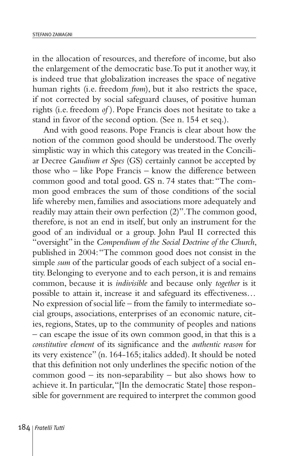in the allocation of resources, and therefore of income, but also the enlargement of the democratic base. To put it another way, it is indeed true that globalization increases the space of negative human rights (i.e. freedom *from*), but it also restricts the space, if not corrected by social safeguard clauses, of positive human rights (i.e. freedom *of* ). Pope Francis does not hesitate to take a stand in favor of the second option. (See n. 154 et seq.).

And with good reasons. Pope Francis is clear about how the notion of the common good should be understood. The overly simplistic way in which this category was treated in the Conciliar Decree *Gaudium et Spes* (GS) certainly cannot be accepted by those who – like Pope Francis – know the difference between common good and total good. GS n. 74 states that: "The common good embraces the sum of those conditions of the social life whereby men, families and associations more adequately and readily may attain their own perfection (2)". The common good, therefore, is not an end in itself, but only an instrument for the good of an individual or a group. John Paul II corrected this "oversight" in the *Compendium of the Social Doctrine of the Church*, published in 2004: "The common good does not consist in the simple *sum* of the particular goods of each subject of a social entity. Belonging to everyone and to each person, it is and remains common, because it is *indivisible* and because only *together* is it possible to attain it, increase it and safeguard its effectiveness… No expression of social life – from the family to intermediate social groups, associations, enterprises of an economic nature, cities, regions, States, up to the community of peoples and nations – can escape the issue of its own common good, in that this is a *constitutive element* of its significance and the *authentic reason* for its very existence" (n. 164-165; italics added). It should be noted that this definition not only underlines the specific notion of the common good – its non-separability – but also shows how to achieve it. In particular, "[In the democratic State] those responsible for government are required to interpret the common good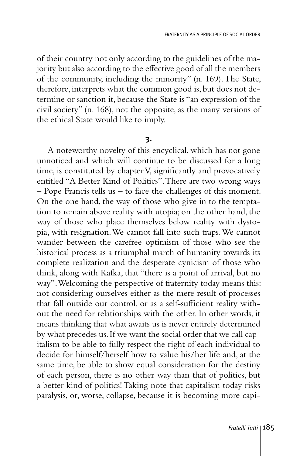of their country not only according to the guidelines of the majority but also according to the effective good of all the members of the community, including the minority" (n. 169). The State, therefore, interprets what the common good is, but does not determine or sanction it, because the State is "an expression of the civil society" (n. 168), not the opposite, as the many versions of the ethical State would like to imply.

### **3.**

A noteworthy novelty of this encyclical, which has not gone unnoticed and which will continue to be discussed for a long time, is constituted by chapter V, significantly and provocatively entitled "A Better Kind of Politics". There are two wrong ways – Pope Francis tells us – to face the challenges of this moment. On the one hand, the way of those who give in to the temptation to remain above reality with utopia; on the other hand, the way of those who place themselves below reality with dystopia, with resignation. We cannot fall into such traps. We cannot wander between the carefree optimism of those who see the historical process as a triumphal march of humanity towards its complete realization and the desperate cynicism of those who think, along with Kafka, that "there is a point of arrival, but no way". Welcoming the perspective of fraternity today means this: not considering ourselves either as the mere result of processes that fall outside our control, or as a self-sufficient reality without the need for relationships with the other. In other words, it means thinking that what awaits us is never entirely determined by what precedes us. If we want the social order that we call capitalism to be able to fully respect the right of each individual to decide for himself/herself how to value his/her life and, at the same time, be able to show equal consideration for the destiny of each person, there is no other way than that of politics, but a better kind of politics! Taking note that capitalism today risks paralysis, or, worse, collapse, because it is becoming more capi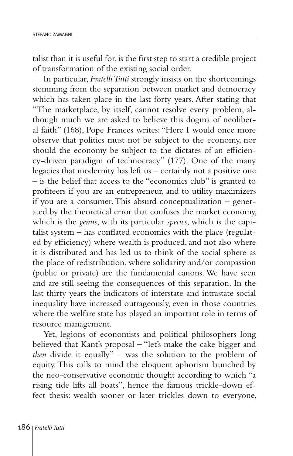talist than it is useful for, is the first step to start a credible project of transformation of the existing social order.

In particular, *Fratelli Tutti* strongly insists on the shortcomings stemming from the separation between market and democracy which has taken place in the last forty years. After stating that "The marketplace, by itself, cannot resolve every problem, although much we are asked to believe this dogma of neoliberal faith" (168), Pope Frances writes: "Here I would once more observe that politics must not be subject to the economy, nor should the economy be subject to the dictates of an efficiency-driven paradigm of technocracy" (177). One of the many legacies that modernity has left us – certainly not a positive one – is the belief that access to the "economics club" is granted to profiteers if you are an entrepreneur, and to utility maximizers if you are a consumer. This absurd conceptualization – generated by the theoretical error that confuses the market economy, which is the *genus*, with its particular *species*, which is the capitalist system – has conflated economics with the place (regulated by efficiency) where wealth is produced, and not also where it is distributed and has led us to think of the social sphere as the place of redistribution, where solidarity and/or compassion (public or private) are the fundamental canons. We have seen and are still seeing the consequences of this separation. In the last thirty years the indicators of interstate and intrastate social inequality have increased outrageously, even in those countries where the welfare state has played an important role in terms of resource management.

Yet, legions of economists and political philosophers long believed that Kant's proposal – "let's make the cake bigger and *then* divide it equally" – was the solution to the problem of equity. This calls to mind the eloquent aphorism launched by the neo-conservative economic thought according to which "a rising tide lifts all boats", hence the famous trickle-down effect thesis: wealth sooner or later trickles down to everyone,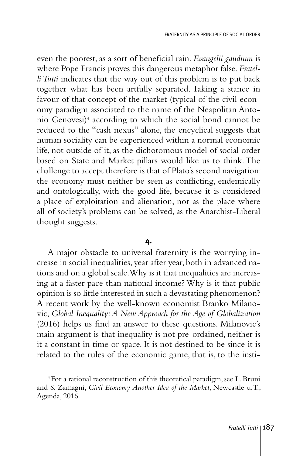even the poorest, as a sort of beneficial rain. *Evangelii gaudium* is where Pope Francis proves this dangerous metaphor false. *Fratelli Tutti* indicates that the way out of this problem is to put back together what has been artfully separated. Taking a stance in favour of that concept of the market (typical of the civil economy paradigm associated to the name of the Neapolitan Antonio Genovesi)4 according to which the social bond cannot be reduced to the "cash nexus" alone, the encyclical suggests that human sociality can be experienced within a normal economic life, not outside of it, as the dichotomous model of social order based on State and Market pillars would like us to think. The challenge to accept therefore is that of Plato's second navigation: the economy must neither be seen as conflicting, endemically and ontologically, with the good life, because it is considered a place of exploitation and alienation, nor as the place where all of society's problems can be solved, as the Anarchist-Liberal thought suggests.

## **4.**

A major obstacle to universal fraternity is the worrying increase in social inequalities, year after year, both in advanced nations and on a global scale. Why is it that inequalities are increasing at a faster pace than national income? Why is it that public opinion is so little interested in such a devastating phenomenon? A recent work by the well-known economist Branko Milanovic, *Global Inequality: A New Approach for the Age of Globalization*  (2016) helps us find an answer to these questions. Milanovic's main argument is that inequality is not pre-ordained, neither is it a constant in time or space. It is not destined to be since it is related to the rules of the economic game, that is, to the insti-

<sup>4</sup> For a rational reconstruction of this theoretical paradigm, see L. Bruni and S. Zamagni, *Civil Economy. Another Idea of the Market*, Newcastle u.T., Agenda, 2016.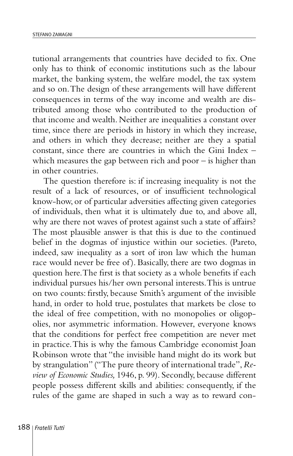tutional arrangements that countries have decided to fix. One only has to think of economic institutions such as the labour market, the banking system, the welfare model, the tax system and so on. The design of these arrangements will have different consequences in terms of the way income and wealth are distributed among those who contributed to the production of that income and wealth. Neither are inequalities a constant over time, since there are periods in history in which they increase, and others in which they decrease; neither are they a spatial constant, since there are countries in which the Gini Index – which measures the gap between rich and poor – is higher than in other countries.

The question therefore is: if increasing inequality is not the result of a lack of resources, or of insufficient technological know-how, or of particular adversities affecting given categories of individuals, then what it is ultimately due to, and above all, why are there not waves of protest against such a state of affairs? The most plausible answer is that this is due to the continued belief in the dogmas of injustice within our societies. (Pareto, indeed, saw inequality as a sort of iron law which the human race would never be free of). Basically, there are two dogmas in question here. The first is that society as a whole benefits if each individual pursues his/her own personal interests. This is untrue on two counts: firstly, because Smith's argument of the invisible hand, in order to hold true, postulates that markets be close to the ideal of free competition, with no monopolies or oligopolies, nor asymmetric information. However, everyone knows that the conditions for perfect free competition are never met in practice. This is why the famous Cambridge economist Joan Robinson wrote that "the invisible hand might do its work but by strangulation" ("The pure theory of international trade", *Review of Economic Studies,* 1946, p. 99). Secondly, because different people possess different skills and abilities: consequently, if the rules of the game are shaped in such a way as to reward con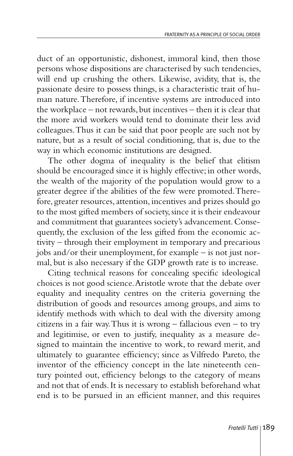duct of an opportunistic, dishonest, immoral kind, then those persons whose dispositions are characterised by such tendencies, will end up crushing the others. Likewise, avidity, that is, the passionate desire to possess things, is a characteristic trait of human nature. Therefore, if incentive systems are introduced into the workplace – not rewards, but incentives – then it is clear that the more avid workers would tend to dominate their less avid colleagues. Thus it can be said that poor people are such not by nature, but as a result of social conditioning, that is, due to the way in which economic institutions are designed.

The other dogma of inequality is the belief that elitism should be encouraged since it is highly effective; in other words, the wealth of the majority of the population would grow to a greater degree if the abilities of the few were promoted. Therefore, greater resources, attention, incentives and prizes should go to the most gifted members of society, since it is their endeavour and commitment that guarantees society's advancement. Consequently, the exclusion of the less gifted from the economic activity – through their employment in temporary and precarious jobs and/or their unemployment, for example – is not just normal, but is also necessary if the GDP growth rate is to increase.

Citing technical reasons for concealing specific ideological choices is not good science. Aristotle wrote that the debate over equality and inequality centres on the criteria governing the distribution of goods and resources among groups, and aims to identify methods with which to deal with the diversity among citizens in a fair way. Thus it is wrong – fallacious even – to try and legitimise, or even to justify, inequality as a measure designed to maintain the incentive to work, to reward merit, and ultimately to guarantee efficiency; since as Vilfredo Pareto, the inventor of the efficiency concept in the late nineteenth century pointed out, efficiency belongs to the category of means and not that of ends. It is necessary to establish beforehand what end is to be pursued in an efficient manner, and this requires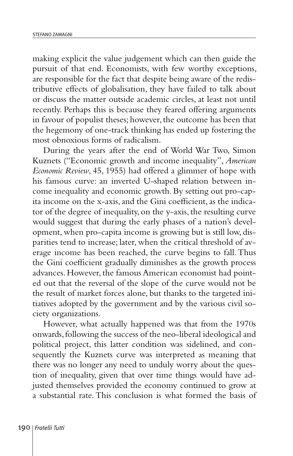making explicit the value judgement which can then guide the pursuit of that end. Economists, with few worthy exceptions, are responsible for the fact that despite being aware of the redistributive effects of globalisation, they have failed to talk about or discuss the matter outside academic circles, at least not until recently. Perhaps this is because they feared offering arguments in favour of populist theses; however, the outcome has been that the hegemony of one-track thinking has ended up fostering the most obnoxious forms of radicalism.

During the years after the end of World War Two, Simon Kuznets ("Economic growth and income inequality", *American Economic Review*, 45, 1955) had offered a glimmer of hope with his famous curve: an inverted U-shaped relation between income inequality and economic growth. By setting out pro-capita income on the x-axis, and the Gini coefficient, as the indicator of the degree of inequality, on the y-axis, the resulting curve would suggest that during the early phases of a nation's development, when pro-capita income is growing but is still low, disparities tend to increase; later, when the critical threshold of average income has been reached, the curve begins to fall. Thus the Gini coefficient gradually diminishes as the growth process advances. However, the famous American economist had pointed out that the reversal of the slope of the curve would not be the result of market forces alone, but thanks to the targeted initiatives adopted by the government and by the various civil society organizations.

However, what actually happened was that from the 1970s onwards, following the success of the neo-liberal ideological and political project, this latter condition was sidelined, and consequently the Kuznets curve was interpreted as meaning that there was no longer any need to unduly worry about the question of inequality, given that over time things would have adjusted themselves provided the economy continued to grow at a substantial rate. This conclusion is what formed the basis of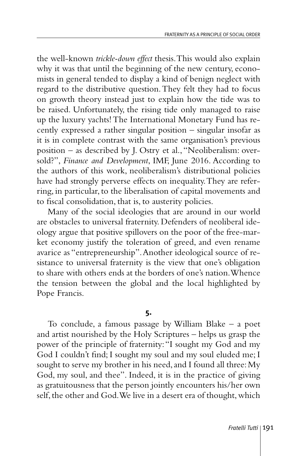the well-known *trickle-down effect* thesis. This would also explain why it was that until the beginning of the new century, economists in general tended to display a kind of benign neglect with regard to the distributive question. They felt they had to focus on growth theory instead just to explain how the tide was to be raised. Unfortunately, the rising tide only managed to raise up the luxury yachts! The International Monetary Fund has recently expressed a rather singular position – singular insofar as it is in complete contrast with the same organisation's previous position – as described by J. Ostry et al., "Neoliberalism: oversold?", *Finance and Development*, IMF, June 2016. According to the authors of this work, neoliberalism's distributional policies have had strongly perverse effects on inequality. They are referring, in particular, to the liberalisation of capital movements and to fiscal consolidation, that is, to austerity policies.

Many of the social ideologies that are around in our world are obstacles to universal fraternity. Defenders of neoliberal ideology argue that positive spillovers on the poor of the free-market economy justify the toleration of greed, and even rename avarice as "entrepreneurship". Another ideological source of resistance to universal fraternity is the view that one's obligation to share with others ends at the borders of one's nation. Whence the tension between the global and the local highlighted by Pope Francis.

## **5.**

To conclude, a famous passage by William Blake – a poet and artist nourished by the Holy Scriptures – helps us grasp the power of the principle of fraternity: "I sought my God and my God I couldn't find; I sought my soul and my soul eluded me; I sought to serve my brother in his need, and I found all three: My God, my soul, and thee". Indeed, it is in the practice of giving as gratuitousness that the person jointly encounters his/her own self, the other and God. We live in a desert era of thought, which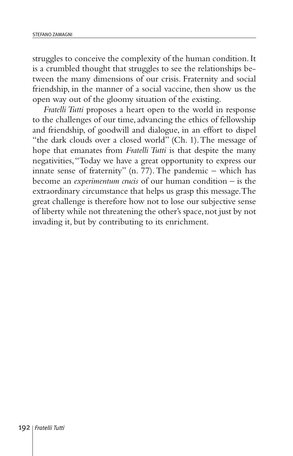struggles to conceive the complexity of the human condition. It is a crumbled thought that struggles to see the relationships between the many dimensions of our crisis. Fraternity and social friendship, in the manner of a social vaccine, then show us the open way out of the gloomy situation of the existing.

*Fratelli Tutti* proposes a heart open to the world in response to the challenges of our time, advancing the ethics of fellowship and friendship, of goodwill and dialogue, in an effort to dispel "the dark clouds over a closed world" (Ch. 1). The message of hope that emanates from *Fratelli Tutti* is that despite the many negativities, "Today we have a great opportunity to express our innate sense of fraternity" (n. 77). The pandemic – which has become an *experimentum crucis* of our human condition – is the extraordinary circumstance that helps us grasp this message. The great challenge is therefore how not to lose our subjective sense of liberty while not threatening the other's space, not just by not invading it, but by contributing to its enrichment.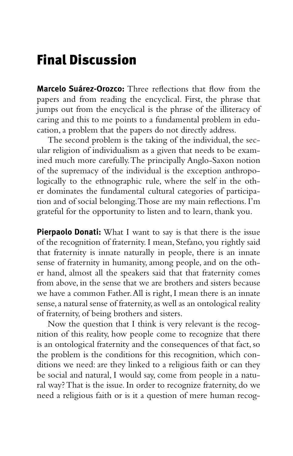# Final Discussion

**Marcelo Suárez-Orozco:** Three reflections that flow from the papers and from reading the encyclical. First, the phrase that jumps out from the encyclical is the phrase of the illiteracy of caring and this to me points to a fundamental problem in education, a problem that the papers do not directly address.

The second problem is the taking of the individual, the secular religion of individualism as a given that needs to be examined much more carefully. The principally Anglo-Saxon notion of the supremacy of the individual is the exception anthropologically to the ethnographic rule, where the self in the other dominates the fundamental cultural categories of participation and of social belonging. Those are my main reflections. I'm grateful for the opportunity to listen and to learn, thank you.

**Pierpaolo Donati:** What I want to say is that there is the issue of the recognition of fraternity. I mean, Stefano, you rightly said that fraternity is innate naturally in people, there is an innate sense of fraternity in humanity, among people, and on the other hand, almost all the speakers said that that fraternity comes from above, in the sense that we are brothers and sisters because we have a common Father. All is right, I mean there is an innate sense, a natural sense of fraternity, as well as an ontological reality of fraternity, of being brothers and sisters.

Now the question that I think is very relevant is the recognition of this reality, how people come to recognize that there is an ontological fraternity and the consequences of that fact, so the problem is the conditions for this recognition, which conditions we need: are they linked to a religious faith or can they be social and natural, I would say, come from people in a natural way? That is the issue. In order to recognize fraternity, do we need a religious faith or is it a question of mere human recog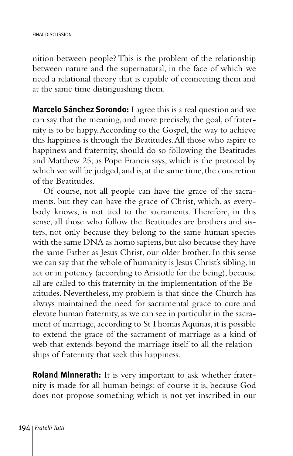nition between people? This is the problem of the relationship between nature and the supernatural, in the face of which we need a relational theory that is capable of connecting them and at the same time distinguishing them.

**Marcelo Sánchez Sorondo:** I agree this is a real question and we can say that the meaning, and more precisely, the goal, of fraternity is to be happy. According to the Gospel, the way to achieve this happiness is through the Beatitudes. All those who aspire to happiness and fraternity, should do so following the Beatitudes and Matthew 25, as Pope Francis says, which is the protocol by which we will be judged, and is, at the same time, the concretion of the Beatitudes.

Of course, not all people can have the grace of the sacraments, but they can have the grace of Christ, which, as everybody knows, is not tied to the sacraments. Therefore, in this sense, all those who follow the Beatitudes are brothers and sisters, not only because they belong to the same human species with the same DNA as homo sapiens, but also because they have the same Father as Jesus Christ, our older brother. In this sense we can say that the whole of humanity is Jesus Christ's sibling, in act or in potency (according to Aristotle for the being), because all are called to this fraternity in the implementation of the Beatitudes. Nevertheless, my problem is that since the Church has always maintained the need for sacramental grace to cure and elevate human fraternity, as we can see in particular in the sacrament of marriage, according to St Thomas Aquinas, it is possible to extend the grace of the sacrament of marriage as a kind of web that extends beyond the marriage itself to all the relationships of fraternity that seek this happiness.

**Roland Minnerath:** It is very important to ask whether fraternity is made for all human beings: of course it is, because God does not propose something which is not yet inscribed in our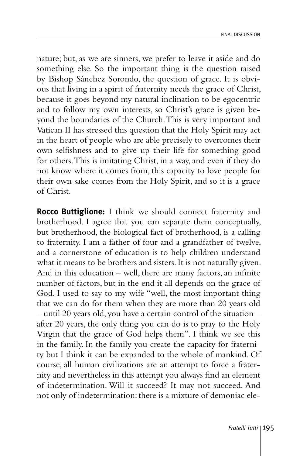nature; but, as we are sinners, we prefer to leave it aside and do something else. So the important thing is the question raised by Bishop Sánchez Sorondo, the question of grace. It is obvious that living in a spirit of fraternity needs the grace of Christ, because it goes beyond my natural inclination to be egocentric and to follow my own interests, so Christ's grace is given beyond the boundaries of the Church. This is very important and Vatican II has stressed this question that the Holy Spirit may act in the heart of people who are able precisely to overcomes their own selfishness and to give up their life for something good for others. This is imitating Christ, in a way, and even if they do not know where it comes from, this capacity to love people for their own sake comes from the Holy Spirit, and so it is a grace of Christ.

**Rocco Buttiglione:** I think we should connect fraternity and brotherhood. I agree that you can separate them conceptually, but brotherhood, the biological fact of brotherhood, is a calling to fraternity. I am a father of four and a grandfather of twelve, and a cornerstone of education is to help children understand what it means to be brothers and sisters. It is not naturally given. And in this education – well, there are many factors, an infinite number of factors, but in the end it all depends on the grace of God. I used to say to my wife "well, the most important thing that we can do for them when they are more than 20 years old – until 20 years old, you have a certain control of the situation – after 20 years, the only thing you can do is to pray to the Holy Virgin that the grace of God helps them". I think we see this in the family. In the family you create the capacity for fraternity but I think it can be expanded to the whole of mankind. Of course, all human civilizations are an attempt to force a fraternity and nevertheless in this attempt you always find an element of indetermination. Will it succeed? It may not succeed. And not only of indetermination: there is a mixture of demoniac ele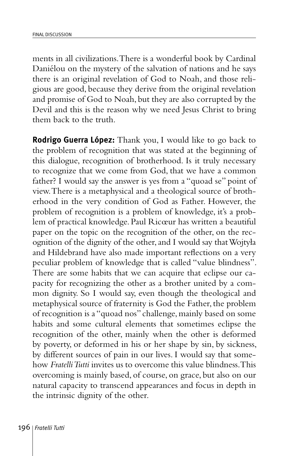ments in all civilizations. There is a wonderful book by Cardinal Daniélou on the mystery of the salvation of nations and he says there is an original revelation of God to Noah, and those religious are good, because they derive from the original revelation and promise of God to Noah, but they are also corrupted by the Devil and this is the reason why we need Jesus Christ to bring them back to the truth.

**Rodrigo Guerra López:** Thank you, I would like to go back to the problem of recognition that was stated at the beginning of this dialogue, recognition of brotherhood. Is it truly necessary to recognize that we come from God, that we have a common father? I would say the answer is yes from a "quoad se" point of view. There is a metaphysical and a theological source of brotherhood in the very condition of God as Father. However, the problem of recognition is a problem of knowledge, it's a problem of practical knowledge. Paul Ricœur has written a beautiful paper on the topic on the recognition of the other, on the recognition of the dignity of the other, and I would say that Wojtyła and Hildebrand have also made important reflections on a very peculiar problem of knowledge that is called "value blindness". There are some habits that we can acquire that eclipse our capacity for recognizing the other as a brother united by a common dignity. So I would say, even though the theological and metaphysical source of fraternity is God the Father, the problem of recognition is a "quoad nos" challenge, mainly based on some habits and some cultural elements that sometimes eclipse the recognition of the other, mainly when the other is deformed by poverty, or deformed in his or her shape by sin, by sickness, by different sources of pain in our lives. I would say that somehow *Fratelli Tutti* invites us to overcome this value blindness. This overcoming is mainly based, of course, on grace, but also on our natural capacity to transcend appearances and focus in depth in the intrinsic dignity of the other.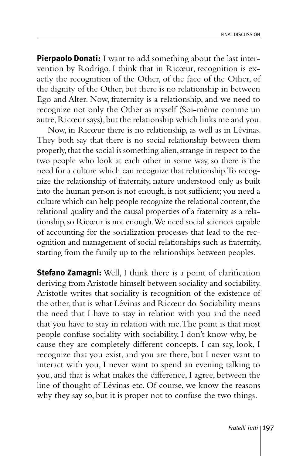**Pierpaolo Donati:** I want to add something about the last intervention by Rodrigo. I think that in Ricœur, recognition is exactly the recognition of the Other, of the face of the Other, of the dignity of the Other, but there is no relationship in between Ego and Alter. Now, fraternity is a relationship, and we need to recognize not only the Other as myself (Soi-même comme un autre, Ricœur says), but the relationship which links me and you.

Now, in Ricœur there is no relationship, as well as in Lévinas. They both say that there is no social relationship between them properly, that the social is something alien, strange in respect to the two people who look at each other in some way, so there is the need for a culture which can recognize that relationship. To recognize the relationship of fraternity, nature understood only as built into the human person is not enough, is not sufficient; you need a culture which can help people recognize the relational content, the relational quality and the causal properties of a fraternity as a relationship, so Ricœur is not enough. We need social sciences capable of accounting for the socialization processes that lead to the recognition and management of social relationships such as fraternity, starting from the family up to the relationships between peoples.

**Stefano Zamagni:** Well, I think there is a point of clarification deriving from Aristotle himself between sociality and sociability. Aristotle writes that sociality is recognition of the existence of the other, that is what Lévinas and Ricœur do. Sociability means the need that I have to stay in relation with you and the need that you have to stay in relation with me. The point is that most people confuse sociality with sociability, I don't know why, because they are completely different concepts. I can say, look, I recognize that you exist, and you are there, but I never want to interact with you, I never want to spend an evening talking to you, and that is what makes the difference, I agree, between the line of thought of Lévinas etc. Of course, we know the reasons why they say so, but it is proper not to confuse the two things.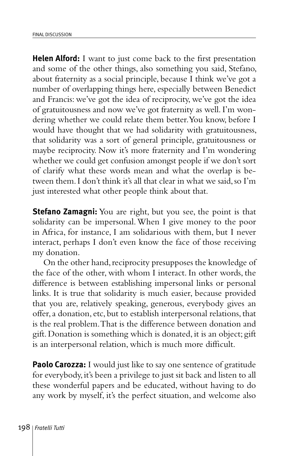**Helen Alford:** I want to just come back to the first presentation and some of the other things, also something you said, Stefano, about fraternity as a social principle, because I think we've got a number of overlapping things here, especially between Benedict and Francis: we've got the idea of reciprocity, we've got the idea of gratuitousness and now we've got fraternity as well. I'm wondering whether we could relate them better. You know, before I would have thought that we had solidarity with gratuitousness, that solidarity was a sort of general principle, gratuitousness or maybe reciprocity. Now it's more fraternity and I'm wondering whether we could get confusion amongst people if we don't sort of clarify what these words mean and what the overlap is between them. I don't think it's all that clear in what we said, so I'm just interested what other people think about that.

**Stefano Zamagni:** You are right, but you see, the point is that solidarity can be impersonal. When I give money to the poor in Africa, for instance, I am solidarious with them, but I never interact, perhaps I don't even know the face of those receiving my donation.

On the other hand, reciprocity presupposes the knowledge of the face of the other, with whom I interact. In other words, the difference is between establishing impersonal links or personal links. It is true that solidarity is much easier, because provided that you are, relatively speaking, generous, everybody gives an offer, a donation, etc, but to establish interpersonal relations, that is the real problem. That is the difference between donation and gift. Donation is something which is donated, it is an object; gift is an interpersonal relation, which is much more difficult.

**Paolo Carozza:** I would just like to say one sentence of gratitude for everybody, it's been a privilege to just sit back and listen to all these wonderful papers and be educated, without having to do any work by myself, it's the perfect situation, and welcome also